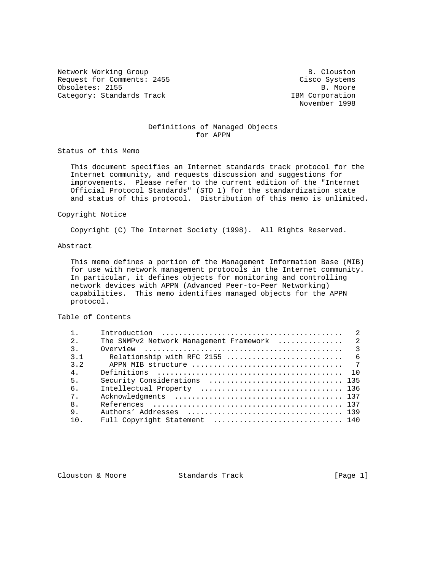Network Working Group and B. Clouston B. Clouston Request for Comments: 2455 Cisco Systems Obsoletes: 2155 B. Moore Category: Standards Track IBM Corporation

November 1998

# Definitions of Managed Objects for APPN

Status of this Memo

 This document specifies an Internet standards track protocol for the Internet community, and requests discussion and suggestions for improvements. Please refer to the current edition of the "Internet Official Protocol Standards" (STD 1) for the standardization state and status of this protocol. Distribution of this memo is unlimited.

### Copyright Notice

Copyright (C) The Internet Society (1998). All Rights Reserved.

# Abstract

 This memo defines a portion of the Management Information Base (MIB) for use with network management protocols in the Internet community. In particular, it defines objects for monitoring and controlling network devices with APPN (Advanced Peer-to-Peer Networking) capabilities. This memo identifies managed objects for the APPN protocol.

# Table of Contents

| 2.               | The SNMPv2 Network Management Framework  2                                                                                             |
|------------------|----------------------------------------------------------------------------------------------------------------------------------------|
| $\overline{3}$ . | Overview $\ldots$ $\ldots$ $\ldots$ $\ldots$ $\ldots$ $\ldots$ $\ldots$ $\ldots$ $\ldots$ $\ldots$ $\ldots$ $\ldots$ $\ldots$ $\ldots$ |
| 3.1              |                                                                                                                                        |
| 3.2              |                                                                                                                                        |
| 4 <sub>1</sub>   |                                                                                                                                        |
| 5.               |                                                                                                                                        |
| б.               |                                                                                                                                        |
| 7 <sub>1</sub>   |                                                                                                                                        |
| 8 <sub>1</sub>   |                                                                                                                                        |
| 9.               |                                                                                                                                        |
| 10.              | Full Copyright Statement  140                                                                                                          |

Clouston & Moore 6 Standards Track [Page 1]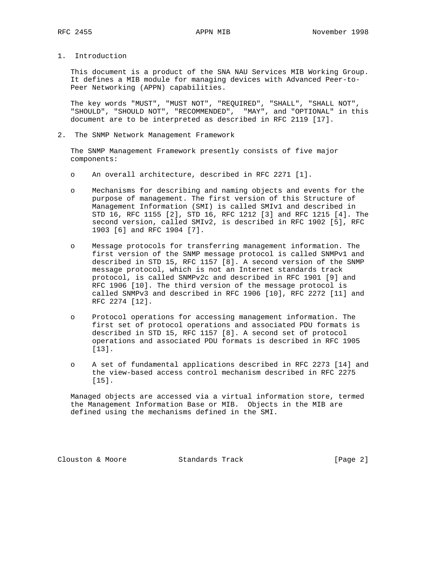1. Introduction

 This document is a product of the SNA NAU Services MIB Working Group. It defines a MIB module for managing devices with Advanced Peer-to- Peer Networking (APPN) capabilities.

 The key words "MUST", "MUST NOT", "REQUIRED", "SHALL", "SHALL NOT", "SHOULD", "SHOULD NOT", "RECOMMENDED", "MAY", and "OPTIONAL" in this document are to be interpreted as described in RFC 2119 [17].

2. The SNMP Network Management Framework

 The SNMP Management Framework presently consists of five major components:

- o An overall architecture, described in RFC 2271 [1].
- o Mechanisms for describing and naming objects and events for the purpose of management. The first version of this Structure of Management Information (SMI) is called SMIv1 and described in STD 16, RFC 1155 [2], STD 16, RFC 1212 [3] and RFC 1215 [4]. The second version, called SMIv2, is described in RFC 1902 [5], RFC 1903 [6] and RFC 1904 [7].
- o Message protocols for transferring management information. The first version of the SNMP message protocol is called SNMPv1 and described in STD 15, RFC 1157 [8]. A second version of the SNMP message protocol, which is not an Internet standards track protocol, is called SNMPv2c and described in RFC 1901 [9] and RFC 1906 [10]. The third version of the message protocol is called SNMPv3 and described in RFC 1906 [10], RFC 2272 [11] and RFC 2274 [12].
- o Protocol operations for accessing management information. The first set of protocol operations and associated PDU formats is described in STD 15, RFC 1157 [8]. A second set of protocol operations and associated PDU formats is described in RFC 1905 [13].
- o A set of fundamental applications described in RFC 2273 [14] and the view-based access control mechanism described in RFC 2275 [15].

 Managed objects are accessed via a virtual information store, termed the Management Information Base or MIB. Objects in the MIB are defined using the mechanisms defined in the SMI.

Clouston & Moore 6 Standards Track [Page 2]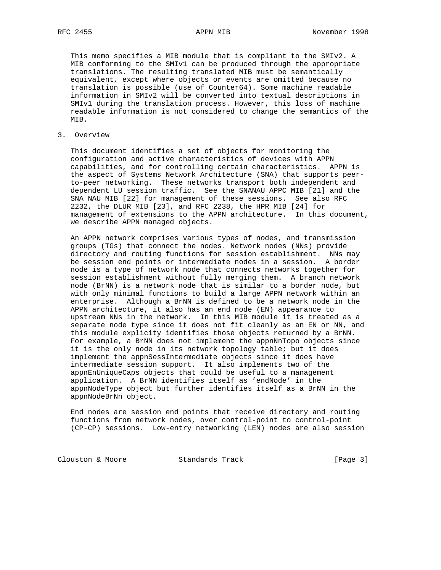This memo specifies a MIB module that is compliant to the SMIv2. A MIB conforming to the SMIv1 can be produced through the appropriate translations. The resulting translated MIB must be semantically equivalent, except where objects or events are omitted because no translation is possible (use of Counter64). Some machine readable information in SMIv2 will be converted into textual descriptions in SMIv1 during the translation process. However, this loss of machine readable information is not considered to change the semantics of the MIB.

## 3. Overview

 This document identifies a set of objects for monitoring the configuration and active characteristics of devices with APPN capabilities, and for controlling certain characteristics. APPN is the aspect of Systems Network Architecture (SNA) that supports peer to-peer networking. These networks transport both independent and dependent LU session traffic. See the SNANAU APPC MIB [21] and the SNA NAU MIB [22] for management of these sessions. See also RFC 2232, the DLUR MIB [23], and RFC 2238, the HPR MIB [24] for management of extensions to the APPN architecture. In this document, we describe APPN managed objects.

 An APPN network comprises various types of nodes, and transmission groups (TGs) that connect the nodes. Network nodes (NNs) provide directory and routing functions for session establishment. NNs may be session end points or intermediate nodes in a session. A border node is a type of network node that connects networks together for session establishment without fully merging them. A branch network node (BrNN) is a network node that is similar to a border node, but with only minimal functions to build a large APPN network within an enterprise. Although a BrNN is defined to be a network node in the APPN architecture, it also has an end node (EN) appearance to upstream NNs in the network. In this MIB module it is treated as a separate node type since it does not fit cleanly as an EN or NN, and this module explicity identifies those objects returned by a BrNN. For example, a BrNN does not implement the appnNnTopo objects since it is the only node in its network topology table; but it does implement the appnSessIntermediate objects since it does have intermediate session support. It also implements two of the appnEnUniqueCaps objects that could be useful to a management application. A BrNN identifies itself as 'endNode' in the appnNodeType object but further identifies itself as a BrNN in the appnNodeBrNn object.

 End nodes are session end points that receive directory and routing functions from network nodes, over control-point to control-point (CP-CP) sessions. Low-entry networking (LEN) nodes are also session

Clouston & Moore 6 (Page 3)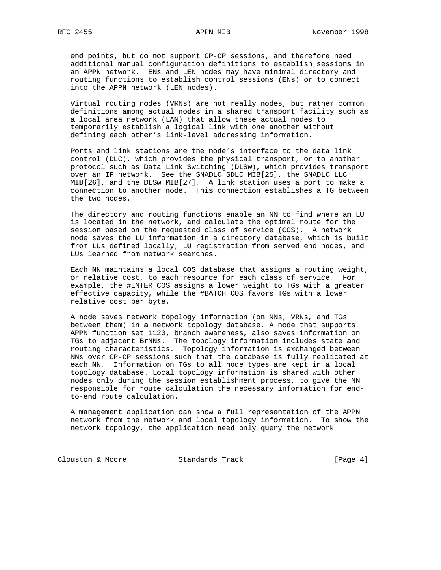end points, but do not support CP-CP sessions, and therefore need additional manual configuration definitions to establish sessions in an APPN network. ENs and LEN nodes may have minimal directory and routing functions to establish control sessions (ENs) or to connect into the APPN network (LEN nodes).

 Virtual routing nodes (VRNs) are not really nodes, but rather common definitions among actual nodes in a shared transport facility such as a local area network (LAN) that allow these actual nodes to temporarily establish a logical link with one another without defining each other's link-level addressing information.

 Ports and link stations are the node's interface to the data link control (DLC), which provides the physical transport, or to another protocol such as Data Link Switching (DLSw), which provides transport over an IP network. See the SNADLC SDLC MIB[25], the SNADLC LLC MIB[26], and the DLSw MIB[27]. A link station uses a port to make a connection to another node. This connection establishes a TG between the two nodes.

 The directory and routing functions enable an NN to find where an LU is located in the network, and calculate the optimal route for the session based on the requested class of service (COS). A network node saves the LU information in a directory database, which is built from LUs defined locally, LU registration from served end nodes, and LUs learned from network searches.

 Each NN maintains a local COS database that assigns a routing weight, or relative cost, to each resource for each class of service. For example, the #INTER COS assigns a lower weight to TGs with a greater effective capacity, while the #BATCH COS favors TGs with a lower relative cost per byte.

 A node saves network topology information (on NNs, VRNs, and TGs between them) in a network topology database. A node that supports APPN function set 1120, branch awareness, also saves information on TGs to adjacent BrNNs. The topology information includes state and routing characteristics. Topology information is exchanged between NNs over CP-CP sessions such that the database is fully replicated at each NN. Information on TGs to all node types are kept in a local topology database. Local topology information is shared with other nodes only during the session establishment process, to give the NN responsible for route calculation the necessary information for end to-end route calculation.

 A management application can show a full representation of the APPN network from the network and local topology information. To show the network topology, the application need only query the network

Clouston & Moore 6 Standards Track 6 (Page 4)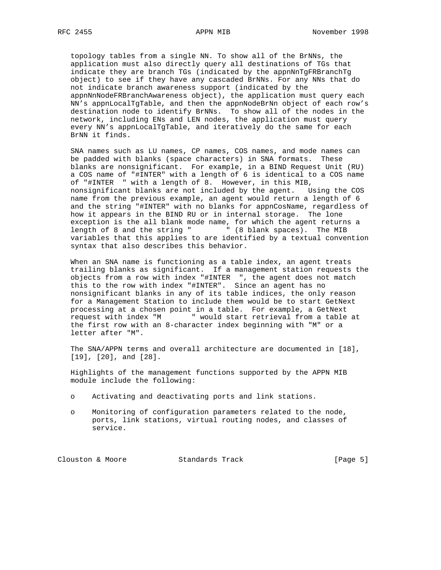topology tables from a single NN. To show all of the BrNNs, the application must also directly query all destinations of TGs that indicate they are branch TGs (indicated by the appnNnTgFRBranchTg object) to see if they have any cascaded BrNNs. For any NNs that do not indicate branch awareness support (indicated by the appnNnNodeFRBranchAwareness object), the application must query each NN's appnLocalTgTable, and then the appnNodeBrNn object of each row's destination node to identify BrNNs. To show all of the nodes in the network, including ENs and LEN nodes, the application must query every NN's appnLocalTgTable, and iteratively do the same for each BrNN it finds.

 SNA names such as LU names, CP names, COS names, and mode names can be padded with blanks (space characters) in SNA formats. These blanks are nonsignificant. For example, in a BIND Request Unit (RU) a COS name of "#INTER" with a length of 6 is identical to a COS name of "#INTER " with a length of 8. However, in this MIB, nonsignificant blanks are not included by the agent. Using the COS name from the previous example, an agent would return a length of 6 and the string "#INTER" with no blanks for appnCosName, regardless of how it appears in the BIND RU or in internal storage. The lone exception is the all blank mode name, for which the agent returns a length of 8 and the string " " (8 blank spaces). The MIB variables that this applies to are identified by a textual convention syntax that also describes this behavior.

 When an SNA name is functioning as a table index, an agent treats trailing blanks as significant. If a management station requests the objects from a row with index "#INTER ", the agent does not match this to the row with index "#INTER". Since an agent has no nonsignificant blanks in any of its table indices, the only reason for a Management Station to include them would be to start GetNext processing at a chosen point in a table. For example, a GetNext request with index "M " would start retrieval from a table at the first row with an 8-character index beginning with "M" or a letter after "M".

 The SNA/APPN terms and overall architecture are documented in [18], [19], [20], and [28].

 Highlights of the management functions supported by the APPN MIB module include the following:

- o Activating and deactivating ports and link stations.
- o Monitoring of configuration parameters related to the node, ports, link stations, virtual routing nodes, and classes of service.

Clouston & Moore 6 (Page 5) Standards Track (Page 5)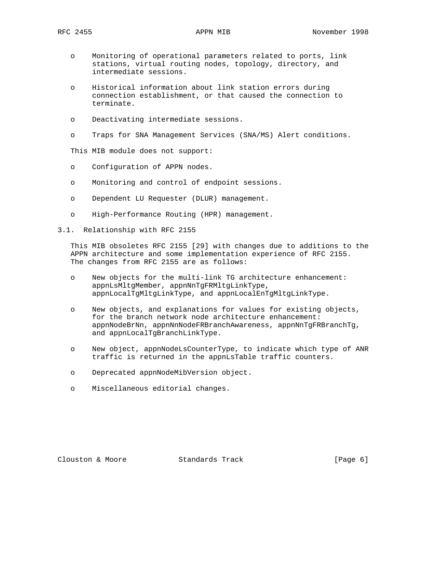- o Monitoring of operational parameters related to ports, link stations, virtual routing nodes, topology, directory, and intermediate sessions.
- o Historical information about link station errors during connection establishment, or that caused the connection to terminate.
- o Deactivating intermediate sessions.
- o Traps for SNA Management Services (SNA/MS) Alert conditions.

This MIB module does not support:

- o Configuration of APPN nodes.
- o Monitoring and control of endpoint sessions.
- o Dependent LU Requester (DLUR) management.
- o High-Performance Routing (HPR) management.
- 3.1. Relationship with RFC 2155

 This MIB obsoletes RFC 2155 [29] with changes due to additions to the APPN architecture and some implementation experience of RFC 2155. The changes from RFC 2155 are as follows:

- o New objects for the multi-link TG architecture enhancement: appnLsMltgMember, appnNnTgFRMltgLinkType, appnLocalTgMltgLinkType, and appnLocalEnTgMltgLinkType.
- o New objects, and explanations for values for existing objects, for the branch network node architecture enhancement: appnNodeBrNn, appnNnNodeFRBranchAwareness, appnNnTgFRBranchTg, and appnLocalTgBranchLinkType.
- o New object, appnNodeLsCounterType, to indicate which type of ANR traffic is returned in the appnLsTable traffic counters.
- o Deprecated appnNodeMibVersion object.
- o Miscellaneous editorial changes.

Clouston & Moore 6 (Page 6) Standards Track (Page 6)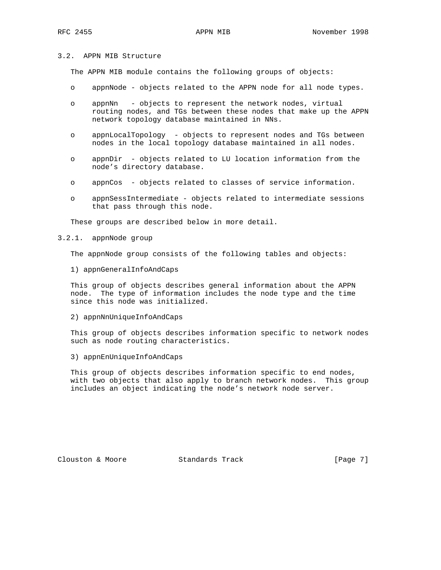# 3.2. APPN MIB Structure

The APPN MIB module contains the following groups of objects:

- o appnNode objects related to the APPN node for all node types.
- o appnNn objects to represent the network nodes, virtual routing nodes, and TGs between these nodes that make up the APPN network topology database maintained in NNs.
- o appnLocalTopology objects to represent nodes and TGs between nodes in the local topology database maintained in all nodes.
- o appnDir objects related to LU location information from the node's directory database.
- o appnCos objects related to classes of service information.
- o appnSessIntermediate objects related to intermediate sessions that pass through this node.

These groups are described below in more detail.

3.2.1. appnNode group

The appnNode group consists of the following tables and objects:

1) appnGeneralInfoAndCaps

 This group of objects describes general information about the APPN node. The type of information includes the node type and the time since this node was initialized.

2) appnNnUniqueInfoAndCaps

 This group of objects describes information specific to network nodes such as node routing characteristics.

3) appnEnUniqueInfoAndCaps

 This group of objects describes information specific to end nodes, with two objects that also apply to branch network nodes. This group includes an object indicating the node's network node server.

Clouston & Moore 6 Standards Track [Page 7]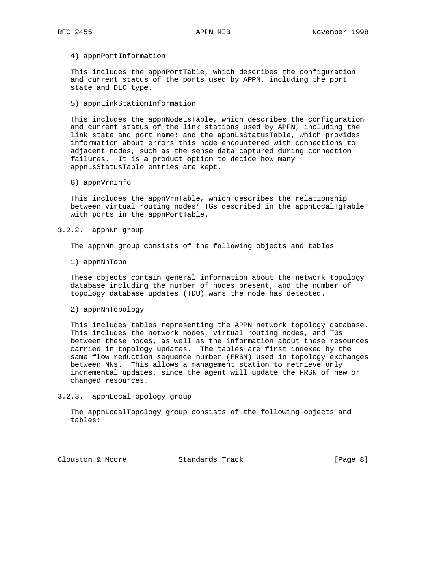### 4) appnPortInformation

 This includes the appnPortTable, which describes the configuration and current status of the ports used by APPN, including the port state and DLC type.

5) appnLinkStationInformation

 This includes the appnNodeLsTable, which describes the configuration and current status of the link stations used by APPN, including the link state and port name; and the appnLsStatusTable, which provides information about errors this node encountered with connections to adjacent nodes, such as the sense data captured during connection failures. It is a product option to decide how many appnLsStatusTable entries are kept.

6) appnVrnInfo

 This includes the appnVrnTable, which describes the relationship between virtual routing nodes' TGs described in the appnLocalTgTable with ports in the appnPortTable.

### 3.2.2. appnNn group

The appnNn group consists of the following objects and tables

1) appnNnTopo

 These objects contain general information about the network topology database including the number of nodes present, and the number of topology database updates (TDU) wars the node has detected.

2) appnNnTopology

 This includes tables representing the APPN network topology database. This includes the network nodes, virtual routing nodes, and TGs between these nodes, as well as the information about these resources carried in topology updates. The tables are first indexed by the same flow reduction sequence number (FRSN) used in topology exchanges between NNs. This allows a management station to retrieve only incremental updates, since the agent will update the FRSN of new or changed resources.

3.2.3. appnLocalTopology group

 The appnLocalTopology group consists of the following objects and tables:

Clouston & Moore 6 (Page 8)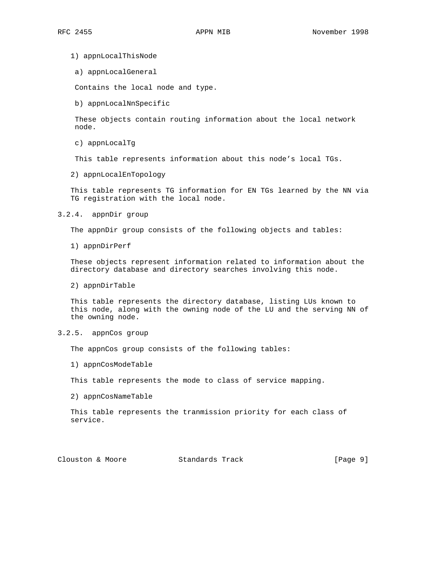1) appnLocalThisNode

a) appnLocalGeneral

Contains the local node and type.

b) appnLocalNnSpecific

 These objects contain routing information about the local network node.

c) appnLocalTg

This table represents information about this node's local TGs.

2) appnLocalEnTopology

 This table represents TG information for EN TGs learned by the NN via TG registration with the local node.

3.2.4. appnDir group

The appnDir group consists of the following objects and tables:

1) appnDirPerf

 These objects represent information related to information about the directory database and directory searches involving this node.

2) appnDirTable

 This table represents the directory database, listing LUs known to this node, along with the owning node of the LU and the serving NN of the owning node.

3.2.5. appnCos group

The appnCos group consists of the following tables:

1) appnCosModeTable

This table represents the mode to class of service mapping.

2) appnCosNameTable

 This table represents the tranmission priority for each class of service.

Clouston & Moore 6 Standards Track [Page 9]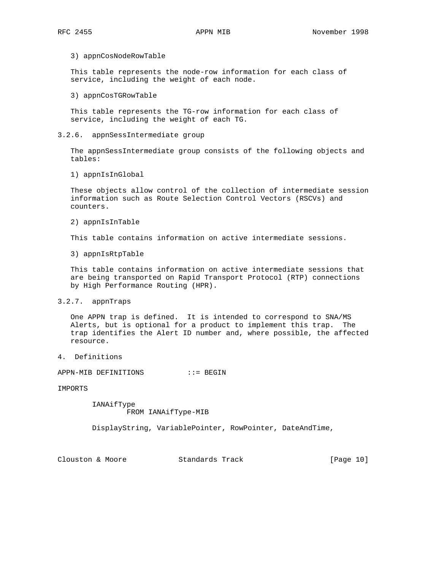### 3) appnCosNodeRowTable

 This table represents the node-row information for each class of service, including the weight of each node.

### 3) appnCosTGRowTable

 This table represents the TG-row information for each class of service, including the weight of each TG.

## 3.2.6. appnSessIntermediate group

 The appnSessIntermediate group consists of the following objects and tables:

1) appnIsInGlobal

 These objects allow control of the collection of intermediate session information such as Route Selection Control Vectors (RSCVs) and counters.

2) appnIsInTable

This table contains information on active intermediate sessions.

3) appnIsRtpTable

 This table contains information on active intermediate sessions that are being transported on Rapid Transport Protocol (RTP) connections by High Performance Routing (HPR).

### 3.2.7. appnTraps

 One APPN trap is defined. It is intended to correspond to SNA/MS Alerts, but is optional for a product to implement this trap. The trap identifies the Alert ID number and, where possible, the affected resource.

4. Definitions

APPN-MIB DEFINITIONS ::= BEGIN

IMPORTS

 IANAifType FROM IANAifType-MIB

DisplayString, VariablePointer, RowPointer, DateAndTime,

Clouston & Moore Standards Track [Page 10]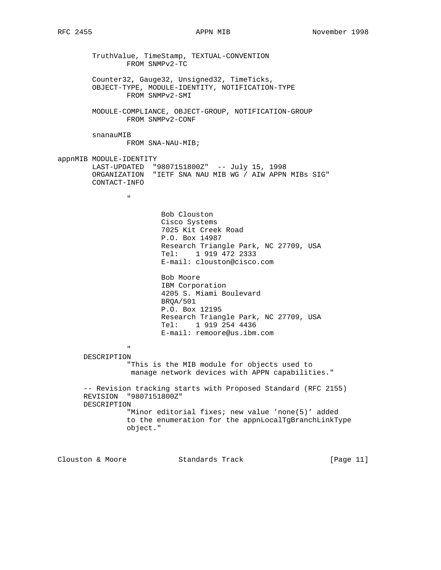TruthValue, TimeStamp, TEXTUAL-CONVENTION FROM SNMPv2-TC Counter32, Gauge32, Unsigned32, TimeTicks, OBJECT-TYPE, MODULE-IDENTITY, NOTIFICATION-TYPE FROM SNMPv2-SMI MODULE-COMPLIANCE, OBJECT-GROUP, NOTIFICATION-GROUP FROM SNMPv2-CONF snanauMIB FROM SNA-NAU-MIB; appnMIB MODULE-IDENTITY LAST-UPDATED "9807151800Z" -- July 15, 1998 ORGANIZATION "IETF SNA NAU MIB WG / AIW APPN MIBs SIG" CONTACT-INFO " "The contract of the contract of the contract of the contract of the contract of the contract of the contract of the contract of the contract of the contract of the contract of the contract of the contract of the contrac Bob Clouston Cisco Systems 7025 Kit Creek Road P.O. Box 14987 Research Triangle Park, NC 27709, USA Tel: 1 919 472 2333 E-mail: clouston@cisco.com Bob Moore IBM Corporation 4205 S. Miami Boulevard BRQA/501 P.O. Box 12195 Research Triangle Park, NC 27709, USA Tel: 1 919 254 4436 E-mail: remoore@us.ibm.com " "The contract of the contract of the contract of the contract of the contract of the contract of the contract of the contract of the contract of the contract of the contract of the contract of the contract of the contrac DESCRIPTION "This is the MIB module for objects used to manage network devices with APPN capabilities." -- Revision tracking starts with Proposed Standard (RFC 2155) REVISION "9807151800Z" DESCRIPTION "Minor editorial fixes; new value 'none(5)' added to the enumeration for the appnLocalTgBranchLinkType object."

Clouston & Moore Standards Track [Page 11]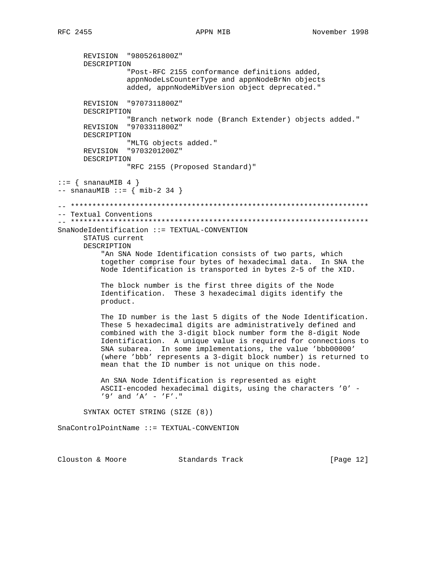# APPN MIB

REVISION "9805261800Z" DESCRIPTION "Post-RFC 2155 conformance definitions added, appnNodeLsCounterType and appnNodeBrNn objects added, appnNodeMibVersion object deprecated." REVISION "9707311800Z" DESCRIPTION "Branch network node (Branch Extender) objects added." REVISION "9703311800Z" DESCRIPTION "MLTG objects added." REVISION "9703201200Z" DESCRIPTION "RFC 2155 (Proposed Standard)"  $::= \{ \text{snanauMIB } 4 \}$  $--$  snanauMIB ::= { mib-2 34 } -- Textual Conventions SnaNodeIdentification ::= TEXTUAL-CONVENTION STATUS current DESCRIPTION "An SNA Node Identification consists of two parts, which together comprise four bytes of hexadecimal data. In SNA the Node Identification is transported in bytes 2-5 of the XID. The block number is the first three digits of the Node Identification. These 3 hexadecimal digits identify the product. The ID number is the last 5 digits of the Node Identification. These 5 hexadecimal digits are administratively defined and combined with the 3-digit block number form the 8-digit Node Identification. A unique value is required for connections to SNA subarea. In some implementations, the value 'bbb00000' (where 'bbb' represents a 3-digit block number) is returned to mean that the ID number is not unique on this node. An SNA Node Identification is represented as eight ASCII-encoded hexadecimal digits, using the characters '0' - $'9'$  and 'A' - 'F'." SYNTAX OCTET STRING (SIZE (8)) SnaControlPointName ::= TEXTUAL-CONVENTION

Clouston & Moore Standards Track [Page 12]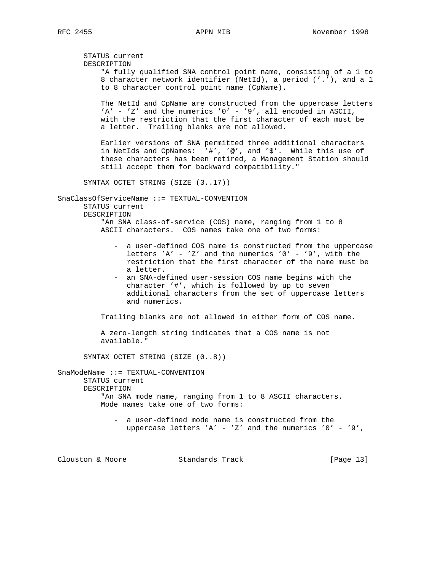STATUS current DESCRIPTION "A fully qualified SNA control point name, consisting of a 1 to 8 character network identifier (NetId), a period ('.'), and a 1 to 8 character control point name (CpName). The NetId and CpName are constructed from the uppercase letters 'A' - 'Z' and the numerics '0' - '9', all encoded in ASCII, with the restriction that the first character of each must be a letter. Trailing blanks are not allowed. Earlier versions of SNA permitted three additional characters in NetIds and CpNames: '#', '@', and '\$'. While this use of these characters has been retired, a Management Station should still accept them for backward compatibility." SYNTAX OCTET STRING (SIZE (3..17)) SnaClassOfServiceName ::= TEXTUAL-CONVENTION STATUS current DESCRIPTION "An SNA class-of-service (COS) name, ranging from 1 to 8 ASCII characters. COS names take one of two forms: - a user-defined COS name is constructed from the uppercase letters 'A' - 'Z' and the numerics ' $0'$  - '9', with the restriction that the first character of the name must be a letter. - an SNA-defined user-session COS name begins with the character '#', which is followed by up to seven additional characters from the set of uppercase letters and numerics. Trailing blanks are not allowed in either form of COS name. A zero-length string indicates that a COS name is not available." SYNTAX OCTET STRING (SIZE (0..8)) SnaModeName ::= TEXTUAL-CONVENTION STATUS current DESCRIPTION "An SNA mode name, ranging from 1 to 8 ASCII characters. Mode names take one of two forms: - a user-defined mode name is constructed from the uppercase letters 'A' - 'Z' and the numerics '0' - '9', Clouston & Moore Standards Track [Page 13]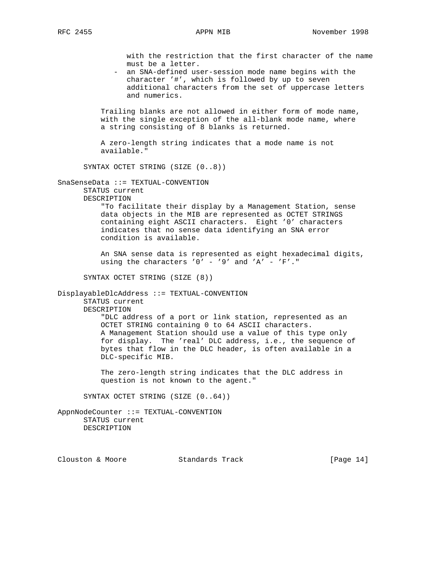with the restriction that the first character of the name must be a letter.

 - an SNA-defined user-session mode name begins with the character '#', which is followed by up to seven additional characters from the set of uppercase letters and numerics.

 Trailing blanks are not allowed in either form of mode name, with the single exception of the all-blank mode name, where a string consisting of 8 blanks is returned.

 A zero-length string indicates that a mode name is not available."

SYNTAX OCTET STRING (SIZE (0..8))

SnaSenseData ::= TEXTUAL-CONVENTION

 STATUS current DESCRIPTION

 "To facilitate their display by a Management Station, sense data objects in the MIB are represented as OCTET STRINGS containing eight ASCII characters. Eight '0' characters indicates that no sense data identifying an SNA error condition is available.

 An SNA sense data is represented as eight hexadecimal digits, using the characters '0' - '9' and 'A' - 'F'."

SYNTAX OCTET STRING (SIZE (8))

DisplayableDlcAddress ::= TEXTUAL-CONVENTION

STATUS current

DESCRIPTION

 "DLC address of a port or link station, represented as an OCTET STRING containing 0 to 64 ASCII characters. A Management Station should use a value of this type only for display. The 'real' DLC address, i.e., the sequence of bytes that flow in the DLC header, is often available in a DLC-specific MIB.

 The zero-length string indicates that the DLC address in question is not known to the agent."

SYNTAX OCTET STRING (SIZE (0..64))

AppnNodeCounter ::= TEXTUAL-CONVENTION STATUS current DESCRIPTION

Clouston & Moore Standards Track [Page 14]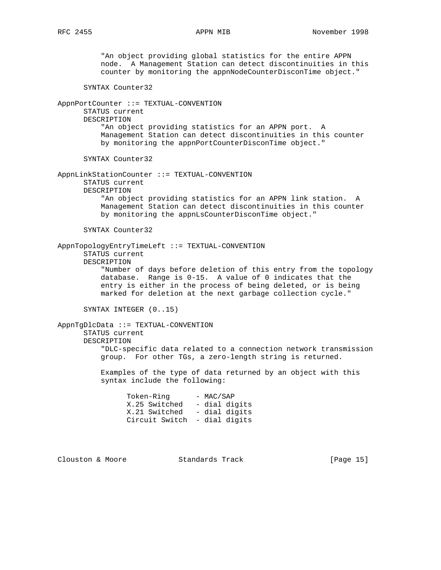"An object providing global statistics for the entire APPN node. A Management Station can detect discontinuities in this counter by monitoring the appnNodeCounterDisconTime object." SYNTAX Counter32 AppnPortCounter ::= TEXTUAL-CONVENTION STATUS current DESCRIPTION "An object providing statistics for an APPN port. A Management Station can detect discontinuities in this counter by monitoring the appnPortCounterDisconTime object." SYNTAX Counter32 AppnLinkStationCounter ::= TEXTUAL-CONVENTION STATUS current DESCRIPTION "An object providing statistics for an APPN link station. A Management Station can detect discontinuities in this counter by monitoring the appnLsCounterDisconTime object." SYNTAX Counter32 AppnTopologyEntryTimeLeft ::= TEXTUAL-CONVENTION STATUS current DESCRIPTION "Number of days before deletion of this entry from the topology database. Range is 0-15. A value of 0 indicates that the entry is either in the process of being deleted, or is being marked for deletion at the next garbage collection cycle." SYNTAX INTEGER (0..15) AppnTgDlcData ::= TEXTUAL-CONVENTION STATUS current DESCRIPTION "DLC-specific data related to a connection network transmission group. For other TGs, a zero-length string is returned. Examples of the type of data returned by an object with this syntax include the following: Token-Ring - MAC/SAP X.25 Switched - dial digits X.21 Switched - dial digits Circuit Switch - dial digits

Clouston & Moore 6 Standards Track [Page 15]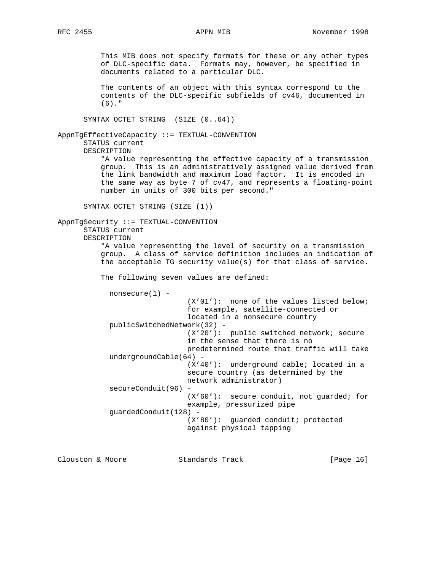This MIB does not specify formats for these or any other types of DLC-specific data. Formats may, however, be specified in documents related to a particular DLC.

 The contents of an object with this syntax correspond to the contents of the DLC-specific subfields of cv46, documented in (6)."

SYNTAX OCTET STRING (SIZE (0..64))

# AppnTgEffectiveCapacity ::= TEXTUAL-CONVENTION STATUS current DESCRIPTION

 "A value representing the effective capacity of a transmission group. This is an administratively assigned value derived from the link bandwidth and maximum load factor. It is encoded in the same way as byte 7 of cv47, and represents a floating-point number in units of 300 bits per second."

SYNTAX OCTET STRING (SIZE (1))

```
AppnTgSecurity ::= TEXTUAL-CONVENTION
       STATUS current
       DESCRIPTION
           "A value representing the level of security on a transmission
```
 group. A class of service definition includes an indication of the acceptable TG security value(s) for that class of service.

The following seven values are defined:

nonsecure(1) -

 (X'01'): none of the values listed below; for example, satellite-connected or located in a nonsecure country publicSwitchedNetwork(32) - (X'20'): public switched network; secure in the sense that there is no predetermined route that traffic will take undergroundCable(64) - (X'40'): underground cable; located in a secure country (as determined by the network administrator) secureConduit(96) - (X'60'): secure conduit, not guarded; for example, pressurized pipe guardedConduit(128) - (X'80'): guarded conduit; protected against physical tapping

Clouston & Moore Standards Track [Page 16]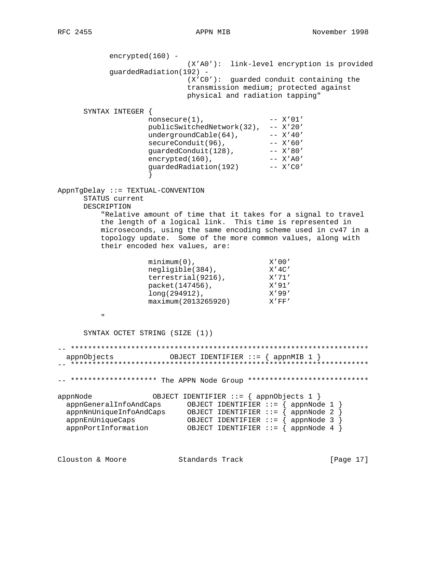encrypted(160) -(X'AO'): link-level encryption is provided guardedRadiation(192) - $(X'C0')$ : guarded conduit containing the transmission medium; protected against physical and radiation tapping" SYNTAX INTEGER {  $nonsecure(1)$ ,  $- - X' 01'$ publicSwitchedNetwork(32), -- X'20'  $undergroundCable(64)$ ,  $--- X'40'$ secureConduit(96), -- X'60'<br>guardedConduit(128), -- X'80'<br>encrypted(160), -- X'80'<br>guardedRadiation(192) -- X'CO'  $\}$ AppnTgDelay ::= TEXTUAL-CONVENTION STATUS current DESCRIPTION "Relative amount of time that it takes for a signal to travel the length of a logical link. This time is represented in microseconds, using the same encoding scheme used in cv47 in a topology update. Some of the more common values, along with their encoded hex values, are: x'00'<br>
negligible(384),<br>
terrestrial(9216),<br>
x'71'<br>
packet(147456),<br>
long(294912),<br>
maximum(201225)  $\mathbf{u}$ SYNTAX OCTET STRING (SIZE (1))  $\alpha$ ppnObjects OBJECT IDENTIFIER ::= {  $\alpha$ ppnMIB 1 } -- \*\*\*\*\*\*\*\*\*\*\*\*\*\*\*\*\*\*\* The APPN Node Group \*\*\*\*\*\*\*\*\*\*\*\*\*\*\*\*\*\*\*\*\*\*\*\*\*\*\*\* OBJECT IDENTIFIER ::= { appnObjects 1 } appnNode 

Clouston & Moore Standards Track [Page 17]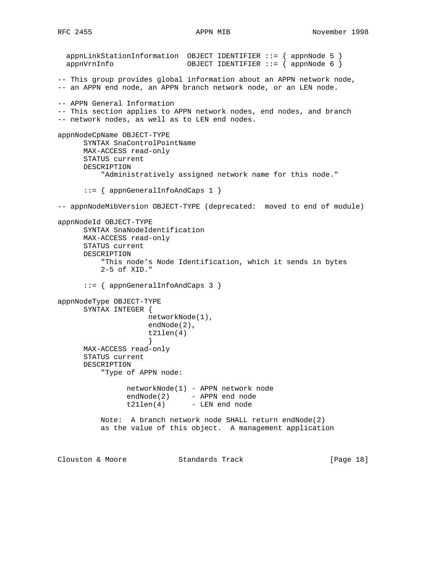```
 appnLinkStationInformation OBJECT IDENTIFIER ::= { appnNode 5 }
  appnVrnInfo OBJECT IDENTIFIER ::= { appnNode 6 }
-- This group provides global information about an APPN network node,
-- an APPN end node, an APPN branch network node, or an LEN node.
-- APPN General Information
-- This section applies to APPN network nodes, end nodes, and branch
-- network nodes, as well as to LEN end nodes.
appnNodeCpName OBJECT-TYPE
      SYNTAX SnaControlPointName
      MAX-ACCESS read-only
      STATUS current
      DESCRIPTION
          "Administratively assigned network name for this node."
      ::= { appnGeneralInfoAndCaps 1 }
-- appnNodeMibVersion OBJECT-TYPE (deprecated: moved to end of module)
appnNodeId OBJECT-TYPE
      SYNTAX SnaNodeIdentification
      MAX-ACCESS read-only
      STATUS current
      DESCRIPTION
          "This node's Node Identification, which it sends in bytes
          2-5 of XID."
      ::= { appnGeneralInfoAndCaps 3 }
appnNodeType OBJECT-TYPE
      SYNTAX INTEGER {
                    networkNode(1),
                    endNode(2),
                     t21len(4)
 }
      MAX-ACCESS read-only
      STATUS current
      DESCRIPTION
          "Type of APPN node:
                networkNode(1) - APPN network node
               endNode(2) - APPN end node
               t21len(4) - LEN end node
          Note: A branch network node SHALL return endNode(2)
          as the value of this object. A management application
Clouston & Moore Standards Track [Page 18]
```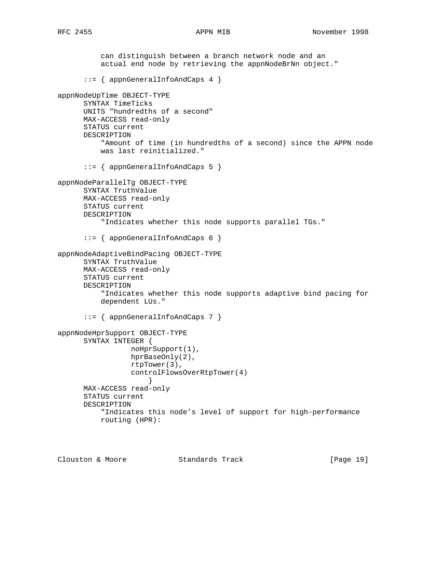can distinguish between a branch network node and an actual end node by retrieving the appnNodeBrNn object." ::= { appnGeneralInfoAndCaps 4 } appnNodeUpTime OBJECT-TYPE SYNTAX TimeTicks UNITS "hundredths of a second" MAX-ACCESS read-only STATUS current DESCRIPTION "Amount of time (in hundredths of a second) since the APPN node was last reinitialized." ::= { appnGeneralInfoAndCaps 5 } appnNodeParallelTg OBJECT-TYPE SYNTAX TruthValue MAX-ACCESS read-only STATUS current DESCRIPTION "Indicates whether this node supports parallel TGs." ::= { appnGeneralInfoAndCaps 6 } appnNodeAdaptiveBindPacing OBJECT-TYPE SYNTAX TruthValue MAX-ACCESS read-only STATUS current DESCRIPTION "Indicates whether this node supports adaptive bind pacing for dependent LUs." ::= { appnGeneralInfoAndCaps 7 } appnNodeHprSupport OBJECT-TYPE SYNTAX INTEGER { noHprSupport(1), hprBaseOnly(2), rtpTower(3), controlFlowsOverRtpTower(4) } MAX-ACCESS read-only STATUS current DESCRIPTION "Indicates this node's level of support for high-performance routing (HPR):

Clouston & Moore Standards Track [Page 19]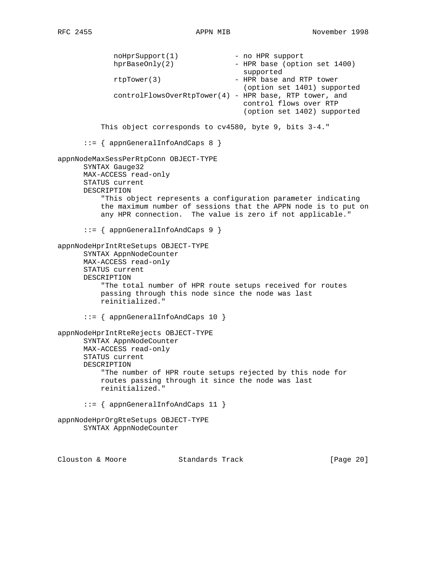noHprSupport(1) - no HPR support<br>hprBaseOnly(2) - HPR base (option - HPR base (option set 1400) supported rtpTower(3) - HPR base and RTP tower (option set 1401) supported controlFlowsOverRtpTower(4) - HPR base, RTP tower, and control flows over RTP (option set 1402) supported This object corresponds to cv4580, byte 9, bits 3-4." ::= { appnGeneralInfoAndCaps 8 } appnNodeMaxSessPerRtpConn OBJECT-TYPE SYNTAX Gauge32 MAX-ACCESS read-only STATUS current DESCRIPTION "This object represents a configuration parameter indicating the maximum number of sessions that the APPN node is to put on any HPR connection. The value is zero if not applicable." ::= { appnGeneralInfoAndCaps 9 } appnNodeHprIntRteSetups OBJECT-TYPE SYNTAX AppnNodeCounter MAX-ACCESS read-only STATUS current DESCRIPTION "The total number of HPR route setups received for routes passing through this node since the node was last reinitialized." ::= { appnGeneralInfoAndCaps 10 } appnNodeHprIntRteRejects OBJECT-TYPE SYNTAX AppnNodeCounter MAX-ACCESS read-only STATUS current DESCRIPTION "The number of HPR route setups rejected by this node for routes passing through it since the node was last reinitialized." ::= { appnGeneralInfoAndCaps 11 } appnNodeHprOrgRteSetups OBJECT-TYPE SYNTAX AppnNodeCounter Clouston & Moore Standards Track [Page 20]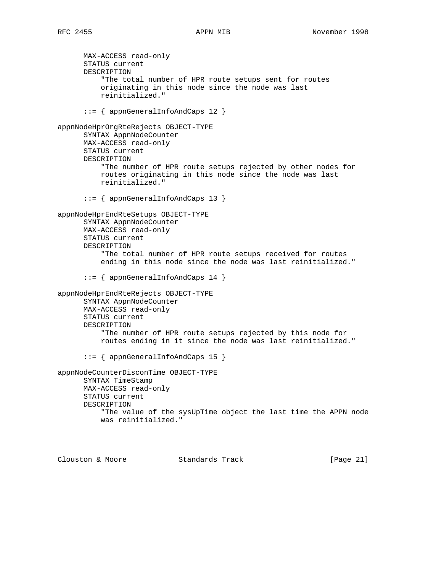MAX-ACCESS read-only STATUS current DESCRIPTION "The total number of HPR route setups sent for routes originating in this node since the node was last reinitialized." ::= { appnGeneralInfoAndCaps 12 } appnNodeHprOrgRteRejects OBJECT-TYPE SYNTAX AppnNodeCounter MAX-ACCESS read-only STATUS current DESCRIPTION "The number of HPR route setups rejected by other nodes for routes originating in this node since the node was last reinitialized." ::= { appnGeneralInfoAndCaps 13 } appnNodeHprEndRteSetups OBJECT-TYPE SYNTAX AppnNodeCounter MAX-ACCESS read-only STATUS current DESCRIPTION "The total number of HPR route setups received for routes ending in this node since the node was last reinitialized." ::= { appnGeneralInfoAndCaps 14 } appnNodeHprEndRteRejects OBJECT-TYPE SYNTAX AppnNodeCounter MAX-ACCESS read-only STATUS current DESCRIPTION "The number of HPR route setups rejected by this node for routes ending in it since the node was last reinitialized." ::= { appnGeneralInfoAndCaps 15 } appnNodeCounterDisconTime OBJECT-TYPE SYNTAX TimeStamp MAX-ACCESS read-only STATUS current DESCRIPTION "The value of the sysUpTime object the last time the APPN node was reinitialized."

Clouston & Moore 6 Standards Track [Page 21]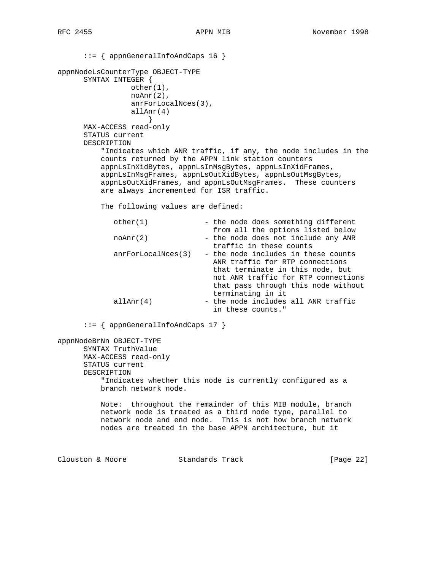::= { appnGeneralInfoAndCaps 16 } appnNodeLsCounterType OBJECT-TYPE SYNTAX INTEGER { other(1), noAnr(2), anrForLocalNces(3), allAnr(4) } MAX-ACCESS read-only STATUS current DESCRIPTION "Indicates which ANR traffic, if any, the node includes in the counts returned by the APPN link station counters appnLsInXidBytes, appnLsInMsgBytes, appnLsInXidFrames, appnLsInMsgFrames, appnLsOutXidBytes, appnLsOutMsgBytes, appnLsOutXidFrames, and appnLsOutMsgFrames. These counters are always incremented for ISR traffic. The following values are defined: other(1) - the node does something different from all the options listed below  $noAnr(2)$  - the node does not include any ANR traffic in these counts  $anrForLocalNces(3)$  - the node includes in these counts ANR traffic for RTP connections that terminate in this node, but not ANR traffic for RTP connections that pass through this node without terminating in it  $allAnr(4)$  - the node includes all ANR traffic in these counts." ::= { appnGeneralInfoAndCaps 17 } appnNodeBrNn OBJECT-TYPE SYNTAX TruthValue MAX-ACCESS read-only STATUS current DESCRIPTION "Indicates whether this node is currently configured as a branch network node. Note: throughout the remainder of this MIB module, branch network node is treated as a third node type, parallel to network node and end node. This is not how branch network nodes are treated in the base APPN architecture, but it Clouston & Moore Standards Track [Page 22]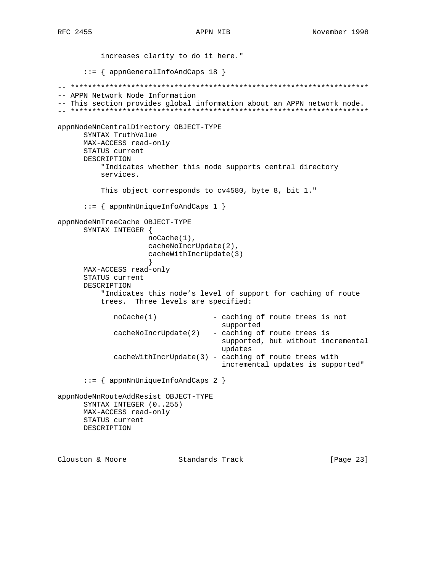```
increases clarity to do it here."
     ::= { appnGeneralInfoAndCaps 18 }
-- APPN Network Node Information
-- This section provides global information about an APPN network node.
appnNodeNnCentralDirectory OBJECT-TYPE
     SYNTAX TruthValue
     MAX-ACCESS read-only
     STATUS current
     DESCRIPTION
        "Indicates whether this node supports central directory
        services.
        This object corresponds to cv4580, byte 8, bit 1."
     ::= { appnNnUniqueInfoAndCaps 1 }
appnNodeNnTreeCache OBJECT-TYPE
     SYNTAX INTEGER {
                  noCache(1),
                  cacheNoIncrUpdate(2),
                  cacheWithIncrUpdate(3)
                  \}MAX-ACCESS read-only
     STATUS current
     DESCRIPTION
        "Indicates this node's level of support for caching of route
        trees. Three levels are specified:
           nocache(1)- caching of route trees is not
                                 supported
           cacheNoIncrUpdate(2)
                               - caching of route trees is
                                 supported, but without incremental
                                 updates
           cacheWithIncrUpdate(3) - caching of route trees with
                                 incremental updates is supported"
     ::= { appnNnUniqueInfoAndCaps 2 }
appnNodeNnRouteAddResist OBJECT-TYPE
     SYNTAX INTEGER (0..255)
     MAX-ACCESS read-only
     STATUS current
     DESCRIPTION
Clouston & Moore Standards Track
                                                       [Page 23]
```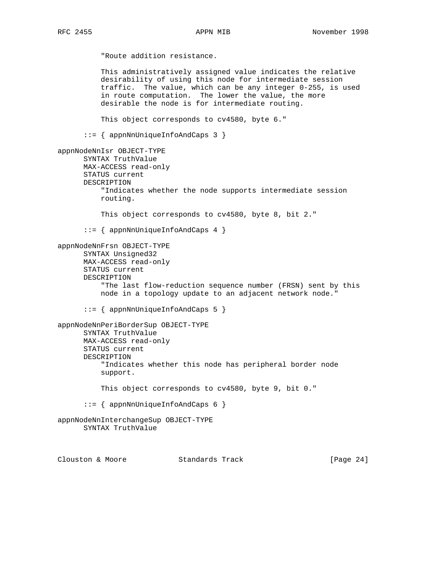"Route addition resistance. This administratively assigned value indicates the relative desirability of using this node for intermediate session traffic. The value, which can be any integer 0-255, is used in route computation. The lower the value, the more desirable the node is for intermediate routing. This object corresponds to cv4580, byte 6." ::= { appnNnUniqueInfoAndCaps 3 } appnNodeNnIsr OBJECT-TYPE SYNTAX TruthValue MAX-ACCESS read-only STATUS current DESCRIPTION "Indicates whether the node supports intermediate session routing. This object corresponds to cv4580, byte 8, bit 2." ::= { appnNnUniqueInfoAndCaps 4 } appnNodeNnFrsn OBJECT-TYPE SYNTAX Unsigned32 MAX-ACCESS read-only STATUS current DESCRIPTION "The last flow-reduction sequence number (FRSN) sent by this node in a topology update to an adjacent network node." ::= { appnNnUniqueInfoAndCaps 5 } appnNodeNnPeriBorderSup OBJECT-TYPE SYNTAX TruthValue MAX-ACCESS read-only STATUS current DESCRIPTION "Indicates whether this node has peripheral border node support. This object corresponds to cv4580, byte 9, bit 0." ::= { appnNnUniqueInfoAndCaps 6 } appnNodeNnInterchangeSup OBJECT-TYPE SYNTAX TruthValue

Clouston & Moore Standards Track [Page 24]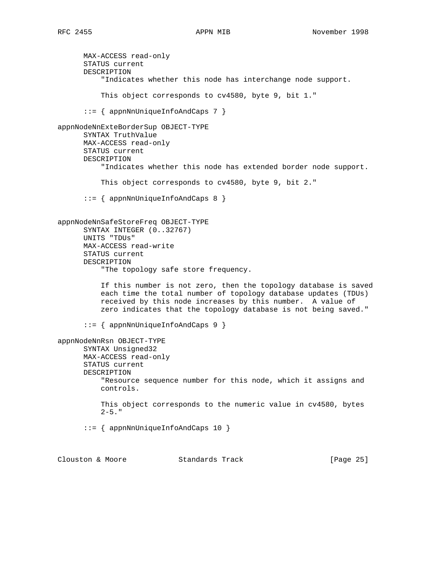MAX-ACCESS read-only STATUS current DESCRIPTION "Indicates whether this node has interchange node support. This object corresponds to cv4580, byte 9, bit 1." ::= { appnNnUniqueInfoAndCaps 7 } appnNodeNnExteBorderSup OBJECT-TYPE SYNTAX TruthValue MAX-ACCESS read-only STATUS current DESCRIPTION "Indicates whether this node has extended border node support. This object corresponds to cv4580, byte 9, bit 2." ::= { appnNnUniqueInfoAndCaps 8 } appnNodeNnSafeStoreFreq OBJECT-TYPE SYNTAX INTEGER (0..32767) UNITS "TDUs" MAX-ACCESS read-write STATUS current DESCRIPTION "The topology safe store frequency. If this number is not zero, then the topology database is saved each time the total number of topology database updates (TDUs) received by this node increases by this number. A value of zero indicates that the topology database is not being saved." ::= { appnNnUniqueInfoAndCaps 9 } appnNodeNnRsn OBJECT-TYPE SYNTAX Unsigned32 MAX-ACCESS read-only STATUS current DESCRIPTION "Resource sequence number for this node, which it assigns and controls. This object corresponds to the numeric value in cv4580, bytes  $2-5.$  " ::= { appnNnUniqueInfoAndCaps 10 }

Clouston & Moore Standards Track [Page 25]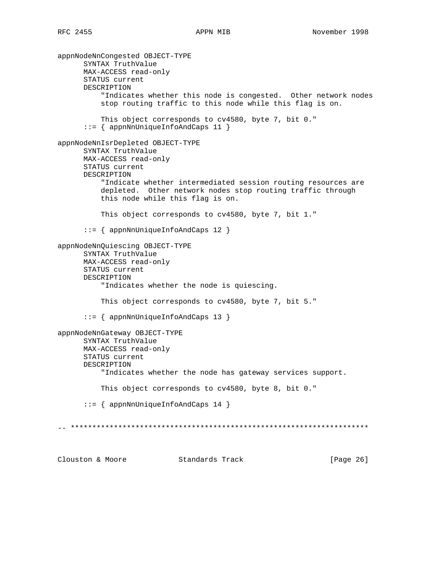appnNodeNnCongested OBJECT-TYPE SYNTAX TruthValue MAX-ACCESS read-only STATUS current DESCRIPTION "Indicates whether this node is congested. Other network nodes stop routing traffic to this node while this flag is on. This object corresponds to cv4580, byte 7, bit 0."  $::=$  { appnNnUniqueInfoAndCaps 11 } appnNodeNnIsrDepleted OBJECT-TYPE SYNTAX TruthValue MAX-ACCESS read-only STATUS current DESCRIPTION "Indicate whether intermediated session routing resources are depleted. Other network nodes stop routing traffic through this node while this flag is on. This object corresponds to cv4580, byte 7, bit 1."  $::=$  { appnNnUniqueInfoAndCaps 12 } appnNodeNnQuiescing OBJECT-TYPE SYNTAX TruthValue MAX-ACCESS read-only STATUS current DESCRIPTION "Indicates whether the node is quiescing. This object corresponds to cv4580, byte 7, bit 5."  $::=$  { appnNnUniqueInfoAndCaps 13 } appnNodeNnGateway OBJECT-TYPE SYNTAX TruthValue MAX-ACCESS read-only STATUS current DESCRIPTION "Indicates whether the node has gateway services support. This object corresponds to cv4580, byte 8, bit 0."  $::=$  { appnNnUniqueInfoAndCaps 14 } Clouston & Moore Standards Track [Page 26]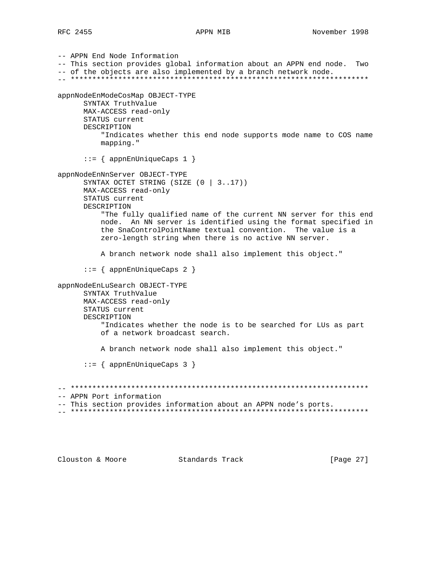```
-- APPN End Node Information
-- This section provides global information about an APPN end node. Two
-- of the objects are also implemented by a branch network node.
appnNodeEnModeCosMap OBJECT-TYPE
     SYNTAX TruthValue
     MAX-ACCESS read-only
    STATUS current
     DESCRIPTION
        "Indicates whether this end node supports mode name to COS name
        mapping."
     ::= { appnEnUniqueCaps 1 }
appnNodeEnNnServer OBJECT-TYPE
     SYNTAX OCTET STRING (SIZE (0 | 3..17))MAX-ACCESS read-only
     STATUS current
     DESCRIPTION
        "The fully qualified name of the current NN server for this end
        node. An NN server is identified using the format specified in
        the SnaControlPointName textual convention. The value is a
        zero-length string when there is no active NN server.
        A branch network node shall also implement this object."
     ::= { appnEnUniqueCaps 2 }
appnNodeEnLuSearch OBJECT-TYPE
     SYNTAX TruthValue
     MAX-ACCESS read-only
     STATUS current
     DESCRIPTION
        "Indicates whether the node is to be searched for LUs as part
        of a network broadcast search.
        A branch network node shall also implement this object."
      ::= \{ appnEnUniqueCaps 3 \}-- APPN Port information
-- This section provides information about an APPN node's ports.
```
Clouston & Moore Standards Track

[Page 27]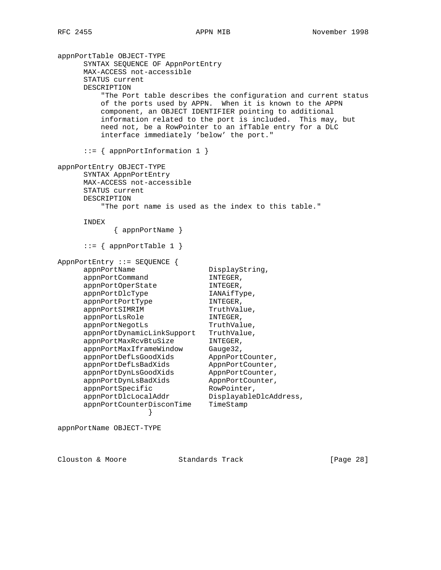appnPortTable OBJECT-TYPE SYNTAX SEQUENCE OF AppnPortEntry MAX-ACCESS not-accessible STATUS current DESCRIPTION "The Port table describes the configuration and current status of the ports used by APPN. When it is known to the APPN component, an OBJECT IDENTIFIER pointing to additional information related to the port is included. This may, but need not, be a RowPointer to an ifTable entry for a DLC interface immediately 'below' the port." ::= { appnPortInformation 1 } appnPortEntry OBJECT-TYPE SYNTAX AppnPortEntry MAX-ACCESS not-accessible STATUS current DESCRIPTION "The port name is used as the index to this table." INDEX { appnPortName } ::= { appnPortTable 1 } AppnPortEntry ::= SEQUENCE { appnPortName DisplayString,<br>appnPortCommand INTEGER, appnPortCommand INTEGER,<br>appnPortOperState INTEGER, appnPortOperState appnPortDlcType IANAifType, appnPortPortType INTEGER, appnPortSIMRIM TruthValue, appnPortLsRole INTEGER, appnPortNegotLs TruthValue, appnPortDynamicLinkSupport TruthValue, appnPortMaxRcvBtuSize INTEGER, appnPortMaxIframeWindow Gauge32, appnPortDefLsGoodXids AppnPortCounter, appnPortDefLsBadXids AppnPortCounter, appnPortDynLsGoodXids AppnPortCounter, appnPortDynLsBadXids AppnPortCounter, appnPortSpecific RowPointer, appnPortDlcLocalAddr DisplayableDlcAddress, appnPortCounterDisconTime TimeStamp }

appnPortName OBJECT-TYPE

Clouston & Moore 6 Standards Track [Page 28]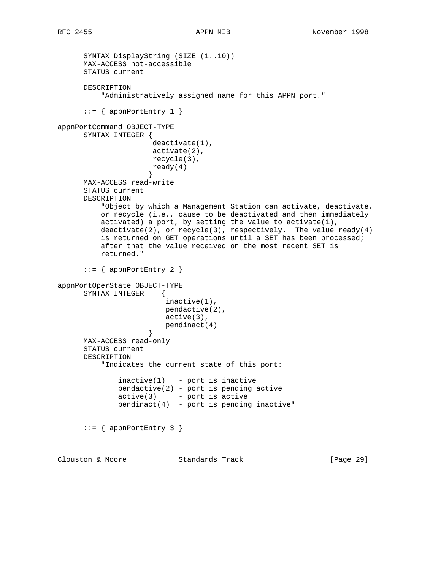```
 SYNTAX DisplayString (SIZE (1..10))
      MAX-ACCESS not-accessible
      STATUS current
      DESCRIPTION
          "Administratively assigned name for this APPN port."
     ::= { appnPortEntry 1 }
appnPortCommand OBJECT-TYPE
      SYNTAX INTEGER {
                      deactivate(1),
                      activate(2),
                      recycle(3),
                      ready(4)
 }
      MAX-ACCESS read-write
      STATUS current
      DESCRIPTION
          "Object by which a Management Station can activate, deactivate,
          or recycle (i.e., cause to be deactivated and then immediately
          activated) a port, by setting the value to activate(1),
         deactivate(2), or recycle(3), respectively. The value ready(4)
          is returned on GET operations until a SET has been processed;
          after that the value received on the most recent SET is
          returned."
      ::= { appnPortEntry 2 }
appnPortOperState OBJECT-TYPE
      SYNTAX INTEGER {
                         inactive(1),
                         pendactive(2),
                         active(3),
                    pendinact(4)<br>}
 }
      MAX-ACCESS read-only
      STATUS current
      DESCRIPTION
          "Indicates the current state of this port:
             inactive(1) - port is inactive
              pendactive(2) - port is pending active
             active(3) - port is active
             pendinact(4) - port is pending inactive"
     ::= { appnPortEntry 3 }
Clouston & Moore Standards Track [Page 29]
```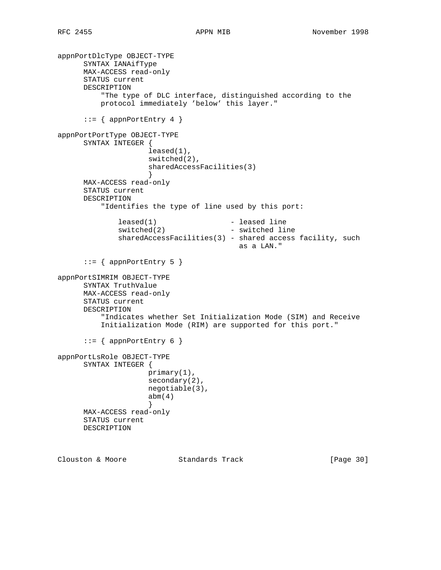```
appnPortDlcType OBJECT-TYPE
      SYNTAX IANAifType
      MAX-ACCESS read-only
      STATUS current
      DESCRIPTION
          "The type of DLC interface, distinguished according to the
          protocol immediately 'below' this layer."
     ::= { appnPortEntry 4 }
appnPortPortType OBJECT-TYPE
      SYNTAX INTEGER {
                     leased(1),
                     switched(2),
                     sharedAccessFacilities(3)
 }
      MAX-ACCESS read-only
      STATUS current
      DESCRIPTION
          "Identifies the type of line used by this port:
             leased(1) - leased line
             switched(2) - switched line
             sharedAccessFacilities(3) - shared access facility, such
                                         as a LAN."
     ::= { appnPortEntry 5 }
appnPortSIMRIM OBJECT-TYPE
      SYNTAX TruthValue
      MAX-ACCESS read-only
      STATUS current
      DESCRIPTION
          "Indicates whether Set Initialization Mode (SIM) and Receive
          Initialization Mode (RIM) are supported for this port."
      ::= { appnPortEntry 6 }
appnPortLsRole OBJECT-TYPE
      SYNTAX INTEGER {
                     primary(1),
                     secondary(2),
                     negotiable(3),
                    abm(4) }
      MAX-ACCESS read-only
      STATUS current
      DESCRIPTION
```
Clouston & Moore Standards Track [Page 30]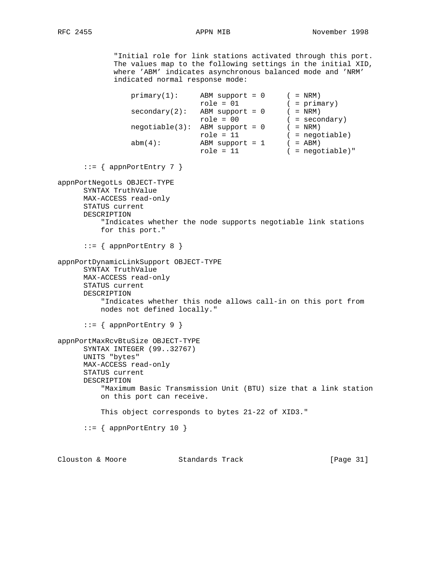"Initial role for link stations activated through this port. The values map to the following settings in the initial XID, where 'ABM' indicates asynchronous balanced mode and 'NRM' indicated normal response mode:

```
primary(1): ABM support = 0 ( = NRM)
                              role = 01 ( = primary)
               secondary(2): ABM support = 0 (= NRM)
                             role = 00 ( = secondary)
 negotiable(3): ABM support = 0 ( = NRM)
 role = 11 ( = negotiable)
abm(4): ABM support = 1 ( = ABM)
 role = 11 ( = negotiable)"
     ::= { appnPortEntry 7 }
appnPortNegotLs OBJECT-TYPE
      SYNTAX TruthValue
      MAX-ACCESS read-only
      STATUS current
      DESCRIPTION
         "Indicates whether the node supports negotiable link stations
         for this port."
      ::= { appnPortEntry 8 }
appnPortDynamicLinkSupport OBJECT-TYPE
      SYNTAX TruthValue
      MAX-ACCESS read-only
      STATUS current
      DESCRIPTION
          "Indicates whether this node allows call-in on this port from
         nodes not defined locally."
      ::= { appnPortEntry 9 }
appnPortMaxRcvBtuSize OBJECT-TYPE
      SYNTAX INTEGER (99..32767)
      UNITS "bytes"
      MAX-ACCESS read-only
      STATUS current
      DESCRIPTION
         "Maximum Basic Transmission Unit (BTU) size that a link station
         on this port can receive.
         This object corresponds to bytes 21-22 of XID3."
     ::= { appnPortEntry 10 }
```
Clouston & Moore Standards Track [Page 31]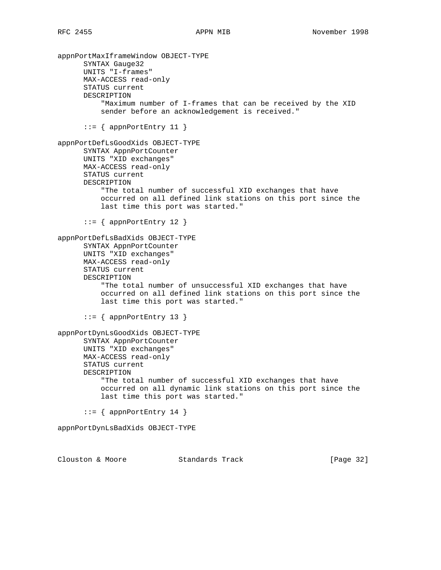appnPortMaxIframeWindow OBJECT-TYPE SYNTAX Gauge32 UNITS "I-frames" MAX-ACCESS read-only STATUS current DESCRIPTION "Maximum number of I-frames that can be received by the XID sender before an acknowledgement is received."  $::=$  { appnPortEntry 11 } appnPortDefLsGoodXids OBJECT-TYPE SYNTAX AppnPortCounter UNITS "XID exchanges" MAX-ACCESS read-only STATUS current DESCRIPTION "The total number of successful XID exchanges that have occurred on all defined link stations on this port since the last time this port was started."  $::=$  { appnPortEntry 12 } appnPortDefLsBadXids OBJECT-TYPE SYNTAX AppnPortCounter UNITS "XID exchanges" MAX-ACCESS read-only STATUS current DESCRIPTION "The total number of unsuccessful XID exchanges that have occurred on all defined link stations on this port since the last time this port was started."  $::=$  { appnPortEntry 13 } appnPortDynLsGoodXids OBJECT-TYPE SYNTAX AppnPortCounter UNITS "XID exchanges" MAX-ACCESS read-only STATUS current DESCRIPTION "The total number of successful XID exchanges that have occurred on all dynamic link stations on this port since the last time this port was started." ::= { appnPortEntry 14 } appnPortDynLsBadXids OBJECT-TYPE Clouston & Moore Standards Track [Page 32]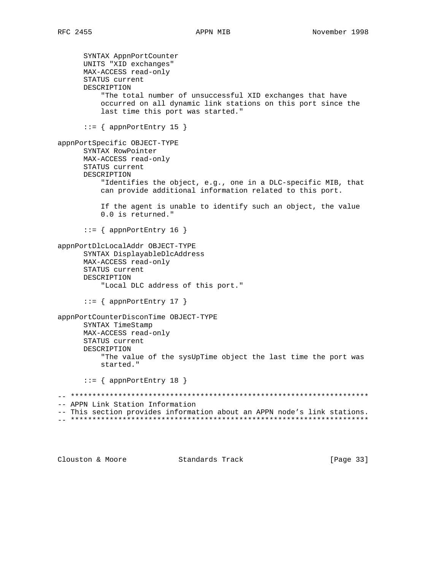SYNTAX AppnPortCounter UNITS "XID exchanges" MAX-ACCESS read-only STATUS current DESCRIPTION "The total number of unsuccessful XID exchanges that have occurred on all dynamic link stations on this port since the last time this port was started."  $::=$  { appnPortEntry 15 } appnPortSpecific OBJECT-TYPE SYNTAX RowPointer MAX-ACCESS read-only STATUS current DESCRIPTION "Identifies the object, e.g., one in a DLC-specific MIB, that can provide additional information related to this port. If the agent is unable to identify such an object, the value 0.0 is returned."  $::=$  { appnPortEntry 16 } appnPortDlcLocalAddr OBJECT-TYPE SYNTAX DisplayableDlcAddress MAX-ACCESS read-only STATUS current DESCRIPTION "Local DLC address of this port."  $::= \{$  appnPortEntry 17 } appnPortCounterDisconTime OBJECT-TYPE SYNTAX TimeStamp MAX-ACCESS read-only STATUS current DESCRIPTION "The value of the sysUpTime object the last time the port was started."  $::=$  { appnPortEntry 18 } -- APPN Link Station Information -- This section provides information about an APPN node's link stations. 

Clouston & Moore Standards Track [Page 33]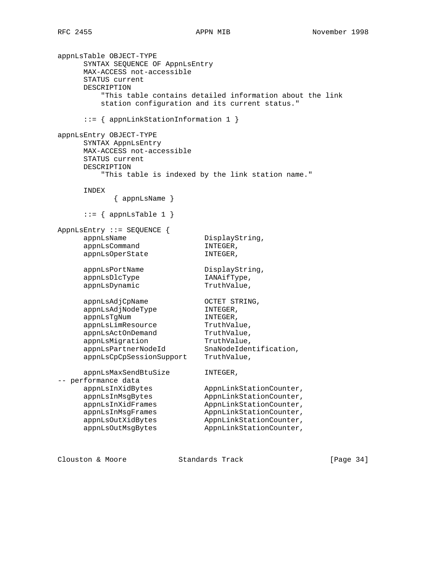```
appnLsTable OBJECT-TYPE
     SYNTAX SEQUENCE OF AppnLsEntry
     MAX-ACCESS not-accessible
     STATUS current
     DESCRIPTION
         "This table contains detailed information about the link
         station configuration and its current status."
      ::= { appnLinkStationInformation 1 }
appnLsEntry OBJECT-TYPE
     SYNTAX AppnLsEntry
     MAX-ACCESS not-accessible
     STATUS current
     DESCRIPTION
         "This table is indexed by the link station name."
     INDEX
           { appnLsName }
     ::= { appnLsTable 1 }
AppnLsEntry ::= SEQUENCE {
    appnLsName DisplayString,
    appnLsCommand INTEGER,
    appnLsOperState INTEGER,
    appnLsPortName DisplayString,
    appnLsDlcType IANAifType,
    appnLsDynamic TruthValue,
appnLsAdjCpName OCTET STRING,
 appnLsAdjNodeType INTEGER,
appnLsTgNum INTEGER,
appnLsLimResource TruthValue,
appnLsActOnDemand TruthValue,
appnLsMigration TruthValue,
 appnLsPartnerNodeId SnaNodeIdentification,
 appnLsCpCpSessionSupport TruthValue,
     appnLsMaxSendBtuSize INTEGER,
-- performance data
appnLsInXidBytes AppnLinkStationCounter,
appnLsInMsgBytes AppnLinkStationCounter,
 appnLsInXidFrames AppnLinkStationCounter,
 appnLsInMsgFrames AppnLinkStationCounter,
    appnLsOutXidBytes AppnLinkStationCounter,
    appnLsOutMsgBytes AppnLinkStationCounter,
```
Clouston & Moore Standards Track [Page 34]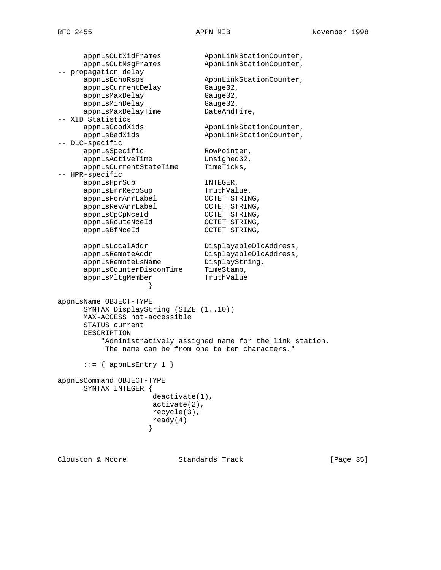appnLsOutXidFrames AppnLinkStationCounter, appnLsOutMsgFrames AppnLinkStationCounter, -- propagation delay<br>appnLsEchoRsps AppnLinkStationCounter,<br>Gauge32,<br>Gauge32, appnLsCurrentDelay appnLsMaxDelay<br>32.1 appnLsMinDelay Gauge32, appnLsMaxDelayTime DateAndTime, -- XID Statistics appnLsGoodXids AppnLinkStationCounter, appnLsBadXids AppnLinkStationCounter, -- DLC-specific appnLsSpecific RowPointer, appnLsActiveTime Unsigned32, appnLsCurrentStateTime TimeTicks, -- HPR-specific appnLsHprSup 1NTEGER, appnLsErrRecoSup TruthValue, appnLsForAnrLabel OCTET STRING, appnLsRevAnrLabel OCTET STRING, appnLsCpCpNceId OCTET STRING, appnLsRouteNceId OCTET STRING, appnLsBfNceId OCTET STRING, appnLsLocalAddr DisplayableDlcAddress, appnLsRemoteAddr DisplayableDlcAddress, appnLsRemoteLsName DisplayString, appnLsCounterDisconTime TimeStamp, appnLsMltgMember TruthValue } appnLsName OBJECT-TYPE SYNTAX DisplayString (SIZE (1..10)) MAX-ACCESS not-accessible STATUS current DESCRIPTION "Administratively assigned name for the link station. The name can be from one to ten characters."  $::=$  { appnLsEntry 1 } appnLsCommand OBJECT-TYPE SYNTAX INTEGER { deactivate(1), activate(2), recycle(3),  $\text{ready(4)}$ }

Clouston & Moore Standards Track [Page 35]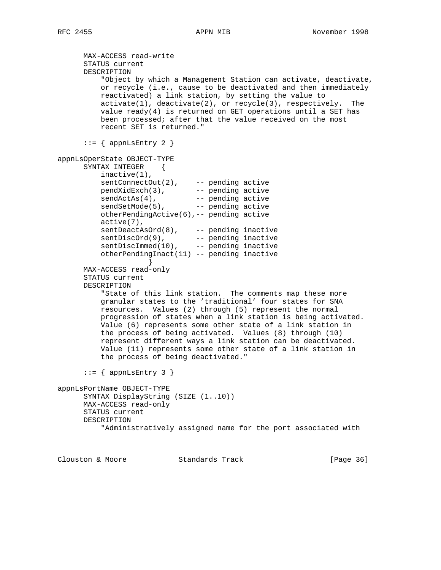```
 MAX-ACCESS read-write
      STATUS current
      DESCRIPTION
          "Object by which a Management Station can activate, deactivate,
          or recycle (i.e., cause to be deactivated and then immediately
          reactivated) a link station, by setting the value to
          activate(1), deactivate(2), or recycle(3), respectively. The
         value ready(4) is returned on GET operations until a SET has
          been processed; after that the value received on the most
          recent SET is returned."
     ::= { appnLsEntry 2 }
appnLsOperState OBJECT-TYPE
     SYNTAX INTEGER {
          inactive(1),
sentConnectOut(2), -- pending active
 pendXidExch(3), -- pending active
sendActAs(4), The needing active
sendSetMode(5), -- pending active
          otherPendingActive(6),-- pending active
          active(7),
 sentDeactAsOrd(8), -- pending inactive
 sentDiscOrd(9), -- pending inactive
sentDiscImmed(10), -- pending inactive
          otherPendingInact(11) -- pending inactive
 }
      MAX-ACCESS read-only
      STATUS current
      DESCRIPTION
          "State of this link station. The comments map these more
          granular states to the 'traditional' four states for SNA
          resources. Values (2) through (5) represent the normal
          progression of states when a link station is being activated.
          Value (6) represents some other state of a link station in
          the process of being activated. Values (8) through (10)
          represent different ways a link station can be deactivated.
          Value (11) represents some other state of a link station in
          the process of being deactivated."
     ::= { appnLsEntry 3 }
appnLsPortName OBJECT-TYPE
      SYNTAX DisplayString (SIZE (1..10))
      MAX-ACCESS read-only
      STATUS current
      DESCRIPTION
          "Administratively assigned name for the port associated with
```
Clouston & Moore Standards Track [Page 36]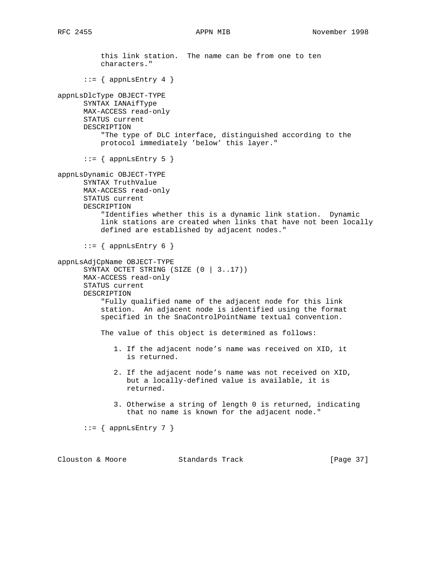```
 this link station. The name can be from one to ten
           characters."
      ::= { appnLsEntry 4 }
appnLsDlcType OBJECT-TYPE
       SYNTAX IANAifType
      MAX-ACCESS read-only
       STATUS current
       DESCRIPTION
           "The type of DLC interface, distinguished according to the
           protocol immediately 'below' this layer."
       ::= { appnLsEntry 5 }
appnLsDynamic OBJECT-TYPE
       SYNTAX TruthValue
      MAX-ACCESS read-only
       STATUS current
       DESCRIPTION
           "Identifies whether this is a dynamic link station. Dynamic
           link stations are created when links that have not been locally
           defined are established by adjacent nodes."
      ::= { appnLsEntry 6 }
appnLsAdjCpName OBJECT-TYPE
       SYNTAX OCTET STRING (SIZE (0 | 3..17))
      MAX-ACCESS read-only
       STATUS current
       DESCRIPTION
           "Fully qualified name of the adjacent node for this link
           station. An adjacent node is identified using the format
           specified in the SnaControlPointName textual convention.
           The value of this object is determined as follows:
              1. If the adjacent node's name was received on XID, it
                 is returned.
              2. If the adjacent node's name was not received on XID,
                 but a locally-defined value is available, it is
                 returned.
              3. Otherwise a string of length 0 is returned, indicating
                 that no name is known for the adjacent node."
      ::= { appnLsEntry 7 }
```
Clouston & Moore Standards Track [Page 37]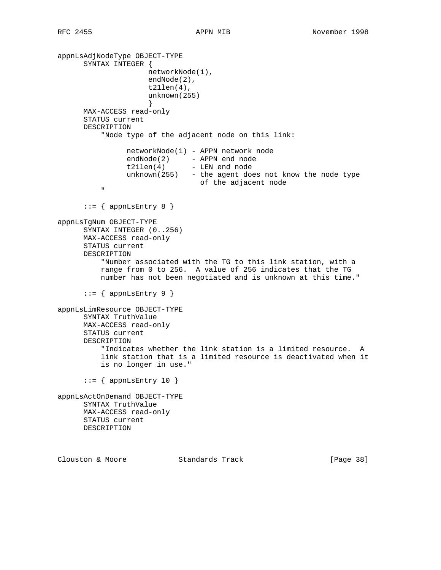```
appnLsAdjNodeType OBJECT-TYPE
       SYNTAX INTEGER {
                        networkNode(1),
                        endNode(2),
                        t21len(4),
                        unknown(255)
 }
       MAX-ACCESS read-only
       STATUS current
       DESCRIPTION
            "Node type of the adjacent node on this link:
                  networkNode(1) - APPN network node
endNode(2) - APPN end node
 t21len(4) - LEN end node
                  unknown(255) - the agent does not know the node type
            of the adjacent node
" "The Contract of the Contract of the Contract of the Contract of the Contract of the Contract of the Contract of the Contract of the Contract of the Contract of the Contract of the Contract of the Contract of the Contrac
      ::= { appnLsEntry 8 }
appnLsTgNum OBJECT-TYPE
       SYNTAX INTEGER (0..256)
       MAX-ACCESS read-only
       STATUS current
       DESCRIPTION
            "Number associated with the TG to this link station, with a
            range from 0 to 256. A value of 256 indicates that the TG
           number has not been negotiated and is unknown at this time."
      ::= { appnLsEntry 9 }
appnLsLimResource OBJECT-TYPE
       SYNTAX TruthValue
       MAX-ACCESS read-only
       STATUS current
       DESCRIPTION
            "Indicates whether the link station is a limited resource. A
            link station that is a limited resource is deactivated when it
            is no longer in use."
      ::= { appnLsEntry 10 }
appnLsActOnDemand OBJECT-TYPE
       SYNTAX TruthValue
       MAX-ACCESS read-only
       STATUS current
       DESCRIPTION
Clouston & Moore Standards Track [Page 38]
```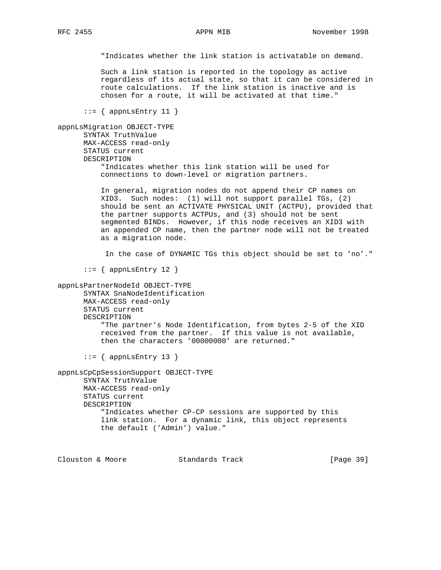"Indicates whether the link station is activatable on demand.

 Such a link station is reported in the topology as active regardless of its actual state, so that it can be considered in route calculations. If the link station is inactive and is chosen for a route, it will be activated at that time."

```
::= { appnLsEntry 11 }
```

```
appnLsMigration OBJECT-TYPE
       SYNTAX TruthValue
       MAX-ACCESS read-only
       STATUS current
       DESCRIPTION
           "Indicates whether this link station will be used for
           connections to down-level or migration partners.
```
 In general, migration nodes do not append their CP names on XID3. Such nodes: (1) will not support parallel TGs, (2) should be sent an ACTIVATE PHYSICAL UNIT (ACTPU), provided that the partner supports ACTPUs, and (3) should not be sent segmented BINDs. However, if this node receives an XID3 with an appended CP name, then the partner node will not be treated as a migration node.

In the case of DYNAMIC TGs this object should be set to 'no'."

 $::=$  { appnLsEntry 12 }

appnLsPartnerNodeId OBJECT-TYPE SYNTAX SnaNodeIdentification MAX-ACCESS read-only STATUS current DESCRIPTION "The partner's Node Identification, from bytes 2-5 of the XID received from the partner. If this value is not available, then the characters '00000000' are returned."  $::=$  { appnLsEntry 13 }

appnLsCpCpSessionSupport OBJECT-TYPE SYNTAX TruthValue MAX-ACCESS read-only STATUS current DESCRIPTION "Indicates whether CP-CP sessions are supported by this link station. For a dynamic link, this object represents the default ('Admin') value."

Clouston & Moore Standards Track [Page 39]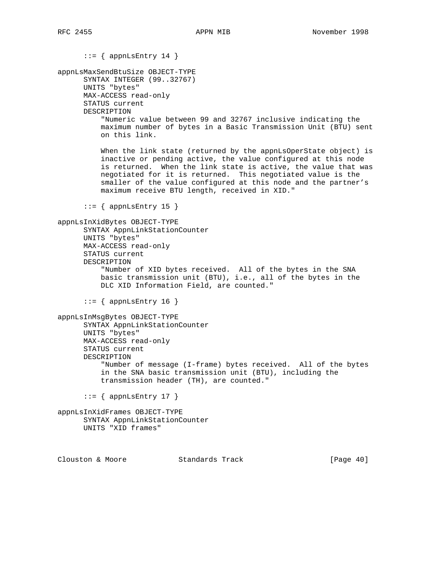```
::= { appnLsEntry 14 }
appnLsMaxSendBtuSize OBJECT-TYPE
       SYNTAX INTEGER (99..32767)
      UNITS "bytes"
      MAX-ACCESS read-only
      STATUS current
      DESCRIPTION
           "Numeric value between 99 and 32767 inclusive indicating the
           maximum number of bytes in a Basic Transmission Unit (BTU) sent
           on this link.
         When the link state (returned by the appnLsOperState object) is
           inactive or pending active, the value configured at this node
           is returned. When the link state is active, the value that was
           negotiated for it is returned. This negotiated value is the
           smaller of the value configured at this node and the partner's
           maximum receive BTU length, received in XID."
       ::= { appnLsEntry 15 }
appnLsInXidBytes OBJECT-TYPE
      SYNTAX AppnLinkStationCounter
      UNITS "bytes"
      MAX-ACCESS read-only
      STATUS current
      DESCRIPTION
           "Number of XID bytes received. All of the bytes in the SNA
           basic transmission unit (BTU), i.e., all of the bytes in the
           DLC XID Information Field, are counted."
      ::= { appnLsEntry 16 }
appnLsInMsgBytes OBJECT-TYPE
      SYNTAX AppnLinkStationCounter
      UNITS "bytes"
      MAX-ACCESS read-only
      STATUS current
      DESCRIPTION
           "Number of message (I-frame) bytes received. All of the bytes
           in the SNA basic transmission unit (BTU), including the
           transmission header (TH), are counted."
      ::= { appnLsEntry 17 }
appnLsInXidFrames OBJECT-TYPE
      SYNTAX AppnLinkStationCounter
      UNITS "XID frames"
Clouston & Moore Standards Track [Page 40]
```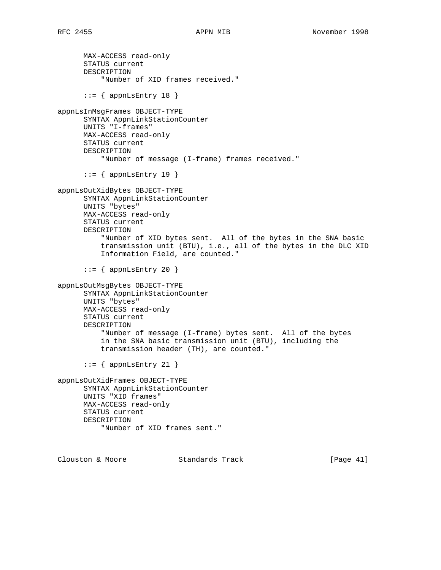MAX-ACCESS read-only STATUS current DESCRIPTION "Number of XID frames received."  $::=$  { appnLsEntry 18 } appnLsInMsgFrames OBJECT-TYPE SYNTAX AppnLinkStationCounter UNITS "I-frames" MAX-ACCESS read-only STATUS current DESCRIPTION "Number of message (I-frame) frames received."  $::=$  { appnLsEntry 19 } appnLsOutXidBytes OBJECT-TYPE SYNTAX AppnLinkStationCounter UNITS "bytes" MAX-ACCESS read-only STATUS current DESCRIPTION "Number of XID bytes sent. All of the bytes in the SNA basic transmission unit (BTU), i.e., all of the bytes in the DLC XID Information Field, are counted."  $::=$  { appnLsEntry 20 } appnLsOutMsgBytes OBJECT-TYPE SYNTAX AppnLinkStationCounter UNITS "bytes" MAX-ACCESS read-only STATUS current DESCRIPTION "Number of message (I-frame) bytes sent. All of the bytes in the SNA basic transmission unit (BTU), including the transmission header (TH), are counted."  $::=$  { appnLsEntry 21 } appnLsOutXidFrames OBJECT-TYPE SYNTAX AppnLinkStationCounter UNITS "XID frames" MAX-ACCESS read-only STATUS current DESCRIPTION "Number of XID frames sent."

Clouston & Moore 6 Standards Track [Page 41]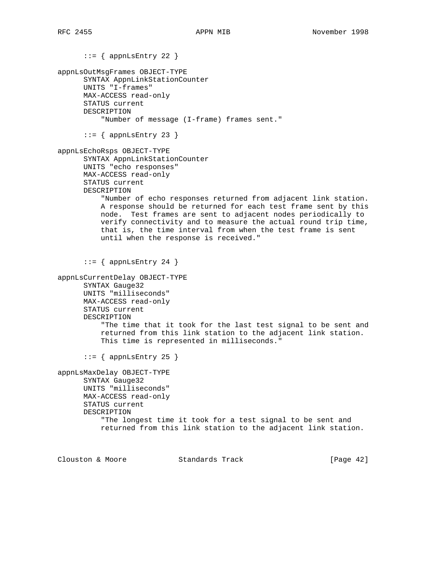```
::= { appnLsEntry 22 }
appnLsOutMsgFrames OBJECT-TYPE
       SYNTAX AppnLinkStationCounter
       UNITS "I-frames"
      MAX-ACCESS read-only
       STATUS current
      DESCRIPTION
           "Number of message (I-frame) frames sent."
      ::= { appnLsEntry 23 }
appnLsEchoRsps OBJECT-TYPE
       SYNTAX AppnLinkStationCounter
       UNITS "echo responses"
      MAX-ACCESS read-only
       STATUS current
       DESCRIPTION
           "Number of echo responses returned from adjacent link station.
           A response should be returned for each test frame sent by this
           node. Test frames are sent to adjacent nodes periodically to
           verify connectivity and to measure the actual round trip time,
           that is, the time interval from when the test frame is sent
           until when the response is received."
      ::= { appnLsEntry 24 }
appnLsCurrentDelay OBJECT-TYPE
      SYNTAX Gauge32
      UNITS "milliseconds"
      MAX-ACCESS read-only
      STATUS current
       DESCRIPTION
           "The time that it took for the last test signal to be sent and
           returned from this link station to the adjacent link station.
           This time is represented in milliseconds."
      ::= { appnLsEntry 25 }
appnLsMaxDelay OBJECT-TYPE
      SYNTAX Gauge32
      UNITS "milliseconds"
      MAX-ACCESS read-only
       STATUS current
       DESCRIPTION
           "The longest time it took for a test signal to be sent and
           returned from this link station to the adjacent link station.
```
Clouston & Moore 6 Standards Track [Page 42]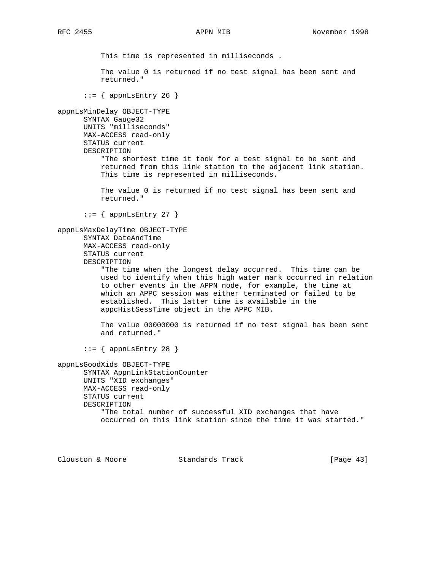This time is represented in milliseconds . The value 0 is returned if no test signal has been sent and returned."  $::=$  { appnLsEntry 26 } appnLsMinDelay OBJECT-TYPE SYNTAX Gauge32 UNITS "milliseconds" MAX-ACCESS read-only STATUS current DESCRIPTION "The shortest time it took for a test signal to be sent and returned from this link station to the adjacent link station. This time is represented in milliseconds. The value 0 is returned if no test signal has been sent and returned."  $::=$  { appnLsEntry 27 } appnLsMaxDelayTime OBJECT-TYPE SYNTAX DateAndTime MAX-ACCESS read-only STATUS current DESCRIPTION "The time when the longest delay occurred. This time can be used to identify when this high water mark occurred in relation to other events in the APPN node, for example, the time at which an APPC session was either terminated or failed to be established. This latter time is available in the appcHistSessTime object in the APPC MIB. The value 00000000 is returned if no test signal has been sent and returned."  $::=$  { appnLsEntry 28 } appnLsGoodXids OBJECT-TYPE SYNTAX AppnLinkStationCounter UNITS "XID exchanges" MAX-ACCESS read-only STATUS current DESCRIPTION

> "The total number of successful XID exchanges that have occurred on this link station since the time it was started."

Clouston & Moore Standards Track [Page 43]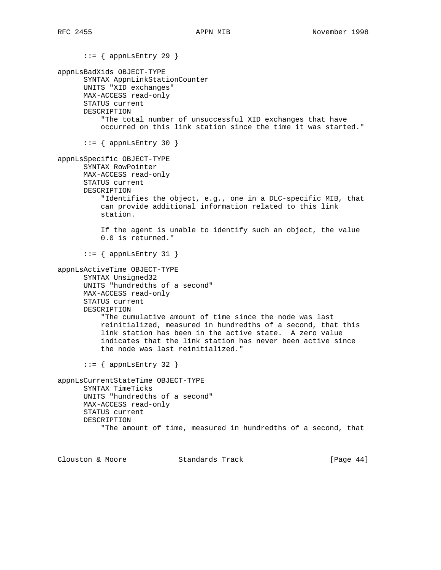$::=$  { appnLsEntry 29 } appnLsBadXids OBJECT-TYPE SYNTAX AppnLinkStationCounter UNITS "XID exchanges" MAX-ACCESS read-only STATUS current DESCRIPTION "The total number of unsuccessful XID exchanges that have occurred on this link station since the time it was started."  $::=$  { appnLsEntry 30 } appnLsSpecific OBJECT-TYPE SYNTAX RowPointer MAX-ACCESS read-only STATUS current DESCRIPTION "Identifies the object, e.g., one in a DLC-specific MIB, that can provide additional information related to this link station. If the agent is unable to identify such an object, the value 0.0 is returned."  $::=$  { appnLsEntry 31 } appnLsActiveTime OBJECT-TYPE SYNTAX Unsigned32 UNITS "hundredths of a second" MAX-ACCESS read-only STATUS current DESCRIPTION "The cumulative amount of time since the node was last reinitialized, measured in hundredths of a second, that this link station has been in the active state. A zero value indicates that the link station has never been active since the node was last reinitialized."  $::=$  { appnLsEntry 32 } appnLsCurrentStateTime OBJECT-TYPE SYNTAX TimeTicks UNITS "hundredths of a second" MAX-ACCESS read-only STATUS current DESCRIPTION "The amount of time, measured in hundredths of a second, that

Clouston & Moore 6 Standards Track [Page 44]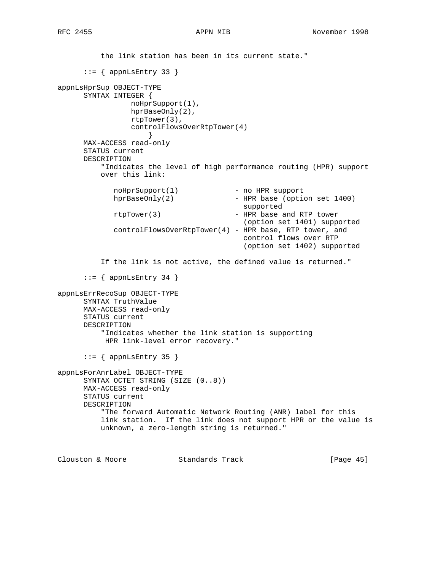the link station has been in its current state."  $::=$  { appnLsEntry 33 } appnLsHprSup OBJECT-TYPE SYNTAX INTEGER { noHprSupport(1), hprBaseOnly(2), rtpTower(3), controlFlowsOverRtpTower(4) } MAX-ACCESS read-only STATUS current DESCRIPTION "Indicates the level of high performance routing (HPR) support over this link: noHprSupport(1) - no HPR support<br>hprBaseOnly(2) - HPR base (opti-- HPR base (option set 1400) supported rtpTower(3) - HPR base and RTP tower (option set 1401) supported controlFlowsOverRtpTower(4) - HPR base, RTP tower, and control flows over RTP (option set 1402) supported If the link is not active, the defined value is returned."  $::=$  { appnLsEntry 34 } appnLsErrRecoSup OBJECT-TYPE SYNTAX TruthValue MAX-ACCESS read-only STATUS current DESCRIPTION "Indicates whether the link station is supporting HPR link-level error recovery."  $::=$  { appnLsEntry 35 } appnLsForAnrLabel OBJECT-TYPE SYNTAX OCTET STRING (SIZE (0..8)) MAX-ACCESS read-only

```
 STATUS current
 DESCRIPTION
     "The forward Automatic Network Routing (ANR) label for this
     link station. If the link does not support HPR or the value is
     unknown, a zero-length string is returned."
```
Clouston & Moore Standards Track [Page 45]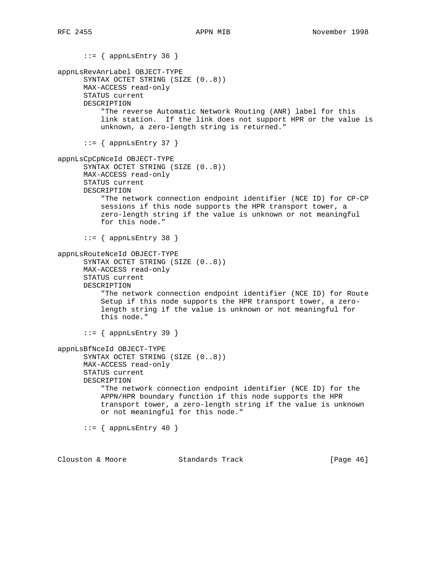$::=$  { appnLsEntry 36 } appnLsRevAnrLabel OBJECT-TYPE SYNTAX OCTET STRING (SIZE (0..8)) MAX-ACCESS read-only STATUS current DESCRIPTION "The reverse Automatic Network Routing (ANR) label for this link station. If the link does not support HPR or the value is unknown, a zero-length string is returned."  $::=$  { appnLsEntry 37 } appnLsCpCpNceId OBJECT-TYPE SYNTAX OCTET STRING (SIZE (0..8)) MAX-ACCESS read-only STATUS current DESCRIPTION "The network connection endpoint identifier (NCE ID) for CP-CP sessions if this node supports the HPR transport tower, a zero-length string if the value is unknown or not meaningful for this node."  $::=$  { appnLsEntry 38 } appnLsRouteNceId OBJECT-TYPE SYNTAX OCTET STRING (SIZE (0..8)) MAX-ACCESS read-only STATUS current DESCRIPTION "The network connection endpoint identifier (NCE ID) for Route Setup if this node supports the HPR transport tower, a zero length string if the value is unknown or not meaningful for this node." ::= { appnLsEntry 39 } appnLsBfNceId OBJECT-TYPE SYNTAX OCTET STRING (SIZE (0..8)) MAX-ACCESS read-only STATUS current DESCRIPTION "The network connection endpoint identifier (NCE ID) for the APPN/HPR boundary function if this node supports the HPR transport tower, a zero-length string if the value is unknown or not meaningful for this node."  $::=$  { appnLsEntry 40 } Clouston & Moore 6 Standards Track [Page 46]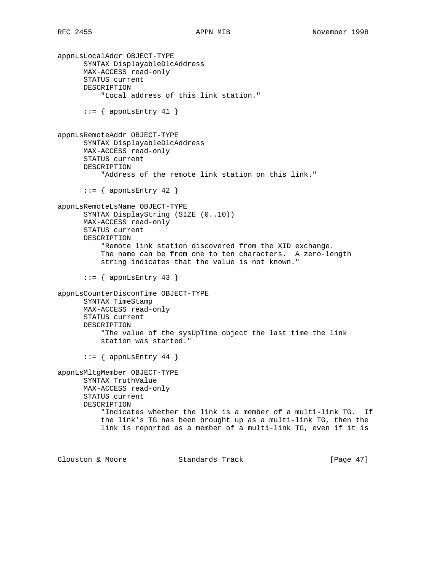```
appnLsLocalAddr OBJECT-TYPE
       SYNTAX DisplayableDlcAddress
      MAX-ACCESS read-only
       STATUS current
      DESCRIPTION
           "Local address of this link station."
      ::= { appnLsEntry 41 }
appnLsRemoteAddr OBJECT-TYPE
      SYNTAX DisplayableDlcAddress
      MAX-ACCESS read-only
       STATUS current
      DESCRIPTION
           "Address of the remote link station on this link."
      ::= { appnLsEntry 42 }
appnLsRemoteLsName OBJECT-TYPE
      SYNTAX DisplayString (SIZE (0..10))
      MAX-ACCESS read-only
      STATUS current
      DESCRIPTION
           "Remote link station discovered from the XID exchange.
           The name can be from one to ten characters. A zero-length
           string indicates that the value is not known."
       ::= { appnLsEntry 43 }
appnLsCounterDisconTime OBJECT-TYPE
      SYNTAX TimeStamp
      MAX-ACCESS read-only
      STATUS current
      DESCRIPTION
           "The value of the sysUpTime object the last time the link
           station was started."
      ::= { appnLsEntry 44 }
appnLsMltgMember OBJECT-TYPE
      SYNTAX TruthValue
      MAX-ACCESS read-only
      STATUS current
      DESCRIPTION
           "Indicates whether the link is a member of a multi-link TG. If
           the link's TG has been brought up as a multi-link TG, then the
           link is reported as a member of a multi-link TG, even if it is
Clouston & Moore Standards Track [Page 47]
```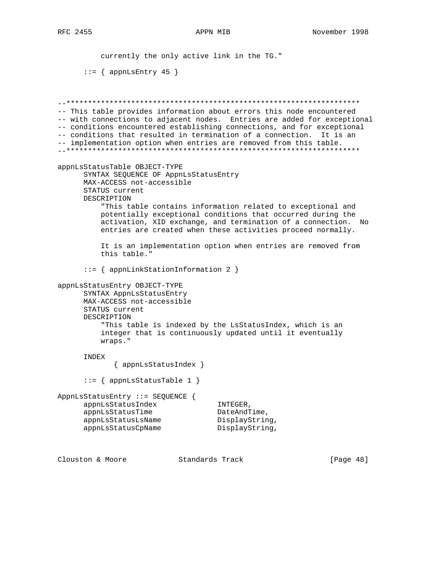currently the only active link in the TG."

 $::=$  { appnLsEntry 45 } --\*\*\*\*\*\*\*\*\*\*\*\*\*\*\*\*\*\*\*\*\*\*\*\*\*\*\*\*\*\*\*\*\*\*\*\*\*\*\*\*\*\*\*\*\*\*\*\*\*\*\*\*\*\*\*\*\*\*\*\*\*\*\*\*\*\*\*\* -- This table provides information about errors this node encountered -- with connections to adjacent nodes. Entries are added for exceptional -- conditions encountered establishing connections, and for exceptional -- conditions that resulted in termination of a connection. It is an -- implementation option when entries are removed from this table. --\*\*\*\*\*\*\*\*\*\*\*\*\*\*\*\*\*\*\*\*\*\*\*\*\*\*\*\*\*\*\*\*\*\*\*\*\*\*\*\*\*\*\*\*\*\*\*\*\*\*\*\*\*\*\*\*\*\*\*\*\*\*\*\*\*\*\*\* appnLsStatusTable OBJECT-TYPE SYNTAX SEQUENCE OF AppnLsStatusEntry MAX-ACCESS not-accessible STATUS current DESCRIPTION "This table contains information related to exceptional and potentially exceptional conditions that occurred during the activation, XID exchange, and termination of a connection. No entries are created when these activities proceed normally. It is an implementation option when entries are removed from this table." ::= { appnLinkStationInformation 2 } appnLsStatusEntry OBJECT-TYPE SYNTAX AppnLsStatusEntry MAX-ACCESS not-accessible STATUS current DESCRIPTION "This table is indexed by the LsStatusIndex, which is an integer that is continuously updated until it eventually wraps." INDEX { appnLsStatusIndex } ::= { appnLsStatusTable 1 } AppnLsStatusEntry ::= SEQUENCE { appnLsStatusIndex INTEGER, appnLsStatusTime DateAndTime, appnLsStatusLsName DisplayString, appnLsStatusCpName DisplayString,

Clouston & Moore Standards Track [Page 48]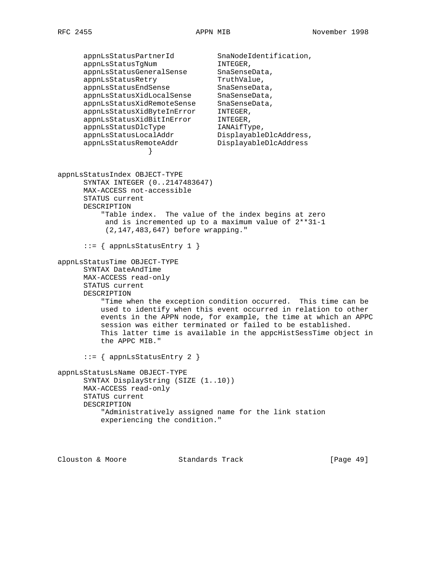appnLsStatusPartnerId SnaNodeIdentification, appnLsStatusTgNum iNTEGER, appnLsStatusGeneralSense SnaSenseData, appnLsStatusRetry TruthValue, appnLsStatusEndSense SnaSenseData, appnLsStatusXidLocalSense SnaSenseData, appnLsStatusXidRemoteSense SnaSenseData, appnLsStatusXidByteInError INTEGER, appnLsStatusXidBitInError INTEGER, appnLsStatusDlcType IANAifType, appnLsStatusLocalAddr DisplayableDlcAddress, appnLsStatusRemoteAddr DisplayableDlcAddress } appnLsStatusIndex OBJECT-TYPE SYNTAX INTEGER (0..2147483647) MAX-ACCESS not-accessible STATUS current DESCRIPTION "Table index. The value of the index begins at zero and is incremented up to a maximum value of 2\*\*31-1 (2,147,483,647) before wrapping." ::= { appnLsStatusEntry 1 } appnLsStatusTime OBJECT-TYPE SYNTAX DateAndTime MAX-ACCESS read-only STATUS current DESCRIPTION "Time when the exception condition occurred. This time can be used to identify when this event occurred in relation to other events in the APPN node, for example, the time at which an APPC session was either terminated or failed to be established. This latter time is available in the appcHistSessTime object in the APPC MIB." ::= { appnLsStatusEntry 2 } appnLsStatusLsName OBJECT-TYPE SYNTAX DisplayString (SIZE (1..10)) MAX-ACCESS read-only STATUS current DESCRIPTION "Administratively assigned name for the link station experiencing the condition."

Clouston & Moore Standards Track [Page 49]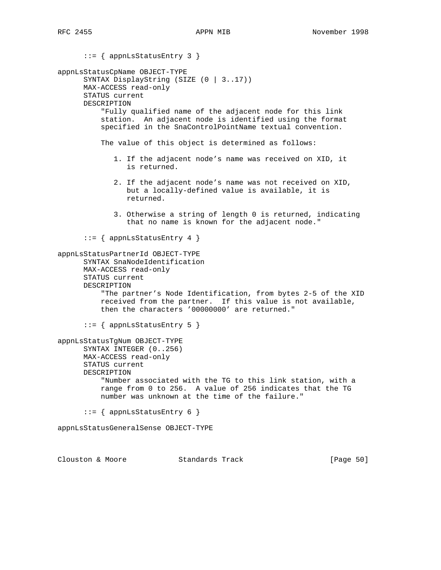::= { appnLsStatusEntry 3 } appnLsStatusCpName OBJECT-TYPE SYNTAX DisplayString (SIZE (0 | 3..17)) MAX-ACCESS read-only STATUS current DESCRIPTION "Fully qualified name of the adjacent node for this link station. An adjacent node is identified using the format specified in the SnaControlPointName textual convention. The value of this object is determined as follows: 1. If the adjacent node's name was received on XID, it is returned. 2. If the adjacent node's name was not received on XID, but a locally-defined value is available, it is returned. 3. Otherwise a string of length 0 is returned, indicating that no name is known for the adjacent node." ::= { appnLsStatusEntry 4 } appnLsStatusPartnerId OBJECT-TYPE SYNTAX SnaNodeIdentification MAX-ACCESS read-only STATUS current DESCRIPTION "The partner's Node Identification, from bytes 2-5 of the XID received from the partner. If this value is not available, then the characters '00000000' are returned." ::= { appnLsStatusEntry 5 } appnLsStatusTgNum OBJECT-TYPE SYNTAX INTEGER (0..256) MAX-ACCESS read-only STATUS current DESCRIPTION "Number associated with the TG to this link station, with a range from 0 to 256. A value of 256 indicates that the TG number was unknown at the time of the failure." ::= { appnLsStatusEntry 6 } appnLsStatusGeneralSense OBJECT-TYPE Clouston & Moore Standards Track [Page 50]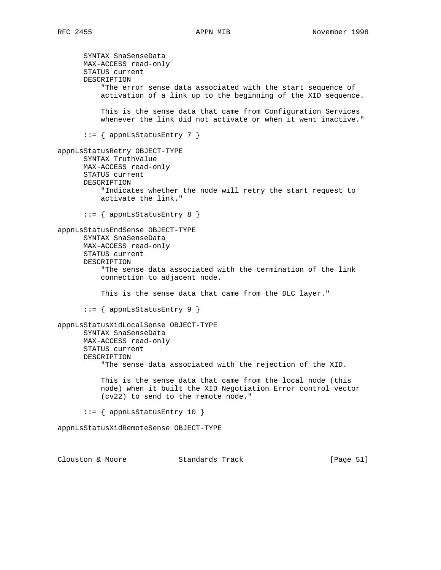SYNTAX SnaSenseData MAX-ACCESS read-only STATUS current DESCRIPTION "The error sense data associated with the start sequence of activation of a link up to the beginning of the XID sequence. This is the sense data that came from Configuration Services whenever the link did not activate or when it went inactive."  $::=$  { appnLsStatusEntry 7 } appnLsStatusRetry OBJECT-TYPE SYNTAX TruthValue MAX-ACCESS read-only STATUS current DESCRIPTION "Indicates whether the node will retry the start request to activate the link." ::= { appnLsStatusEntry 8 } appnLsStatusEndSense OBJECT-TYPE SYNTAX SnaSenseData MAX-ACCESS read-only STATUS current DESCRIPTION "The sense data associated with the termination of the link connection to adjacent node. This is the sense data that came from the DLC layer." ::= { appnLsStatusEntry 9 } appnLsStatusXidLocalSense OBJECT-TYPE SYNTAX SnaSenseData MAX-ACCESS read-only STATUS current DESCRIPTION "The sense data associated with the rejection of the XID. This is the sense data that came from the local node (this node) when it built the XID Negotiation Error control vector (cv22) to send to the remote node." ::= { appnLsStatusEntry 10 } appnLsStatusXidRemoteSense OBJECT-TYPE

Clouston & Moore 6 Standards Track [Page 51]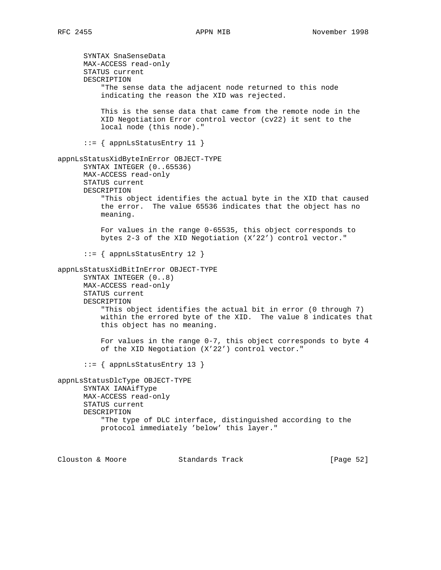SYNTAX SnaSenseData MAX-ACCESS read-only STATUS current DESCRIPTION "The sense data the adjacent node returned to this node indicating the reason the XID was rejected. This is the sense data that came from the remote node in the XID Negotiation Error control vector (cv22) it sent to the local node (this node)." ::= { appnLsStatusEntry 11 } appnLsStatusXidByteInError OBJECT-TYPE SYNTAX INTEGER (0..65536) MAX-ACCESS read-only STATUS current DESCRIPTION "This object identifies the actual byte in the XID that caused the error. The value 65536 indicates that the object has no meaning. For values in the range 0-65535, this object corresponds to bytes 2-3 of the XID Negotiation (X'22') control vector." ::= { appnLsStatusEntry 12 } appnLsStatusXidBitInError OBJECT-TYPE SYNTAX INTEGER (0..8) MAX-ACCESS read-only STATUS current DESCRIPTION "This object identifies the actual bit in error (0 through 7) within the errored byte of the XID. The value 8 indicates that this object has no meaning. For values in the range 0-7, this object corresponds to byte 4 of the XID Negotiation (X'22') control vector." ::= { appnLsStatusEntry 13 } appnLsStatusDlcType OBJECT-TYPE SYNTAX IANAifType MAX-ACCESS read-only STATUS current DESCRIPTION "The type of DLC interface, distinguished according to the protocol immediately 'below' this layer."

Clouston & Moore Standards Track [Page 52]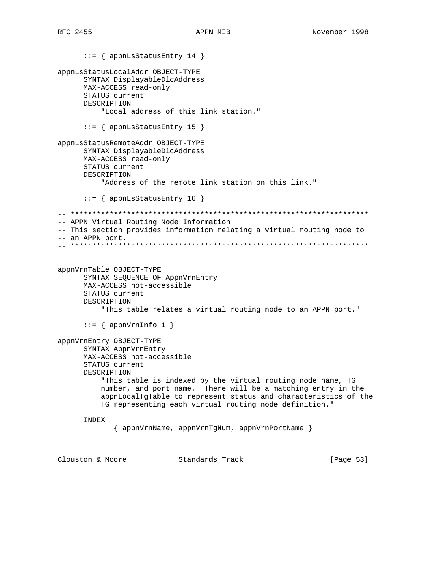::= { appnLsStatusEntry 14 } appnLsStatusLocalAddr OBJECT-TYPE SYNTAX DisplayableDlcAddress MAX-ACCESS read-only STATUS current DESCRIPTION "Local address of this link station." ::= { appnLsStatusEntry 15 } appnLsStatusRemoteAddr OBJECT-TYPE SYNTAX DisplayableDlcAddress MAX-ACCESS read-only STATUS current DESCRIPTION "Address of the remote link station on this link." ::= { appnLsStatusEntry 16 } -- \*\*\*\*\*\*\*\*\*\*\*\*\*\*\*\*\*\*\*\*\*\*\*\*\*\*\*\*\*\*\*\*\*\*\*\*\*\*\*\*\*\*\*\*\*\*\*\*\*\*\*\*\*\*\*\*\*\*\*\*\*\*\*\*\*\*\*\*\* -- APPN Virtual Routing Node Information -- This section provides information relating a virtual routing node to -- an APPN port. -- \*\*\*\*\*\*\*\*\*\*\*\*\*\*\*\*\*\*\*\*\*\*\*\*\*\*\*\*\*\*\*\*\*\*\*\*\*\*\*\*\*\*\*\*\*\*\*\*\*\*\*\*\*\*\*\*\*\*\*\*\*\*\*\*\*\*\*\*\* appnVrnTable OBJECT-TYPE SYNTAX SEQUENCE OF AppnVrnEntry MAX-ACCESS not-accessible STATUS current DESCRIPTION "This table relates a virtual routing node to an APPN port."  $::=$  { appnVrnInfo 1 } appnVrnEntry OBJECT-TYPE SYNTAX AppnVrnEntry MAX-ACCESS not-accessible STATUS current DESCRIPTION "This table is indexed by the virtual routing node name, TG number, and port name. There will be a matching entry in the appnLocalTgTable to represent status and characteristics of the TG representing each virtual routing node definition." INDEX { appnVrnName, appnVrnTgNum, appnVrnPortName } Clouston & Moore Standards Track [Page 53]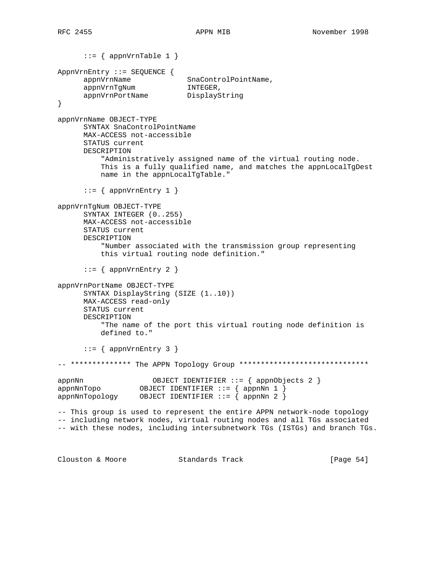$::=$  { appnVrnTable 1 } AppnVrnEntry ::= SEQUENCE { appnVrnName SnaControlPointName, appnVrnTgNum INTEGER, appnVrnPortName DisplayString } appnVrnName OBJECT-TYPE SYNTAX SnaControlPointName MAX-ACCESS not-accessible STATUS current DESCRIPTION "Administratively assigned name of the virtual routing node. This is a fully qualified name, and matches the appnLocalTgDest name in the appnLocalTgTable."  $::=$  { appnVrnEntry 1 } appnVrnTgNum OBJECT-TYPE SYNTAX INTEGER (0..255) MAX-ACCESS not-accessible STATUS current DESCRIPTION "Number associated with the transmission group representing this virtual routing node definition."  $::=$  { appnVrnEntry 2 } appnVrnPortName OBJECT-TYPE SYNTAX DisplayString (SIZE (1..10)) MAX-ACCESS read-only STATUS current DESCRIPTION "The name of the port this virtual routing node definition is defined to."  $::=$  { appnVrnEntry 3 } -- \*\*\*\*\*\*\*\*\*\*\*\*\*\* The APPN Topology Group \*\*\*\*\*\*\*\*\*\*\*\*\*\*\*\*\*\*\*\*\*\*\*\*\*\*\*\*\*\* appnNn OBJECT IDENTIFIER ::= { appnObjects 2 } OBJECT IDENTIFIER  $::=$  { appnNn 1 } appnNnTopology OBJECT IDENTIFIER ::= { appnNn 2 } -- This group is used to represent the entire APPN network-node topology -- including network nodes, virtual routing nodes and all TGs associated -- with these nodes, including intersubnetwork TGs (ISTGs) and branch TGs.

Clouston & Moore Standards Track [Page 54]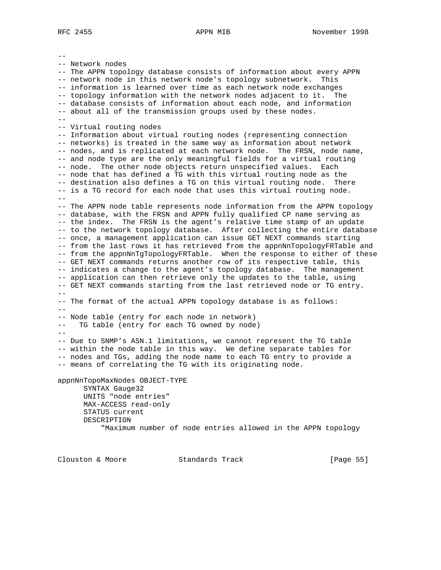-- -- Network nodes -- The APPN topology database consists of information about every APPN -- network node in this network node's topology subnetwork. This -- information is learned over time as each network node exchanges -- topology information with the network nodes adjacent to it. The -- database consists of information about each node, and information -- about all of the transmission groups used by these nodes.  $-$ -- Virtual routing nodes -- Information about virtual routing nodes (representing connection -- networks) is treated in the same way as information about network -- nodes, and is replicated at each network node. The FRSN, node name, -- and node type are the only meaningful fields for a virtual routing -- node. The other node objects return unspecified values. Each -- node that has defined a TG with this virtual routing node as the -- destination also defines a TG on this virtual routing node. There -- is a TG record for each node that uses this virtual routing node.  $-$ -- The APPN node table represents node information from the APPN topology -- database, with the FRSN and APPN fully qualified CP name serving as -- the index. The FRSN is the agent's relative time stamp of an update -- to the network topology database. After collecting the entire database -- once, a management application can issue GET NEXT commands starting -- from the last rows it has retrieved from the appnNnTopologyFRTable and -- from the appnNnTgTopologyFRTable. When the response to either of these -- GET NEXT commands returns another row of its respective table, this -- indicates a change to the agent's topology database. The management -- application can then retrieve only the updates to the table, using -- GET NEXT commands starting from the last retrieved node or TG entry.  $-$ -- The format of the actual APPN topology database is as follows:  $- -$ -- Node table (entry for each node in network) -- TG table (entry for each TG owned by node)  $-$ -- Due to SNMP's ASN.1 limitations, we cannot represent the TG table -- within the node table in this way. We define separate tables for -- nodes and TGs, adding the node name to each TG entry to provide a -- means of correlating the TG with its originating node. appnNnTopoMaxNodes OBJECT-TYPE SYNTAX Gauge32 UNITS "node entries" MAX-ACCESS read-only STATUS current DESCRIPTION "Maximum number of node entries allowed in the APPN topology

Clouston & Moore 6 Standards Track 6 (Page 55)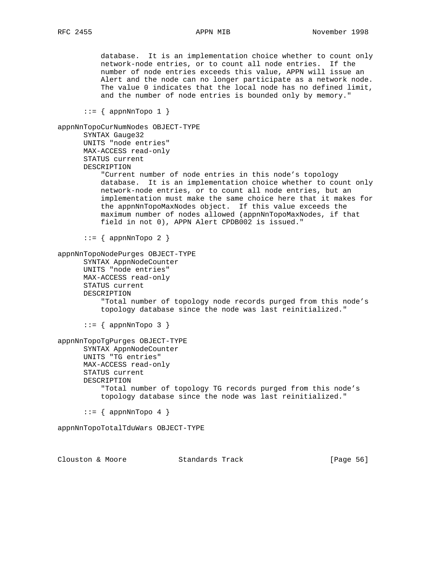database. It is an implementation choice whether to count only network-node entries, or to count all node entries. If the number of node entries exceeds this value, APPN will issue an Alert and the node can no longer participate as a network node. The value 0 indicates that the local node has no defined limit, and the number of node entries is bounded only by memory."  $::=$  { appnNnTopo 1 } appnNnTopoCurNumNodes OBJECT-TYPE SYNTAX Gauge32 UNITS "node entries" MAX-ACCESS read-only STATUS current DESCRIPTION "Current number of node entries in this node's topology database. It is an implementation choice whether to count only network-node entries, or to count all node entries, but an implementation must make the same choice here that it makes for the appnNnTopoMaxNodes object. If this value exceeds the maximum number of nodes allowed (appnNnTopoMaxNodes, if that field in not 0), APPN Alert CPDB002 is issued."  $::=$  { appnNnTopo 2 } appnNnTopoNodePurges OBJECT-TYPE SYNTAX AppnNodeCounter UNITS "node entries" MAX-ACCESS read-only STATUS current DESCRIPTION "Total number of topology node records purged from this node's topology database since the node was last reinitialized." ::= { appnNnTopo 3 } appnNnTopoTgPurges OBJECT-TYPE SYNTAX AppnNodeCounter UNITS "TG entries" MAX-ACCESS read-only STATUS current DESCRIPTION "Total number of topology TG records purged from this node's topology database since the node was last reinitialized."  $::=$  { appnNnTopo 4 } appnNnTopoTotalTduWars OBJECT-TYPE Clouston & Moore 6 Standards Track [Page 56]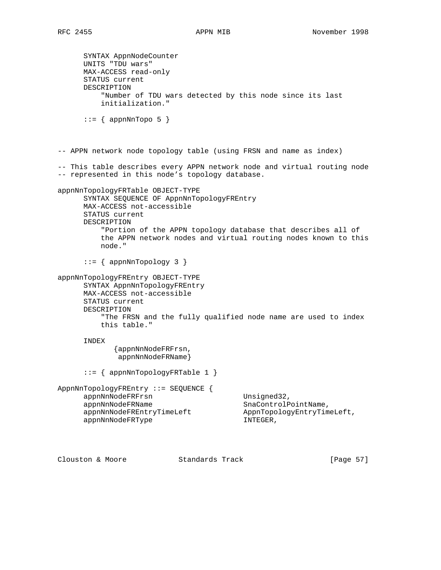SYNTAX AppnNodeCounter UNITS "TDU wars" MAX-ACCESS read-only STATUS current DESCRIPTION "Number of TDU wars detected by this node since its last initialization."  $::=$  { appnNnTopo 5 } -- APPN network node topology table (using FRSN and name as index) -- This table describes every APPN network node and virtual routing node -- represented in this node's topology database. appnNnTopologyFRTable OBJECT-TYPE SYNTAX SEQUENCE OF AppnNnTopologyFREntry MAX-ACCESS not-accessible STATUS current DESCRIPTION "Portion of the APPN topology database that describes all of the APPN network nodes and virtual routing nodes known to this node."  $::=$  { appnNnTopology 3 } appnNnTopologyFREntry OBJECT-TYPE SYNTAX AppnNnTopologyFREntry MAX-ACCESS not-accessible STATUS current DESCRIPTION "The FRSN and the fully qualified node name are used to index this table." INDEX {appnNnNodeFRFrsn, appnNnNodeFRName} ::= { appnNnTopologyFRTable 1 } AppnNnTopologyFREntry ::= SEQUENCE { appnNnNodeFRFrsn Unsigned32, appnNnNodeFRName SnaControlPointName, appnNnNodeFREntryTimeLeft AppnTopologyEntryTimeLeft, appnNnNodeFRType INTEGER,

Clouston & Moore 6 Standards Track [Page 57]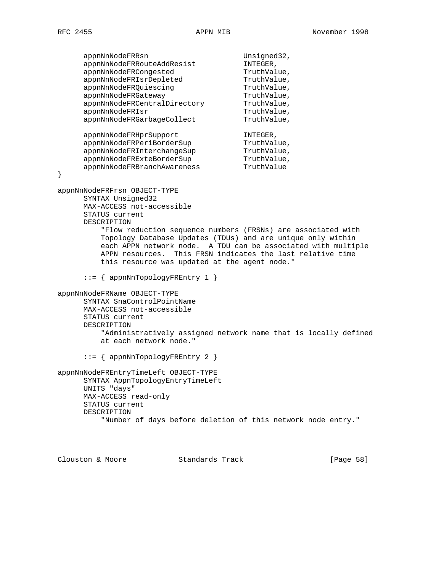appnNnNodeFRRsn Unsigned32,<br>appnNnNodeFRRouteAddResist INTEGER, appnNnNodeFRRouteAddResist INTEGER,<br>appnNnNodeFRCongested fruthValue, appnNnNodeFRCongested TruthValue,<br>appnNnNodeFRIsrDepleted TruthValue,<br>appnNnNodeFRQuiescing TruthValue, appnNnNodeFRIsrDepleted appnNnNoderRQuiescing<br>appnNnNodeFRQuiescing<br>Value (TruthValue) appnNnNodeFRGateway metallic fruthValue, appnNnNodeFRCentralDirectory TruthValue, appnNnNodeFRIsr entertainment of the TruthValue, appnNnNodeFRGarbageCollect TruthValue, appnNnNodeFRHprSupport INTEGER, appnNnNodeFRPeriBorderSup TruthValue, appnNnNodeFRInterchangeSup TruthValue, appnNnNodeFRExteBorderSup TruthValue, appnNnNodeFRBranchAwareness TruthValue } appnNnNodeFRFrsn OBJECT-TYPE SYNTAX Unsigned32 MAX-ACCESS not-accessible STATUS current DESCRIPTION "Flow reduction sequence numbers (FRSNs) are associated with Topology Database Updates (TDUs) and are unique only within each APPN network node. A TDU can be associated with multiple APPN resources. This FRSN indicates the last relative time this resource was updated at the agent node." ::= { appnNnTopologyFREntry 1 } appnNnNodeFRName OBJECT-TYPE SYNTAX SnaControlPointName MAX-ACCESS not-accessible STATUS current DESCRIPTION "Administratively assigned network name that is locally defined at each network node." ::= { appnNnTopologyFREntry 2 } appnNnNodeFREntryTimeLeft OBJECT-TYPE SYNTAX AppnTopologyEntryTimeLeft UNITS "days" MAX-ACCESS read-only STATUS current DESCRIPTION "Number of days before deletion of this network node entry."

Clouston & Moore Standards Track [Page 58]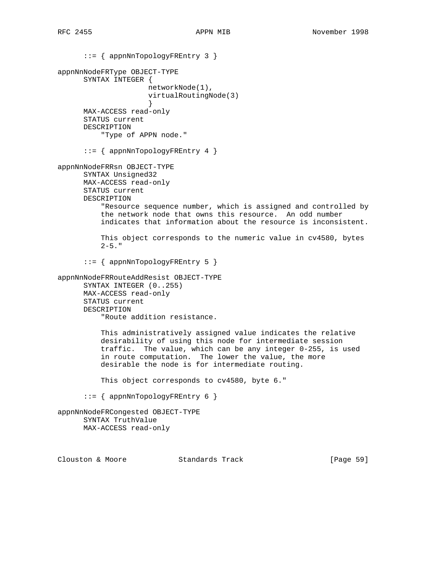::= { appnNnTopologyFREntry 3 } appnNnNodeFRType OBJECT-TYPE SYNTAX INTEGER { networkNode(1), virtualRoutingNode(3) } MAX-ACCESS read-only STATUS current DESCRIPTION "Type of APPN node." ::= { appnNnTopologyFREntry 4 } appnNnNodeFRRsn OBJECT-TYPE SYNTAX Unsigned32 MAX-ACCESS read-only STATUS current DESCRIPTION "Resource sequence number, which is assigned and controlled by the network node that owns this resource. An odd number indicates that information about the resource is inconsistent. This object corresponds to the numeric value in cv4580, bytes  $2-5.$  " ::= { appnNnTopologyFREntry 5 } appnNnNodeFRRouteAddResist OBJECT-TYPE SYNTAX INTEGER (0..255) MAX-ACCESS read-only STATUS current DESCRIPTION "Route addition resistance. This administratively assigned value indicates the relative desirability of using this node for intermediate session traffic. The value, which can be any integer 0-255, is used in route computation. The lower the value, the more desirable the node is for intermediate routing. This object corresponds to cv4580, byte 6."  $::=$  { appnNnTopologyFREntry 6 } appnNnNodeFRCongested OBJECT-TYPE SYNTAX TruthValue MAX-ACCESS read-only

Clouston & Moore 6 Standards Track [Page 59]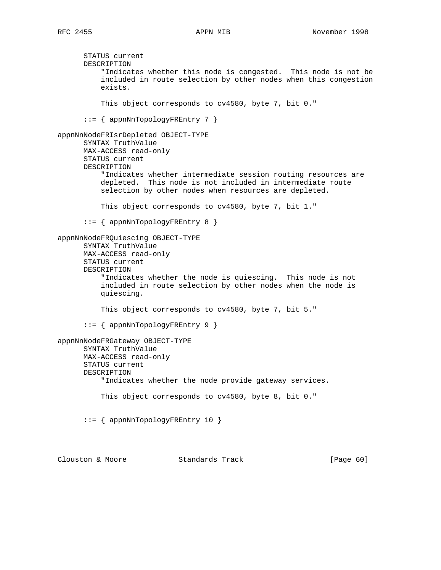STATUS current DESCRIPTION "Indicates whether this node is congested. This node is not be included in route selection by other nodes when this congestion exists. This object corresponds to cv4580, byte 7, bit 0." ::= { appnNnTopologyFREntry 7 } appnNnNodeFRIsrDepleted OBJECT-TYPE SYNTAX TruthValue MAX-ACCESS read-only STATUS current DESCRIPTION "Indicates whether intermediate session routing resources are depleted. This node is not included in intermediate route selection by other nodes when resources are depleted. This object corresponds to cv4580, byte 7, bit 1." ::= { appnNnTopologyFREntry 8 } appnNnNodeFRQuiescing OBJECT-TYPE SYNTAX TruthValue MAX-ACCESS read-only STATUS current DESCRIPTION "Indicates whether the node is quiescing. This node is not included in route selection by other nodes when the node is quiescing. This object corresponds to cv4580, byte 7, bit 5." ::= { appnNnTopologyFREntry 9 } appnNnNodeFRGateway OBJECT-TYPE SYNTAX TruthValue MAX-ACCESS read-only STATUS current DESCRIPTION "Indicates whether the node provide gateway services. This object corresponds to cv4580, byte 8, bit 0." ::= { appnNnTopologyFREntry 10 } Clouston & Moore Standards Track [Page 60]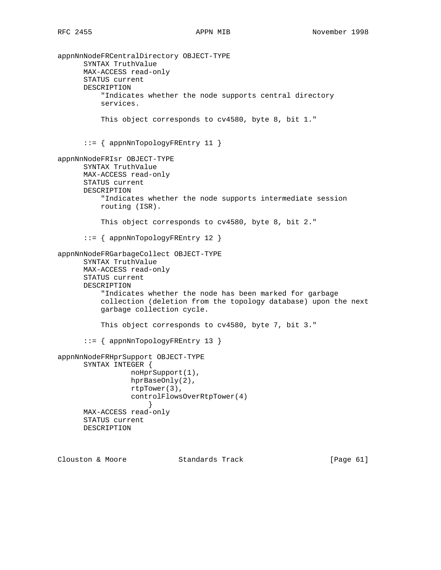```
appnNnNodeFRCentralDirectory OBJECT-TYPE
       SYNTAX TruthValue
      MAX-ACCESS read-only
       STATUS current
       DESCRIPTION
           "Indicates whether the node supports central directory
           services.
           This object corresponds to cv4580, byte 8, bit 1."
       ::= { appnNnTopologyFREntry 11 }
appnNnNodeFRIsr OBJECT-TYPE
       SYNTAX TruthValue
      MAX-ACCESS read-only
       STATUS current
       DESCRIPTION
           "Indicates whether the node supports intermediate session
           routing (ISR).
           This object corresponds to cv4580, byte 8, bit 2."
       ::= { appnNnTopologyFREntry 12 }
appnNnNodeFRGarbageCollect OBJECT-TYPE
       SYNTAX TruthValue
       MAX-ACCESS read-only
       STATUS current
       DESCRIPTION
           "Indicates whether the node has been marked for garbage
           collection (deletion from the topology database) upon the next
           garbage collection cycle.
           This object corresponds to cv4580, byte 7, bit 3."
       ::= { appnNnTopologyFREntry 13 }
appnNnNodeFRHprSupport OBJECT-TYPE
       SYNTAX INTEGER {
                  noHprSupport(1),
                  hprBaseOnly(2),
                  rtpTower(3),
                  controlFlowsOverRtpTower(4)
 }
      MAX-ACCESS read-only
       STATUS current
      DESCRIPTION
```
Clouston & Moore Standards Track [Page 61]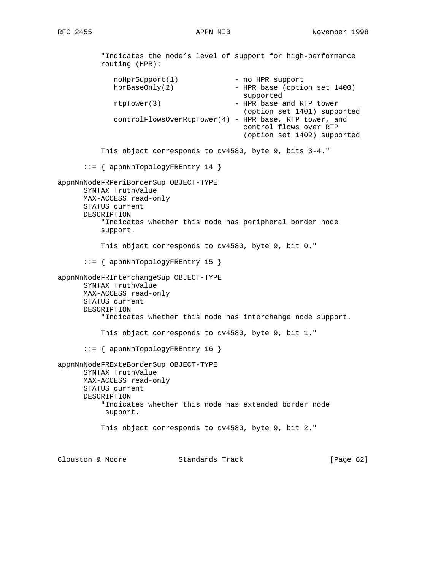"Indicates the node's level of support for high-performance routing (HPR): noHprSupport(1) - no HPR support<br>hprBaseOnly(2) - HPR base (option - HPR base (option set 1400) supported rtpTower(3) - HPR base and RTP tower (option set 1401) supported controlFlowsOverRtpTower(4) - HPR base, RTP tower, and control flows over RTP (option set 1402) supported This object corresponds to cv4580, byte 9, bits 3-4." ::= { appnNnTopologyFREntry 14 } appnNnNodeFRPeriBorderSup OBJECT-TYPE SYNTAX TruthValue MAX-ACCESS read-only STATUS current DESCRIPTION "Indicates whether this node has peripheral border node support. This object corresponds to cv4580, byte 9, bit 0." ::= { appnNnTopologyFREntry 15 } appnNnNodeFRInterchangeSup OBJECT-TYPE SYNTAX TruthValue MAX-ACCESS read-only STATUS current DESCRIPTION "Indicates whether this node has interchange node support. This object corresponds to cv4580, byte 9, bit 1." ::= { appnNnTopologyFREntry 16 } appnNnNodeFRExteBorderSup OBJECT-TYPE SYNTAX TruthValue MAX-ACCESS read-only STATUS current DESCRIPTION "Indicates whether this node has extended border node support. This object corresponds to cv4580, byte 9, bit 2."

Clouston & Moore Standards Track [Page 62]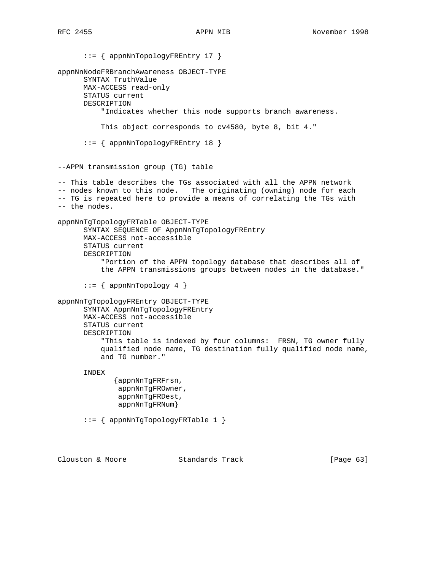::= { appnNnTopologyFREntry 17 } appnNnNodeFRBranchAwareness OBJECT-TYPE SYNTAX TruthValue MAX-ACCESS read-only STATUS current DESCRIPTION "Indicates whether this node supports branch awareness. This object corresponds to cv4580, byte 8, bit 4." ::= { appnNnTopologyFREntry 18 } --APPN transmission group (TG) table -- This table describes the TGs associated with all the APPN network -- nodes known to this node. The originating (owning) node for each -- TG is repeated here to provide a means of correlating the TGs with -- the nodes. appnNnTgTopologyFRTable OBJECT-TYPE SYNTAX SEQUENCE OF AppnNnTgTopologyFREntry MAX-ACCESS not-accessible STATUS current DESCRIPTION "Portion of the APPN topology database that describes all of the APPN transmissions groups between nodes in the database."  $::=$  { appnNnTopology 4 } appnNnTgTopologyFREntry OBJECT-TYPE SYNTAX AppnNnTgTopologyFREntry MAX-ACCESS not-accessible STATUS current DESCRIPTION "This table is indexed by four columns: FRSN, TG owner fully qualified node name, TG destination fully qualified node name, and TG number." INDEX {appnNnTgFRFrsn, appnNnTgFROwner, appnNnTgFRDest, appnNnTgFRNum} ::= { appnNnTgTopologyFRTable 1 }

Clouston & Moore 63 Standards Track [Page 63]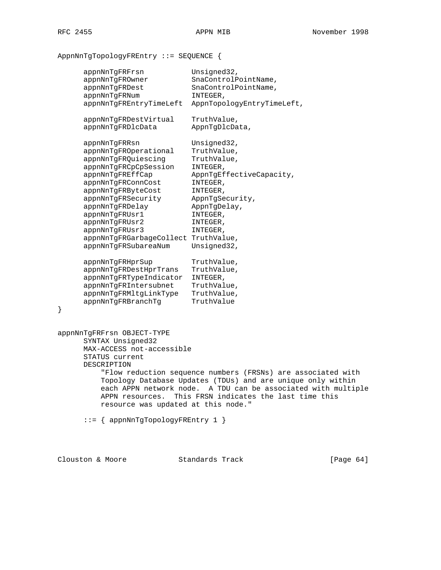# AppnNnTgTopologyFREntry ::= SEQUENCE {

|   | appnNnTgFRFrsn                                                                                                                                                                                  | Unsigned32,                            |
|---|-------------------------------------------------------------------------------------------------------------------------------------------------------------------------------------------------|----------------------------------------|
|   | appnNnTqFROwner                                                                                                                                                                                 | SnaControlPointName,                   |
|   | appnNnTgFRDest                                                                                                                                                                                  | SnaControlPointName,                   |
|   | appnNnTgFRNum                                                                                                                                                                                   | INTEGER,                               |
|   | appnNnTgFREntryTimeLeft                                                                                                                                                                         | AppnTopologyEntryTimeLeft,             |
|   | appnNnTgFRDestVirtual                                                                                                                                                                           | TruthValue,                            |
|   | appnNnTgFRDlcData                                                                                                                                                                               | AppnTgDlcData,                         |
|   | appnNnTgFRRsn                                                                                                                                                                                   | Unsigned32,                            |
|   | appnNnTgFROperational                                                                                                                                                                           | TruthValue,                            |
|   | appnNnTgFRQuiescing                                                                                                                                                                             | TruthValue,                            |
|   | appnNnTgFRCpCpSession                                                                                                                                                                           | INTEGER,                               |
|   | appnNnTgFREffCap                                                                                                                                                                                | AppnTgEffectiveCapacity,               |
|   | appnNnTgFRConnCost                                                                                                                                                                              | INTEGER,                               |
|   | appnNnTgFRByteCost                                                                                                                                                                              | INTEGER,                               |
|   | appnNnTgFRSecurity                                                                                                                                                                              | AppnTgSecurity,                        |
|   | appnNnTgFRDelay                                                                                                                                                                                 | AppnTgDelay,                           |
|   | appnNnTgFRUsr1                                                                                                                                                                                  | INTEGER,                               |
|   | appnNnTgFRUsr2                                                                                                                                                                                  | INTEGER,                               |
|   | appnNnTgFRUsr3                                                                                                                                                                                  | INTEGER,                               |
|   | appnNnTgFRGarbageCollect TruthValue,                                                                                                                                                            |                                        |
|   | appnNnTgFRSubareaNum                                                                                                                                                                            | Unsigned32,                            |
|   | appnNnTgFRHprSup                                                                                                                                                                                | TruthValue,                            |
|   | appnNnTqFRDestHprTrans                                                                                                                                                                          | TruthValue,                            |
|   | appnNnTgFRTypeIndicator                                                                                                                                                                         | INTEGER,                               |
|   | appnNnTgFRIntersubnet                                                                                                                                                                           | TruthValue,                            |
|   | appnNnTgFRMltgLinkType                                                                                                                                                                          | TruthValue,                            |
| } | appnNnTgFRBranchTg                                                                                                                                                                              | TruthValue                             |
|   |                                                                                                                                                                                                 |                                        |
|   | appnNnTgFRFrsn OBJECT-TYPE                                                                                                                                                                      |                                        |
|   | SYNTAX Unsigned32                                                                                                                                                                               |                                        |
|   | MAX-ACCESS not-accessible                                                                                                                                                                       |                                        |
|   | STATUS current                                                                                                                                                                                  |                                        |
|   | DESCRIPTION                                                                                                                                                                                     |                                        |
|   | "Flow reduction sequence numbers (FRSNs) are associated with<br>Topology Database Updates (TDUs) and are unique only within<br>each APPN network node.<br>A TDU can be associated with multiple |                                        |
|   |                                                                                                                                                                                                 |                                        |
|   |                                                                                                                                                                                                 |                                        |
|   | APPN resources.                                                                                                                                                                                 | This FRSN indicates the last time this |
|   | resource was updated at this node."                                                                                                                                                             |                                        |
|   | $::=$ { appnNnTgTopologyFREntry 1 }                                                                                                                                                             |                                        |
|   |                                                                                                                                                                                                 |                                        |

Clouston & Moore Standards Track [Page 64]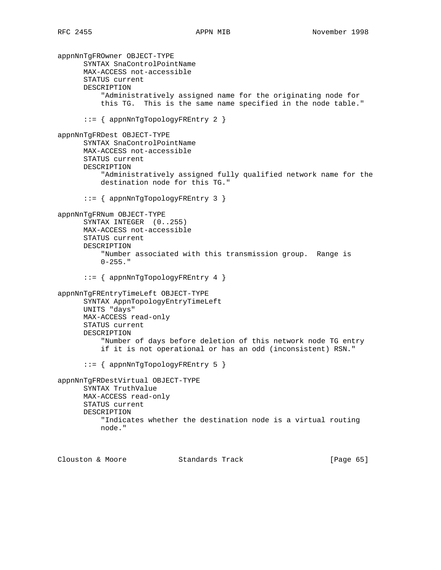```
appnNnTgFROwner OBJECT-TYPE
       SYNTAX SnaControlPointName
      MAX-ACCESS not-accessible
       STATUS current
      DESCRIPTION
           "Administratively assigned name for the originating node for
           this TG. This is the same name specified in the node table."
       ::= { appnNnTgTopologyFREntry 2 }
appnNnTgFRDest OBJECT-TYPE
      SYNTAX SnaControlPointName
      MAX-ACCESS not-accessible
       STATUS current
      DESCRIPTION
           "Administratively assigned fully qualified network name for the
           destination node for this TG."
       ::= { appnNnTgTopologyFREntry 3 }
appnNnTgFRNum OBJECT-TYPE
       SYNTAX INTEGER (0..255)
      MAX-ACCESS not-accessible
      STATUS current
      DESCRIPTION
           "Number associated with this transmission group. Range is
          0-255."
       ::= { appnNnTgTopologyFREntry 4 }
appnNnTgFREntryTimeLeft OBJECT-TYPE
      SYNTAX AppnTopologyEntryTimeLeft
      UNITS "days"
      MAX-ACCESS read-only
      STATUS current
      DESCRIPTION
           "Number of days before deletion of this network node TG entry
           if it is not operational or has an odd (inconsistent) RSN."
       ::= { appnNnTgTopologyFREntry 5 }
appnNnTgFRDestVirtual OBJECT-TYPE
      SYNTAX TruthValue
      MAX-ACCESS read-only
      STATUS current
      DESCRIPTION
           "Indicates whether the destination node is a virtual routing
          node."
Clouston & Moore Standards Track [Page 65]
```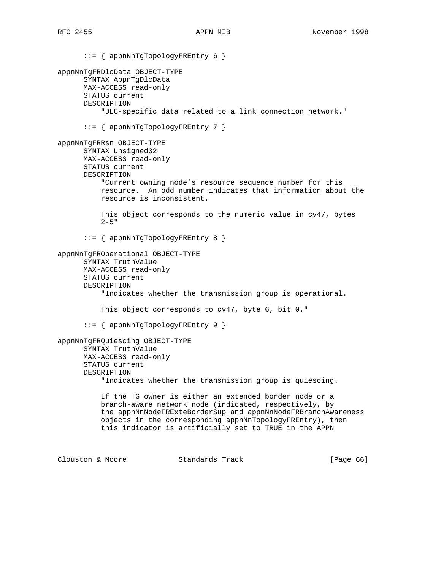::= { appnNnTgTopologyFREntry 6 } appnNnTgFRDlcData OBJECT-TYPE SYNTAX AppnTgDlcData MAX-ACCESS read-only STATUS current DESCRIPTION "DLC-specific data related to a link connection network." ::= { appnNnTgTopologyFREntry 7 } appnNnTgFRRsn OBJECT-TYPE SYNTAX Unsigned32 MAX-ACCESS read-only STATUS current DESCRIPTION "Current owning node's resource sequence number for this resource. An odd number indicates that information about the resource is inconsistent. This object corresponds to the numeric value in cv47, bytes  $2 - 5$ " ::= { appnNnTgTopologyFREntry 8 } appnNnTgFROperational OBJECT-TYPE SYNTAX TruthValue MAX-ACCESS read-only STATUS current DESCRIPTION "Indicates whether the transmission group is operational. This object corresponds to cv47, byte 6, bit 0." ::= { appnNnTgTopologyFREntry 9 } appnNnTgFRQuiescing OBJECT-TYPE SYNTAX TruthValue MAX-ACCESS read-only STATUS current DESCRIPTION "Indicates whether the transmission group is quiescing. If the TG owner is either an extended border node or a branch-aware network node (indicated, respectively, by the appnNnNodeFRExteBorderSup and appnNnNodeFRBranchAwareness objects in the corresponding appnNnTopologyFREntry), then this indicator is artificially set to TRUE in the APPN Clouston & Moore Standards Track [Page 66]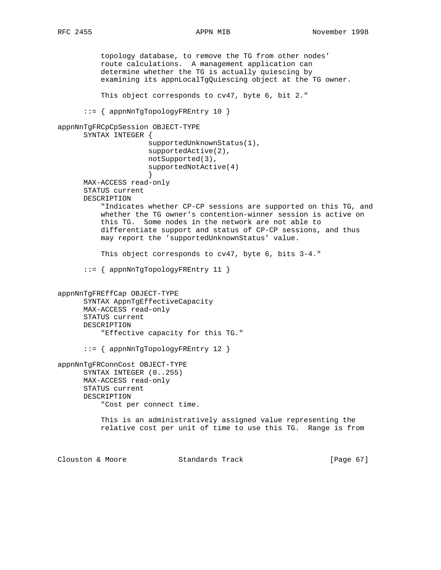topology database, to remove the TG from other nodes' route calculations. A management application can determine whether the TG is actually quiescing by examining its appnLocalTgQuiescing object at the TG owner. This object corresponds to cv47, byte 6, bit 2." ::= { appnNnTgTopologyFREntry 10 } appnNnTgFRCpCpSession OBJECT-TYPE SYNTAX INTEGER { supportedUnknownStatus(1), supportedActive(2), notSupported(3), supportedNotActive(4) } MAX-ACCESS read-only STATUS current DESCRIPTION "Indicates whether CP-CP sessions are supported on this TG, and whether the TG owner's contention-winner session is active on this TG. Some nodes in the network are not able to differentiate support and status of CP-CP sessions, and thus may report the 'supportedUnknownStatus' value. This object corresponds to cv47, byte 6, bits 3-4." ::= { appnNnTgTopologyFREntry 11 } appnNnTgFREffCap OBJECT-TYPE SYNTAX AppnTgEffectiveCapacity MAX-ACCESS read-only STATUS current DESCRIPTION "Effective capacity for this TG." ::= { appnNnTgTopologyFREntry 12 } appnNnTgFRConnCost OBJECT-TYPE SYNTAX INTEGER (0..255) MAX-ACCESS read-only STATUS current DESCRIPTION "Cost per connect time. This is an administratively assigned value representing the relative cost per unit of time to use this TG. Range is from Clouston & Moore Standards Track [Page 67]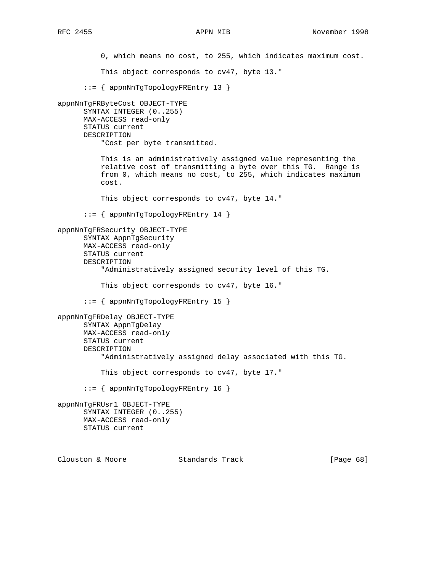0, which means no cost, to 255, which indicates maximum cost. This object corresponds to cv47, byte 13." ::= { appnNnTgTopologyFREntry 13 } appnNnTgFRByteCost OBJECT-TYPE SYNTAX INTEGER (0..255) MAX-ACCESS read-only STATUS current DESCRIPTION "Cost per byte transmitted. This is an administratively assigned value representing the relative cost of transmitting a byte over this TG. Range is from 0, which means no cost, to 255, which indicates maximum cost. This object corresponds to cv47, byte 14." ::= { appnNnTgTopologyFREntry 14 } appnNnTgFRSecurity OBJECT-TYPE SYNTAX AppnTgSecurity MAX-ACCESS read-only STATUS current DESCRIPTION "Administratively assigned security level of this TG. This object corresponds to cv47, byte 16." ::= { appnNnTgTopologyFREntry 15 } appnNnTgFRDelay OBJECT-TYPE SYNTAX AppnTgDelay MAX-ACCESS read-only STATUS current DESCRIPTION "Administratively assigned delay associated with this TG. This object corresponds to cv47, byte 17." ::= { appnNnTgTopologyFREntry 16 } appnNnTgFRUsr1 OBJECT-TYPE SYNTAX INTEGER (0..255) MAX-ACCESS read-only STATUS current Clouston & Moore Standards Track [Page 68]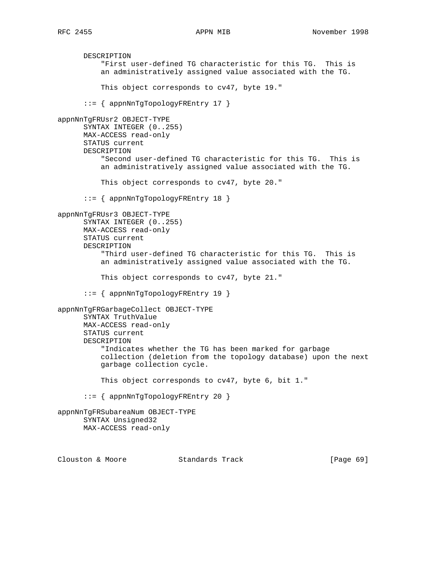DESCRIPTION "First user-defined TG characteristic for this TG. This is an administratively assigned value associated with the TG. This object corresponds to cv47, byte 19." ::= { appnNnTgTopologyFREntry 17 } appnNnTgFRUsr2 OBJECT-TYPE SYNTAX INTEGER (0..255) MAX-ACCESS read-only STATUS current DESCRIPTION "Second user-defined TG characteristic for this TG. This is an administratively assigned value associated with the TG. This object corresponds to cv47, byte 20." ::= { appnNnTgTopologyFREntry 18 } appnNnTgFRUsr3 OBJECT-TYPE SYNTAX INTEGER (0..255) MAX-ACCESS read-only STATUS current DESCRIPTION "Third user-defined TG characteristic for this TG. This is an administratively assigned value associated with the TG. This object corresponds to cv47, byte 21." ::= { appnNnTgTopologyFREntry 19 } appnNnTgFRGarbageCollect OBJECT-TYPE SYNTAX TruthValue MAX-ACCESS read-only STATUS current DESCRIPTION "Indicates whether the TG has been marked for garbage collection (deletion from the topology database) upon the next garbage collection cycle. This object corresponds to cv47, byte 6, bit 1." ::= { appnNnTgTopologyFREntry 20 } appnNnTgFRSubareaNum OBJECT-TYPE SYNTAX Unsigned32 MAX-ACCESS read-only Clouston & Moore Standards Track [Page 69]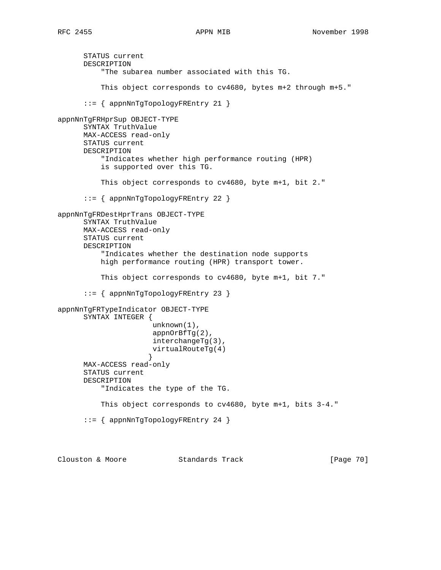STATUS current DESCRIPTION "The subarea number associated with this TG. This object corresponds to cv4680, bytes m+2 through m+5." ::= { appnNnTgTopologyFREntry 21 } appnNnTgFRHprSup OBJECT-TYPE SYNTAX TruthValue MAX-ACCESS read-only STATUS current DESCRIPTION "Indicates whether high performance routing (HPR) is supported over this TG. This object corresponds to cv4680, byte m+1, bit 2." ::= { appnNnTgTopologyFREntry 22 } appnNnTgFRDestHprTrans OBJECT-TYPE SYNTAX TruthValue MAX-ACCESS read-only STATUS current DESCRIPTION "Indicates whether the destination node supports high performance routing (HPR) transport tower. This object corresponds to cv4680, byte m+1, bit 7." ::= { appnNnTgTopologyFREntry 23 } appnNnTgFRTypeIndicator OBJECT-TYPE SYNTAX INTEGER { unknown(1), appnOrBfTg(2), interchangeTg(3), virtualRouteTg(4) } MAX-ACCESS read-only STATUS current DESCRIPTION "Indicates the type of the TG. This object corresponds to cv4680, byte m+1, bits 3-4." ::= { appnNnTgTopologyFREntry 24 }

Clouston & Moore 6 Standards Track [Page 70]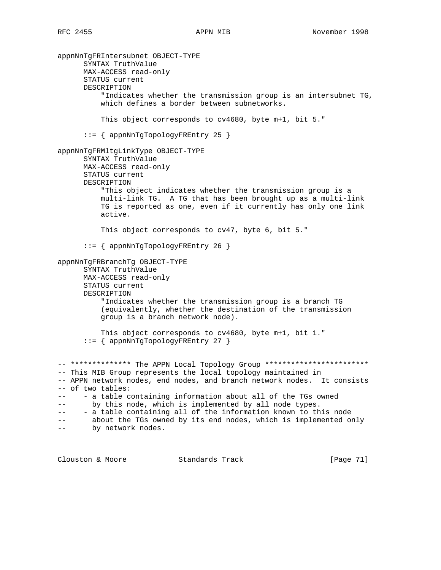appnNnTgFRIntersubnet OBJECT-TYPE SYNTAX TruthValue MAX-ACCESS read-only STATUS current DESCRIPTION "Indicates whether the transmission group is an intersubnet TG, which defines a border between subnetworks. This object corresponds to cv4680, byte m+1, bit 5." ::= { appnNnTgTopologyFREntry 25 } appnNnTgFRMltgLinkType OBJECT-TYPE SYNTAX TruthValue MAX-ACCESS read-only STATUS current DESCRIPTION "This object indicates whether the transmission group is a multi-link TG. A TG that has been brought up as a multi-link TG is reported as one, even if it currently has only one link active. This object corresponds to cv47, byte 6, bit 5." ::= { appnNnTgTopologyFREntry 26 } appnNnTgFRBranchTg OBJECT-TYPE SYNTAX TruthValue MAX-ACCESS read-only STATUS current DESCRIPTION "Indicates whether the transmission group is a branch TG (equivalently, whether the destination of the transmission group is a branch network node). This object corresponds to cv4680, byte m+1, bit 1." ::= { appnNnTgTopologyFREntry 27 } -- \*\*\*\*\*\*\*\*\*\*\*\*\* The APPN Local Topology Group \*\*\*\*\*\*\*\*\*\*\*\*\*\*\*\*\*\*\*\*\*\*\*\* -- This MIB Group represents the local topology maintained in -- APPN network nodes, end nodes, and branch network nodes. It consists -- of two tables: -- - a table containing information about all of the TGs owned -- by this node, which is implemented by all node types. -- - a table containing all of the information known to this node -- about the TGs owned by its end nodes, which is implemented only -- by network nodes.

Clouston & Moore Standards Track [Page 71]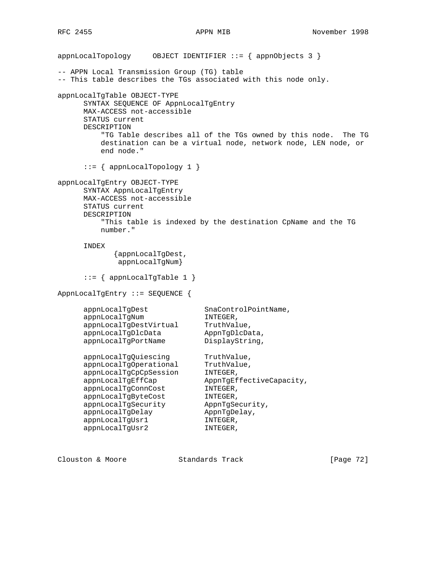appnLocalTopology OBJECT IDENTIFIER ::= { appnObjects 3 } -- APPN Local Transmission Group (TG) table -- This table describes the TGs associated with this node only. appnLocalTgTable OBJECT-TYPE SYNTAX SEQUENCE OF AppnLocalTgEntry MAX-ACCESS not-accessible STATUS current DESCRIPTION "TG Table describes all of the TGs owned by this node. The TG destination can be a virtual node, network node, LEN node, or end node." ::= { appnLocalTopology 1 } appnLocalTgEntry OBJECT-TYPE SYNTAX AppnLocalTgEntry MAX-ACCESS not-accessible STATUS current DESCRIPTION "This table is indexed by the destination CpName and the TG number." INDEX {appnLocalTgDest, appnLocalTgNum} ::= { appnLocalTgTable 1 } AppnLocalTgEntry ::= SEQUENCE { appnLocalTgDest SnaControlPointName, appnLocalTgNum INTEGER, appnLocalTgDestVirtual TruthValue, appnLocalTgDlcData AppnTgDlcData, appnLocalTgPortName DisplayString, appnLocalTgQuiescing TruthValue, appnLocalTgOperational TruthValue, appnLocalTgCpCpSession INTEGER, appnLocalTgEffCap AppnTgEffectiveCapacity, appnLocalTgConnCost INTEGER, appnLocalTgByteCost INTEGER, appnLocalTgSecurity AppnTgSecurity, appnLocalTgDelay AppnTgDelay, appnLocalTgUsr1 INTEGER, appnLocalTgUsr2 INTEGER,

Clouston & Moore Standards Track [Page 72]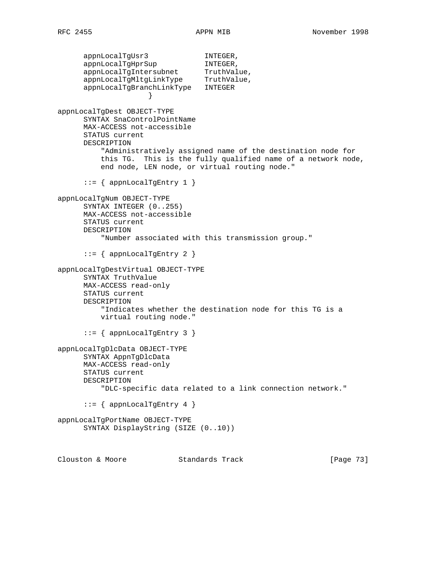appnLocalTgUsr3 INTEGER, appnLocalTgHprSup INTEGER, appnLocalTgIntersubnet TruthValue, appnLocalTgMltgLinkType TruthValue, appnLocalTgBranchLinkType INTEGER } appnLocalTgDest OBJECT-TYPE SYNTAX SnaControlPointName MAX-ACCESS not-accessible STATUS current DESCRIPTION "Administratively assigned name of the destination node for this TG. This is the fully qualified name of a network node, end node, LEN node, or virtual routing node."  $::=$  { appnLocalTgEntry 1 } appnLocalTgNum OBJECT-TYPE SYNTAX INTEGER (0..255) MAX-ACCESS not-accessible STATUS current DESCRIPTION "Number associated with this transmission group."  $::=$  { appnLocalTgEntry 2 } appnLocalTgDestVirtual OBJECT-TYPE SYNTAX TruthValue MAX-ACCESS read-only STATUS current DESCRIPTION "Indicates whether the destination node for this TG is a virtual routing node." ::= { appnLocalTgEntry 3 } appnLocalTgDlcData OBJECT-TYPE SYNTAX AppnTgDlcData MAX-ACCESS read-only STATUS current DESCRIPTION "DLC-specific data related to a link connection network."  $::=$  { appnLocalTgEntry 4 } appnLocalTgPortName OBJECT-TYPE SYNTAX DisplayString (SIZE (0..10)) Clouston & Moore 6 Standards Track [Page 73]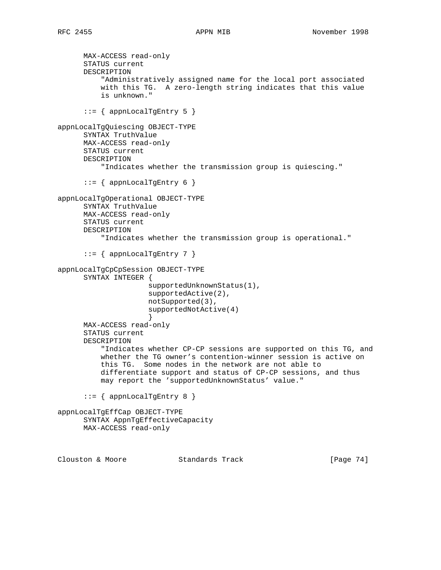```
 MAX-ACCESS read-only
       STATUS current
       DESCRIPTION
           "Administratively assigned name for the local port associated
           with this TG. A zero-length string indicates that this value
           is unknown."
      ::= { appnLocalTgEntry 5 }
appnLocalTgQuiescing OBJECT-TYPE
       SYNTAX TruthValue
      MAX-ACCESS read-only
       STATUS current
      DESCRIPTION
           "Indicates whether the transmission group is quiescing."
      ::= { appnLocalTgEntry 6 }
appnLocalTgOperational OBJECT-TYPE
       SYNTAX TruthValue
      MAX-ACCESS read-only
       STATUS current
      DESCRIPTION
           "Indicates whether the transmission group is operational."
      ::= { appnLocalTgEntry 7 }
appnLocalTgCpCpSession OBJECT-TYPE
       SYNTAX INTEGER {
                      supportedUnknownStatus(1),
                      supportedActive(2),
                      notSupported(3),
                      supportedNotActive(4)
 }
      MAX-ACCESS read-only
       STATUS current
       DESCRIPTION
           "Indicates whether CP-CP sessions are supported on this TG, and
           whether the TG owner's contention-winner session is active on
           this TG. Some nodes in the network are not able to
           differentiate support and status of CP-CP sessions, and thus
           may report the 'supportedUnknownStatus' value."
      ::= { appnLocalTgEntry 8 }
appnLocalTgEffCap OBJECT-TYPE
       SYNTAX AppnTgEffectiveCapacity
      MAX-ACCESS read-only
```
Clouston & Moore Standards Track [Page 74]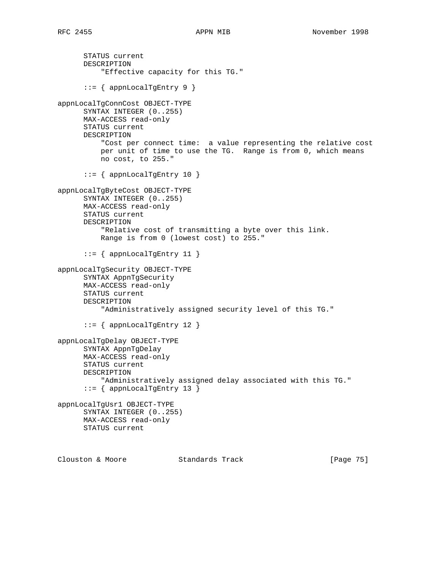STATUS current DESCRIPTION "Effective capacity for this TG." ::= { appnLocalTgEntry 9 } appnLocalTgConnCost OBJECT-TYPE SYNTAX INTEGER (0..255) MAX-ACCESS read-only STATUS current DESCRIPTION "Cost per connect time: a value representing the relative cost per unit of time to use the TG. Range is from 0, which means no cost, to 255." ::= { appnLocalTgEntry 10 } appnLocalTgByteCost OBJECT-TYPE SYNTAX INTEGER (0..255) MAX-ACCESS read-only STATUS current DESCRIPTION "Relative cost of transmitting a byte over this link. Range is from 0 (lowest cost) to 255."  $::=$  { appnLocalTgEntry 11 } appnLocalTgSecurity OBJECT-TYPE SYNTAX AppnTgSecurity MAX-ACCESS read-only STATUS current DESCRIPTION "Administratively assigned security level of this TG." ::= { appnLocalTgEntry 12 } appnLocalTgDelay OBJECT-TYPE SYNTAX AppnTgDelay MAX-ACCESS read-only STATUS current DESCRIPTION "Administratively assigned delay associated with this TG." ::= { appnLocalTgEntry 13 } appnLocalTgUsr1 OBJECT-TYPE SYNTAX INTEGER (0..255) MAX-ACCESS read-only STATUS current

Clouston & Moore Standards Track [Page 75]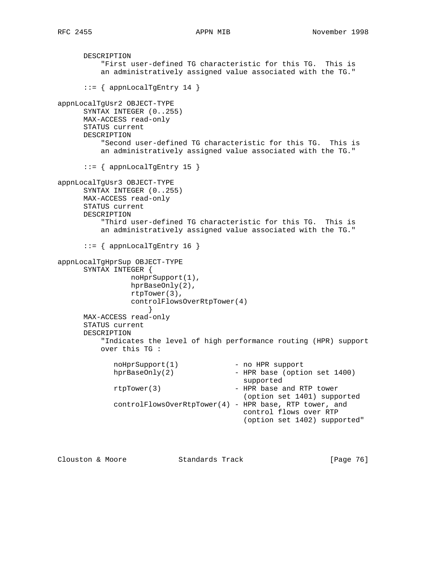```
 DESCRIPTION
           "First user-defined TG characteristic for this TG. This is
          an administratively assigned value associated with the TG."
      ::= { appnLocalTgEntry 14 }
appnLocalTgUsr2 OBJECT-TYPE
      SYNTAX INTEGER (0..255)
      MAX-ACCESS read-only
      STATUS current
      DESCRIPTION
           "Second user-defined TG characteristic for this TG. This is
          an administratively assigned value associated with the TG."
       ::= { appnLocalTgEntry 15 }
appnLocalTgUsr3 OBJECT-TYPE
      SYNTAX INTEGER (0..255)
      MAX-ACCESS read-only
      STATUS current
      DESCRIPTION
          "Third user-defined TG characteristic for this TG. This is
          an administratively assigned value associated with the TG."
       ::= { appnLocalTgEntry 16 }
appnLocalTgHprSup OBJECT-TYPE
      SYNTAX INTEGER {
                 noHprSupport(1),
                 hprBaseOnly(2),
                 rtpTower(3),
                 controlFlowsOverRtpTower(4)
 }
      MAX-ACCESS read-only
      STATUS current
      DESCRIPTION
          "Indicates the level of high performance routing (HPR) support
          over this TG :
            noHprSupport(1) - no HPR support
            hprBaseOnly(2) - HPR base (option set 1400)
                                          supported
             rtpTower(3) - HPR base and RTP tower
                                          (option set 1401) supported
             controlFlowsOverRtpTower(4) - HPR base, RTP tower, and
                                           control flows over RTP
                                           (option set 1402) supported"
```
Clouston & Moore Standards Track [Page 76]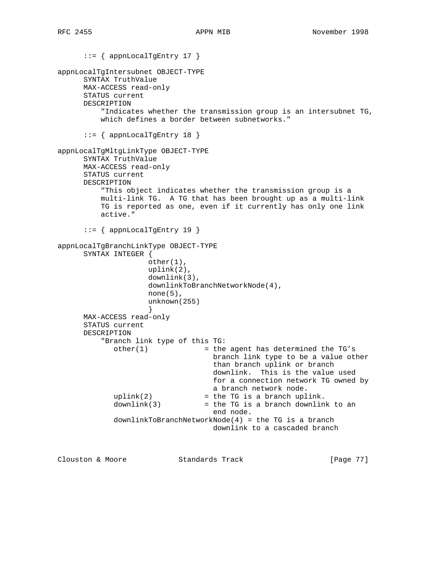::= { appnLocalTgEntry 17 } appnLocalTgIntersubnet OBJECT-TYPE SYNTAX TruthValue MAX-ACCESS read-only STATUS current DESCRIPTION "Indicates whether the transmission group is an intersubnet TG, which defines a border between subnetworks." ::= { appnLocalTgEntry 18 } appnLocalTgMltgLinkType OBJECT-TYPE SYNTAX TruthValue MAX-ACCESS read-only STATUS current DESCRIPTION "This object indicates whether the transmission group is a multi-link TG. A TG that has been brought up as a multi-link TG is reported as one, even if it currently has only one link active." ::= { appnLocalTgEntry 19 } appnLocalTgBranchLinkType OBJECT-TYPE SYNTAX INTEGER { other(1), uplink(2), downlink(3), downlinkToBranchNetworkNode(4),  $none(5)$ , unknown(255) } MAX-ACCESS read-only STATUS current DESCRIPTION "Branch link type of this TG:  $other(1)$  = the agent has determined the TG's branch link type to be a value other than branch uplink or branch downlink. This is the value used for a connection network TG owned by a branch network node.  $uplink(2)$  = the TG is a branch uplink.  $downlink(3)$  = the TG is a branch downlink to an end node. downlinkToBranchNetworkNode(4) = the TG is a branch downlink to a cascaded branch

Clouston & Moore Standards Track [Page 77]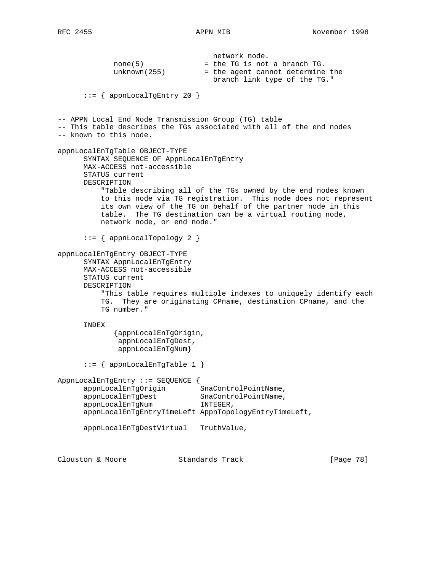network node.  $none(5)$  = the TG is not a branch TG. unknown(255) = the agent cannot determine the branch link type of the TG."  $::=$  { appnLocalTgEntry 20 } -- APPN Local End Node Transmission Group (TG) table -- This table describes the TGs associated with all of the end nodes -- known to this node. appnLocalEnTgTable OBJECT-TYPE SYNTAX SEQUENCE OF AppnLocalEnTgEntry MAX-ACCESS not-accessible STATUS current DESCRIPTION "Table describing all of the TGs owned by the end nodes known to this node via TG registration. This node does not represent its own view of the TG on behalf of the partner node in this table. The TG destination can be a virtual routing node, network node, or end node." ::= { appnLocalTopology 2 } appnLocalEnTgEntry OBJECT-TYPE SYNTAX AppnLocalEnTgEntry MAX-ACCESS not-accessible STATUS current DESCRIPTION "This table requires multiple indexes to uniquely identify each TG. They are originating CPname, destination CPname, and the TG number." INDEX {appnLocalEnTgOrigin, appnLocalEnTgDest, appnLocalEnTgNum} ::= { appnLocalEnTgTable 1 } AppnLocalEnTgEntry ::= SEQUENCE { appnLocalEnTgOrigin SnaControlPointName, appnLocalEnTgDest SnaControlPointName, appnLocalEnTgNum INTEGER, appnLocalEnTgEntryTimeLeft AppnTopologyEntryTimeLeft, appnLocalEnTgDestVirtual TruthValue, Clouston & Moore Standards Track [Page 78]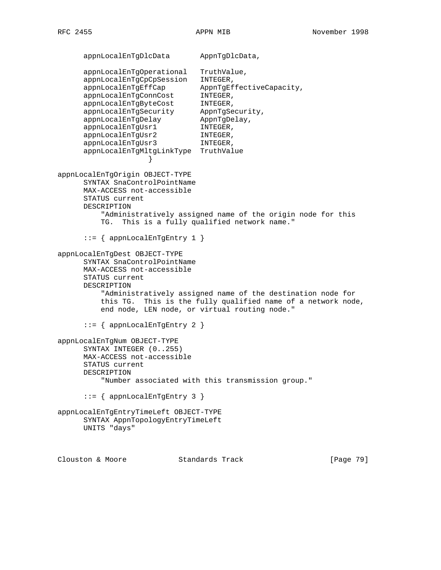appnLocalEnTgDlcData AppnTgDlcData, appnLocalEnTgOperational TruthValue, appnLocalEnTgCpCpSession INTEGER, appnLocalEnTgEffCap AppnTgEffectiveCapacity, appnLocalEnTgConnCost INTEGER, appnLocalEnTgByteCost INTEGER, appnLocalEnTgSecurity AppnTgSecurity, appnLocalEnTgDelay AppnTgDelay, appnLocalEnTgUsr1 INTEGER, appnLocalEnTgUsr2 INTEGER, appnLocalEnTgUsr3 INTEGER, appnLocalEnTgMltgLinkType TruthValue } appnLocalEnTgOrigin OBJECT-TYPE SYNTAX SnaControlPointName MAX-ACCESS not-accessible STATUS current DESCRIPTION "Administratively assigned name of the origin node for this TG. This is a fully qualified network name." ::= { appnLocalEnTgEntry 1 } appnLocalEnTgDest OBJECT-TYPE SYNTAX SnaControlPointName MAX-ACCESS not-accessible STATUS current DESCRIPTION "Administratively assigned name of the destination node for this TG. This is the fully qualified name of a network node, end node, LEN node, or virtual routing node." ::= { appnLocalEnTgEntry 2 } appnLocalEnTgNum OBJECT-TYPE SYNTAX INTEGER (0..255) MAX-ACCESS not-accessible STATUS current DESCRIPTION "Number associated with this transmission group." ::= { appnLocalEnTgEntry 3 } appnLocalEnTgEntryTimeLeft OBJECT-TYPE SYNTAX AppnTopologyEntryTimeLeft UNITS "days"

Clouston & Moore Standards Track [Page 79]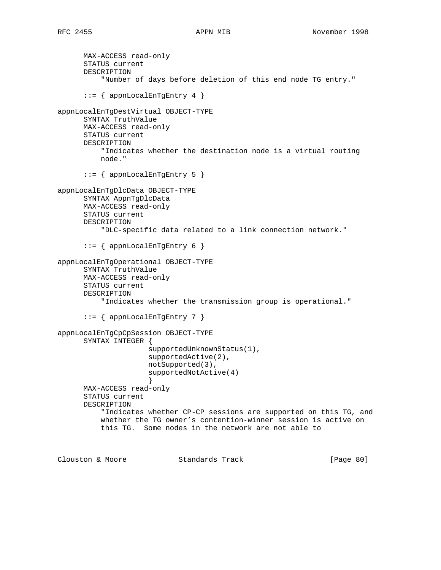```
 MAX-ACCESS read-only
       STATUS current
      DESCRIPTION
           "Number of days before deletion of this end node TG entry."
       ::= { appnLocalEnTgEntry 4 }
appnLocalEnTgDestVirtual OBJECT-TYPE
      SYNTAX TruthValue
      MAX-ACCESS read-only
      STATUS current
      DESCRIPTION
           "Indicates whether the destination node is a virtual routing
          node."
       ::= { appnLocalEnTgEntry 5 }
appnLocalEnTgDlcData OBJECT-TYPE
      SYNTAX AppnTgDlcData
      MAX-ACCESS read-only
      STATUS current
      DESCRIPTION
           "DLC-specific data related to a link connection network."
       ::= { appnLocalEnTgEntry 6 }
appnLocalEnTgOperational OBJECT-TYPE
       SYNTAX TruthValue
      MAX-ACCESS read-only
      STATUS current
      DESCRIPTION
           "Indicates whether the transmission group is operational."
       ::= { appnLocalEnTgEntry 7 }
appnLocalEnTgCpCpSession OBJECT-TYPE
      SYNTAX INTEGER {
                     supportedUnknownStatus(1),
                     supportedActive(2),
                     notSupported(3),
                     supportedNotActive(4)
 }
      MAX-ACCESS read-only
      STATUS current
      DESCRIPTION
           "Indicates whether CP-CP sessions are supported on this TG, and
          whether the TG owner's contention-winner session is active on
          this TG. Some nodes in the network are not able to
Clouston & Moore Standards Track [Page 80]
```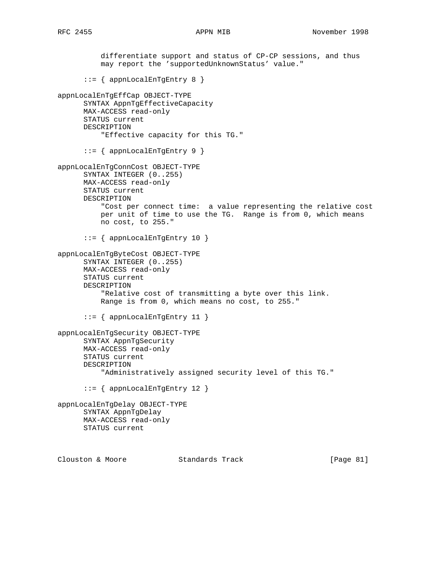differentiate support and status of CP-CP sessions, and thus may report the 'supportedUnknownStatus' value." ::= { appnLocalEnTgEntry 8 } appnLocalEnTgEffCap OBJECT-TYPE SYNTAX AppnTgEffectiveCapacity MAX-ACCESS read-only STATUS current DESCRIPTION "Effective capacity for this TG." ::= { appnLocalEnTgEntry 9 } appnLocalEnTgConnCost OBJECT-TYPE SYNTAX INTEGER (0..255) MAX-ACCESS read-only STATUS current DESCRIPTION "Cost per connect time: a value representing the relative cost per unit of time to use the TG. Range is from 0, which means no cost, to 255." ::= { appnLocalEnTgEntry 10 } appnLocalEnTgByteCost OBJECT-TYPE SYNTAX INTEGER (0..255) MAX-ACCESS read-only STATUS current DESCRIPTION "Relative cost of transmitting a byte over this link. Range is from 0, which means no cost, to 255." ::= { appnLocalEnTgEntry 11 } appnLocalEnTgSecurity OBJECT-TYPE SYNTAX AppnTgSecurity MAX-ACCESS read-only STATUS current DESCRIPTION "Administratively assigned security level of this TG." ::= { appnLocalEnTgEntry 12 } appnLocalEnTgDelay OBJECT-TYPE SYNTAX AppnTgDelay MAX-ACCESS read-only STATUS current Clouston & Moore Standards Track [Page 81]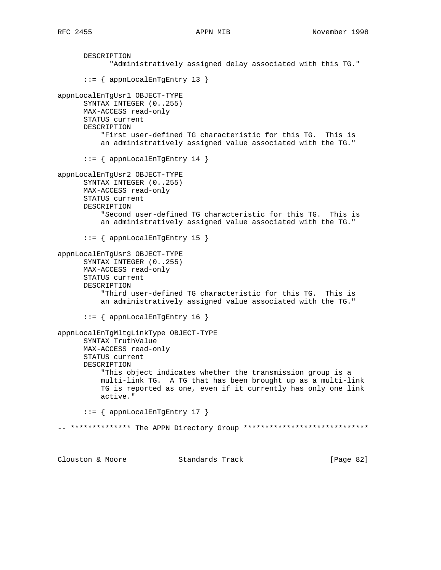```
 DESCRIPTION
             "Administratively assigned delay associated with this TG."
       ::= { appnLocalEnTgEntry 13 }
appnLocalEnTgUsr1 OBJECT-TYPE
       SYNTAX INTEGER (0..255)
      MAX-ACCESS read-only
      STATUS current
      DESCRIPTION
           "First user-defined TG characteristic for this TG. This is
           an administratively assigned value associated with the TG."
       ::= { appnLocalEnTgEntry 14 }
appnLocalEnTgUsr2 OBJECT-TYPE
       SYNTAX INTEGER (0..255)
      MAX-ACCESS read-only
      STATUS current
      DESCRIPTION
           "Second user-defined TG characteristic for this TG. This is
           an administratively assigned value associated with the TG."
       ::= { appnLocalEnTgEntry 15 }
appnLocalEnTgUsr3 OBJECT-TYPE
       SYNTAX INTEGER (0..255)
      MAX-ACCESS read-only
       STATUS current
      DESCRIPTION
           "Third user-defined TG characteristic for this TG. This is
           an administratively assigned value associated with the TG."
       ::= { appnLocalEnTgEntry 16 }
appnLocalEnTgMltgLinkType OBJECT-TYPE
       SYNTAX TruthValue
      MAX-ACCESS read-only
       STATUS current
       DESCRIPTION
           "This object indicates whether the transmission group is a
           multi-link TG. A TG that has been brought up as a multi-link
           TG is reported as one, even if it currently has only one link
           active."
       ::= { appnLocalEnTgEntry 17 }
-- ************* The APPN Directory Group *****************************
```
Clouston & Moore Standards Track [Page 82]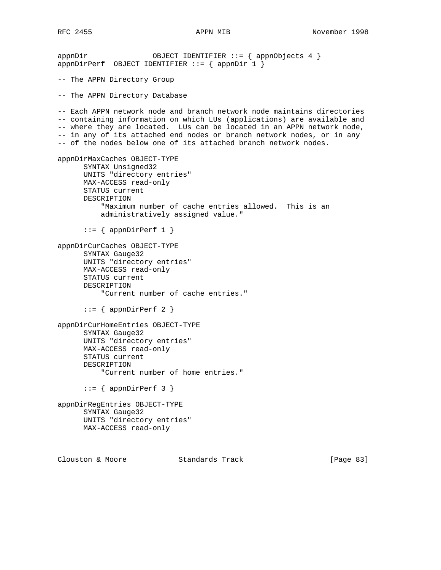```
appnDir     OBJECT IDENTIFIER ::= { appnObjects 4 }
appnDirPerf OBJECT IDENTIFIER ::= { appnDir 1 }
-- The APPN Directory Group
-- The APPN Directory Database
-- Each APPN network node and branch network node maintains directories
-- containing information on which LUs (applications) are available and
-- where they are located. LUs can be located in an APPN network node,
-- in any of its attached end nodes or branch network nodes, or in any
-- of the nodes below one of its attached branch network nodes.
appnDirMaxCaches OBJECT-TYPE
      SYNTAX Unsigned32
      UNITS "directory entries"
      MAX-ACCESS read-only
      STATUS current
      DESCRIPTION
          "Maximum number of cache entries allowed. This is an
          administratively assigned value."
     ::= { appnDirPerf 1 }
appnDirCurCaches OBJECT-TYPE
      SYNTAX Gauge32
      UNITS "directory entries"
      MAX-ACCESS read-only
      STATUS current
      DESCRIPTION
           "Current number of cache entries."
     ::= { appnDirPerf 2 }
appnDirCurHomeEntries OBJECT-TYPE
      SYNTAX Gauge32
      UNITS "directory entries"
      MAX-ACCESS read-only
      STATUS current
      DESCRIPTION
          "Current number of home entries."
     ::= { appnDirPerf 3 }
appnDirRegEntries OBJECT-TYPE
      SYNTAX Gauge32
      UNITS "directory entries"
      MAX-ACCESS read-only
Clouston & Moore Standards Track [Page 83]
```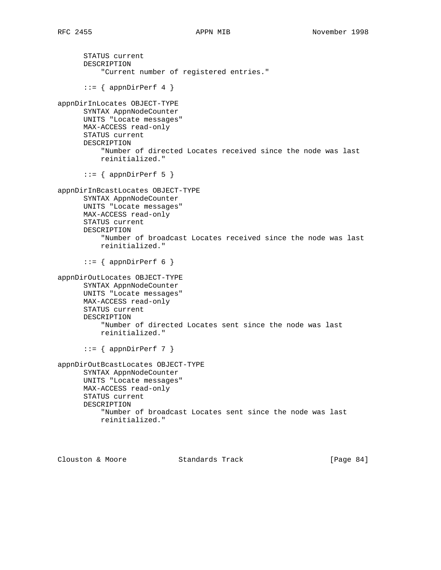STATUS current DESCRIPTION "Current number of registered entries."  $::=$  { appnDirPerf 4 } appnDirInLocates OBJECT-TYPE SYNTAX AppnNodeCounter UNITS "Locate messages" MAX-ACCESS read-only STATUS current DESCRIPTION "Number of directed Locates received since the node was last reinitialized."  $::=$  { appnDirPerf 5 } appnDirInBcastLocates OBJECT-TYPE SYNTAX AppnNodeCounter UNITS "Locate messages" MAX-ACCESS read-only STATUS current DESCRIPTION "Number of broadcast Locates received since the node was last reinitialized."  $::=$  { appnDirPerf 6 } appnDirOutLocates OBJECT-TYPE SYNTAX AppnNodeCounter UNITS "Locate messages" MAX-ACCESS read-only STATUS current DESCRIPTION "Number of directed Locates sent since the node was last reinitialized."  $::=$  { appnDirPerf 7 } appnDirOutBcastLocates OBJECT-TYPE SYNTAX AppnNodeCounter UNITS "Locate messages" MAX-ACCESS read-only STATUS current DESCRIPTION "Number of broadcast Locates sent since the node was last reinitialized."

Clouston & Moore 6 Standards Track [Page 84]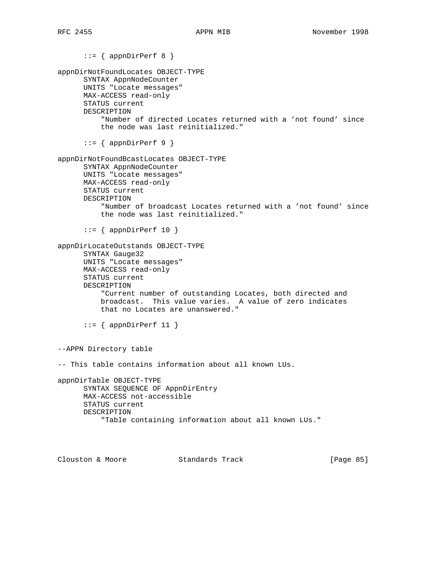$::=$  { appnDirPerf 8 } appnDirNotFoundLocates OBJECT-TYPE SYNTAX AppnNodeCounter UNITS "Locate messages" MAX-ACCESS read-only STATUS current DESCRIPTION "Number of directed Locates returned with a 'not found' since the node was last reinitialized."  $::=$  { appnDirPerf 9 } appnDirNotFoundBcastLocates OBJECT-TYPE SYNTAX AppnNodeCounter UNITS "Locate messages" MAX-ACCESS read-only STATUS current DESCRIPTION "Number of broadcast Locates returned with a 'not found' since the node was last reinitialized."  $::=$  { appnDirPerf 10 } appnDirLocateOutstands OBJECT-TYPE SYNTAX Gauge32 UNITS "Locate messages" MAX-ACCESS read-only STATUS current DESCRIPTION "Current number of outstanding Locates, both directed and broadcast. This value varies. A value of zero indicates that no Locates are unanswered."  $::=$  { appnDirPerf 11 } --APPN Directory table -- This table contains information about all known LUs. appnDirTable OBJECT-TYPE SYNTAX SEQUENCE OF AppnDirEntry MAX-ACCESS not-accessible STATUS current DESCRIPTION "Table containing information about all known LUs."

Clouston & Moore Standards Track [Page 85]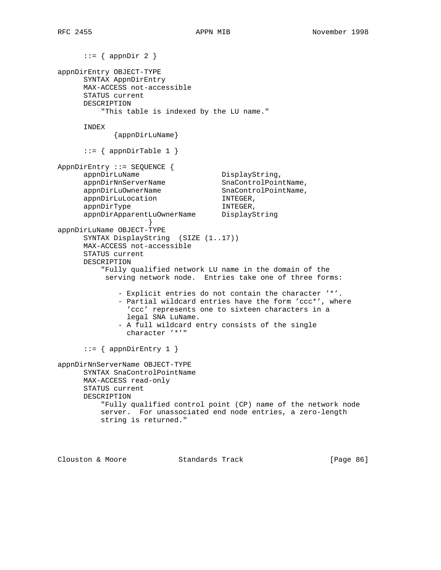$::=$  { appnDir 2 } appnDirEntry OBJECT-TYPE SYNTAX AppnDirEntry MAX-ACCESS not-accessible STATUS current DESCRIPTION "This table is indexed by the LU name." INDEX {appnDirLuName}  $::=$  { appnDirTable 1 } AppnDirEntry ::= SEQUENCE { appnDirLuName DisplayString, appnDirNnServerName SnaControlPointName, appnDirLuOwnerName SnaControlPointName, appnDirLuLocation INTEGER, appnDirType INTEGER, appnDirApparentLuOwnerName DisplayString } appnDirLuName OBJECT-TYPE SYNTAX DisplayString (SIZE (1..17)) MAX-ACCESS not-accessible STATUS current DESCRIPTION "Fully qualified network LU name in the domain of the serving network node. Entries take one of three forms: - Explicit entries do not contain the character '\*'. - Partial wildcard entries have the form 'ccc\*', where 'ccc' represents one to sixteen characters in a legal SNA LuName. - A full wildcard entry consists of the single character '\*'" ::=  $\{$  appnDirEntry 1  $\}$ appnDirNnServerName OBJECT-TYPE SYNTAX SnaControlPointName MAX-ACCESS read-only STATUS current DESCRIPTION "Fully qualified control point (CP) name of the network node server. For unassociated end node entries, a zero-length string is returned."

Clouston & Moore Standards Track [Page 86]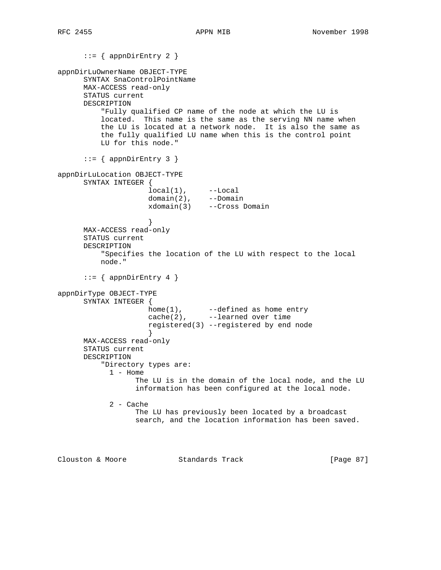::= { appnDirEntry 2 } appnDirLuOwnerName OBJECT-TYPE SYNTAX SnaControlPointName MAX-ACCESS read-only STATUS current DESCRIPTION "Fully qualified CP name of the node at which the LU is located. This name is the same as the serving NN name when the LU is located at a network node. It is also the same as the fully qualified LU name when this is the control point LU for this node."  $::=$  { appnDirEntry 3 } appnDirLuLocation OBJECT-TYPE SYNTAX INTEGER { local(1), --Local domain(2), --Domain xdomain(3) --Cross Domain } MAX-ACCESS read-only STATUS current DESCRIPTION "Specifies the location of the LU with respect to the local node."  $::=$  { appnDirEntry 4 } appnDirType OBJECT-TYPE SYNTAX INTEGER { home(1), --defined as home entry cache(2), --learned over time registered(3) --registered by end node } MAX-ACCESS read-only STATUS current DESCRIPTION "Directory types are: 1 - Home The LU is in the domain of the local node, and the LU information has been configured at the local node. 2 - Cache The LU has previously been located by a broadcast search, and the location information has been saved. Clouston & Moore Standards Track [Page 87]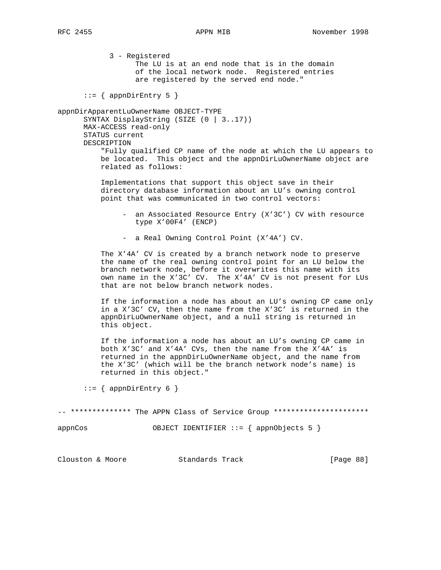3 - Registered The LU is at an end node that is in the domain of the local network node. Registered entries are registered by the served end node."  $::=$  { appnDirEntry 5 } appnDirApparentLuOwnerName OBJECT-TYPE SYNTAX DisplayString (SIZE (0 | 3..17)) MAX-ACCESS read-only STATUS current DESCRIPTION "Fully qualified CP name of the node at which the LU appears to be located. This object and the appnDirLuOwnerName object are related as follows: Implementations that support this object save in their directory database information about an LU's owning control point that was communicated in two control vectors: - an Associated Resource Entry (X'3C') CV with resource type X'00F4' (ENCP) - a Real Owning Control Point (X'4A') CV. The X'4A' CV is created by a branch network node to preserve the name of the real owning control point for an LU below the branch network node, before it overwrites this name with its own name in the X'3C' CV. The X'4A' CV is not present for LUs that are not below branch network nodes. If the information a node has about an LU's owning CP came only in a X'3C' CV, then the name from the X'3C' is returned in the appnDirLuOwnerName object, and a null string is returned in this object. If the information a node has about an LU's owning CP came in both X'3C' and X'4A' CVs, then the name from the X'4A' is returned in the appnDirLuOwnerName object, and the name from the X'3C' (which will be the branch network node's name) is returned in this object."  $::=$  { appnDirEntry 6 } -- \*\*\*\*\*\*\*\*\*\*\*\*\* The APPN Class of Service Group \*\*\*\*\*\*\*\*\*\*\*\*\*\*\*\*\*\*\*\*\*\* appnCos OBJECT IDENTIFIER ::= { appnObjects 5 } Clouston & Moore Standards Track [Page 88]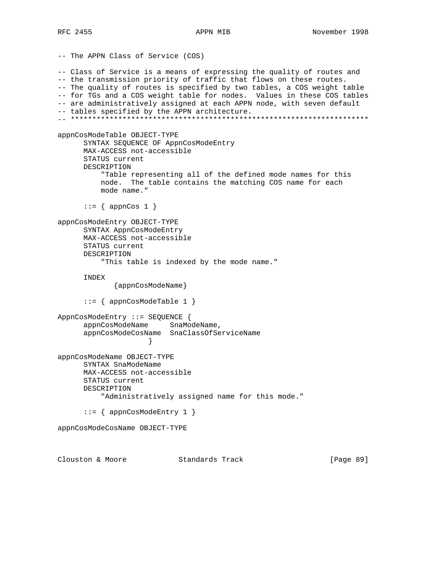```
-- The APPN Class of Service (COS)
-- Class of Service is a means of expressing the quality of routes and
-- the transmission priority of traffic that flows on these routes.
-- The quality of routes is specified by two tables, a COS weight table
-- for TGs and a COS weight table for nodes. Values in these COS tables
-- are administratively assigned at each APPN node, with seven default
-- tables specified by the APPN architecture.
-- *********************************************************************
appnCosModeTable OBJECT-TYPE
       SYNTAX SEQUENCE OF AppnCosModeEntry
      MAX-ACCESS not-accessible
       STATUS current
      DESCRIPTION
           "Table representing all of the defined mode names for this
           node. The table contains the matching COS name for each
           mode name."
      ::= \{ appnCos 1 \}appnCosModeEntry OBJECT-TYPE
       SYNTAX AppnCosModeEntry
      MAX-ACCESS not-accessible
      STATUS current
      DESCRIPTION
           "This table is indexed by the mode name."
       INDEX
              {appnCosModeName}
       ::= { appnCosModeTable 1 }
AppnCosModeEntry ::= SEQUENCE {
      appnCosModeName SnaModeName,
       appnCosModeCosName SnaClassOfServiceName
 }
appnCosModeName OBJECT-TYPE
       SYNTAX SnaModeName
      MAX-ACCESS not-accessible
      STATUS current
      DESCRIPTION
           "Administratively assigned name for this mode."
       ::= { appnCosModeEntry 1 }
appnCosModeCosName OBJECT-TYPE
```
Clouston & Moore Standards Track [Page 89]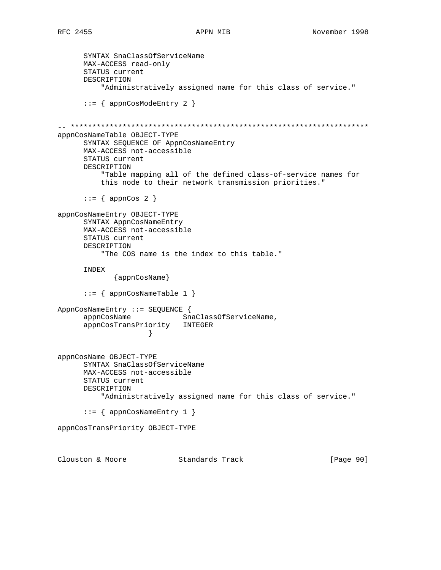```
 SYNTAX SnaClassOfServiceName
      MAX-ACCESS read-only
      STATUS current
      DESCRIPTION
           "Administratively assigned name for this class of service."
       ::= { appnCosModeEntry 2 }
-- *********************************************************************
appnCosNameTable OBJECT-TYPE
      SYNTAX SEQUENCE OF AppnCosNameEntry
      MAX-ACCESS not-accessible
      STATUS current
      DESCRIPTION
          "Table mapping all of the defined class-of-service names for
          this node to their network transmission priorities."
     ::= { appnCos 2 }
appnCosNameEntry OBJECT-TYPE
      SYNTAX AppnCosNameEntry
      MAX-ACCESS not-accessible
      STATUS current
      DESCRIPTION
          "The COS name is the index to this table."
      INDEX
             {appnCosName}
       ::= { appnCosNameTable 1 }
AppnCosNameEntry ::= SEQUENCE {
     appnCosName SnaClassOfServiceName,
      appnCosTransPriority INTEGER
 }
appnCosName OBJECT-TYPE
      SYNTAX SnaClassOfServiceName
      MAX-ACCESS not-accessible
      STATUS current
      DESCRIPTION
          "Administratively assigned name for this class of service."
       ::= { appnCosNameEntry 1 }
appnCosTransPriority OBJECT-TYPE
Clouston & Moore Standards Track [Page 90]
```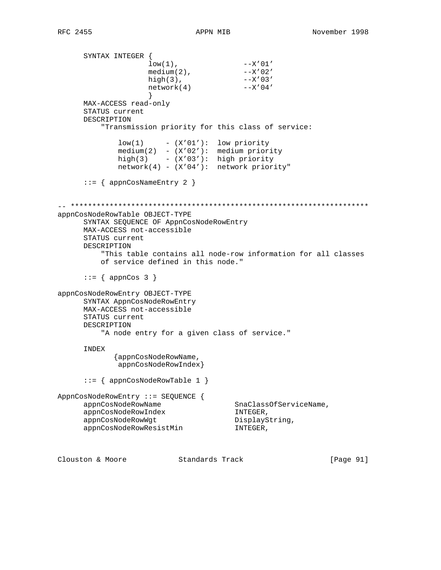SYNTAX INTEGER {  $low(1)$ ,  $--X'01'$  $median(2)$ ,  $--X'02'$  high(3), --X'03'  $\begin{array}{ccc} \text{max}(3) & -x' & 0 & 3' \\ \text{network}(4) & -x' & 0 & 4' \end{array}$  } MAX-ACCESS read-only STATUS current DESCRIPTION "Transmission priority for this class of service:  $low(1)$  -  $(X'01')$ : low priority medium(2) - (X'02'): medium priority high(3) - (X'03'): high priority network(4) - (X'04'): network priority"  $::=$  { appnCosNameEntry 2 } -- \*\*\*\*\*\*\*\*\*\*\*\*\*\*\*\*\*\*\*\*\*\*\*\*\*\*\*\*\*\*\*\*\*\*\*\*\*\*\*\*\*\*\*\*\*\*\*\*\*\*\*\*\*\*\*\*\*\*\*\*\*\*\*\*\*\*\*\*\* appnCosNodeRowTable OBJECT-TYPE SYNTAX SEQUENCE OF AppnCosNodeRowEntry MAX-ACCESS not-accessible STATUS current DESCRIPTION "This table contains all node-row information for all classes of service defined in this node."  $::=$  { appnCos 3 } appnCosNodeRowEntry OBJECT-TYPE SYNTAX AppnCosNodeRowEntry MAX-ACCESS not-accessible STATUS current DESCRIPTION "A node entry for a given class of service." INDEX {appnCosNodeRowName, appnCosNodeRowIndex} ::= { appnCosNodeRowTable 1 } AppnCosNodeRowEntry ::= SEQUENCE { appnCosNodeRowName SnaClassOfServiceName, appnCosNodeRowIndex INTEGER, appnCosNodeRowWgt DisplayString, appnCosNodeRowResistMin INTEGER,

Clouston & Moore Standards Track [Page 91]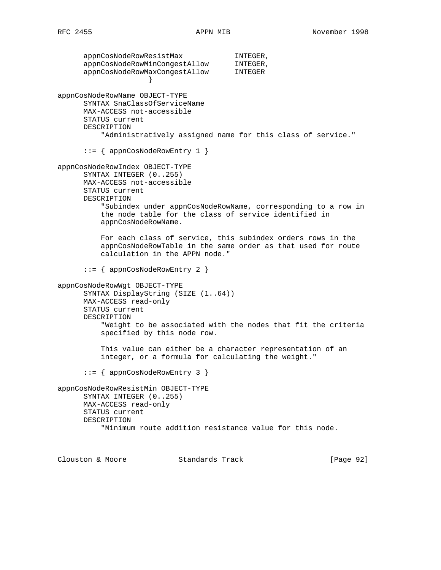appnCosNodeRowResistMax INTEGER, appnCosNodeRowMinCongestAllow INTEGER, appnCosNodeRowMaxCongestAllow INTEGER } appnCosNodeRowName OBJECT-TYPE SYNTAX SnaClassOfServiceName MAX-ACCESS not-accessible STATUS current DESCRIPTION "Administratively assigned name for this class of service." ::= { appnCosNodeRowEntry 1 } appnCosNodeRowIndex OBJECT-TYPE SYNTAX INTEGER (0..255) MAX-ACCESS not-accessible STATUS current DESCRIPTION "Subindex under appnCosNodeRowName, corresponding to a row in the node table for the class of service identified in appnCosNodeRowName. For each class of service, this subindex orders rows in the appnCosNodeRowTable in the same order as that used for route calculation in the APPN node." ::= { appnCosNodeRowEntry 2 } appnCosNodeRowWgt OBJECT-TYPE SYNTAX DisplayString (SIZE (1..64)) MAX-ACCESS read-only STATUS current DESCRIPTION "Weight to be associated with the nodes that fit the criteria specified by this node row. This value can either be a character representation of an integer, or a formula for calculating the weight." ::= { appnCosNodeRowEntry 3 } appnCosNodeRowResistMin OBJECT-TYPE SYNTAX INTEGER (0..255) MAX-ACCESS read-only STATUS current DESCRIPTION "Minimum route addition resistance value for this node.

Clouston & Moore Standards Track [Page 92]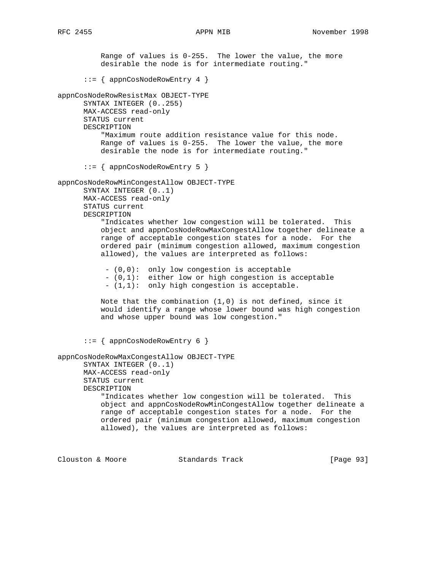Range of values is 0-255. The lower the value, the more desirable the node is for intermediate routing." ::= { appnCosNodeRowEntry 4 } appnCosNodeRowResistMax OBJECT-TYPE SYNTAX INTEGER (0..255) MAX-ACCESS read-only STATUS current DESCRIPTION "Maximum route addition resistance value for this node. Range of values is 0-255. The lower the value, the more desirable the node is for intermediate routing." ::= { appnCosNodeRowEntry 5 } appnCosNodeRowMinCongestAllow OBJECT-TYPE SYNTAX INTEGER (0..1) MAX-ACCESS read-only STATUS current DESCRIPTION "Indicates whether low congestion will be tolerated. This object and appnCosNodeRowMaxCongestAllow together delineate a range of acceptable congestion states for a node. For the ordered pair (minimum congestion allowed, maximum congestion allowed), the values are interpreted as follows: - (0,0): only low congestion is acceptable - (0,1): either low or high congestion is acceptable - (1,1): only high congestion is acceptable. Note that the combination  $(1,0)$  is not defined, since it would identify a range whose lower bound was high congestion and whose upper bound was low congestion." ::= { appnCosNodeRowEntry 6 } appnCosNodeRowMaxCongestAllow OBJECT-TYPE SYNTAX INTEGER (0..1) MAX-ACCESS read-only STATUS current DESCRIPTION "Indicates whether low congestion will be tolerated. This object and appnCosNodeRowMinCongestAllow together delineate a range of acceptable congestion states for a node. For the ordered pair (minimum congestion allowed, maximum congestion allowed), the values are interpreted as follows:

Clouston & Moore Standards Track [Page 93]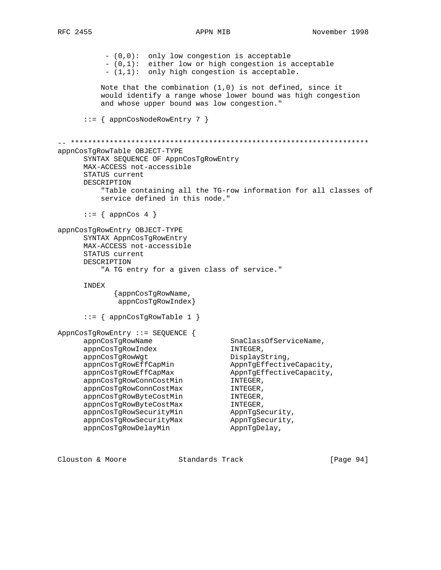- (0,0): only low congestion is acceptable - (0,1): either low or high congestion is acceptable - (1,1): only high congestion is acceptable. Note that the combination (1,0) is not defined, since it would identify a range whose lower bound was high congestion and whose upper bound was low congestion." ::= { appnCosNodeRowEntry 7 } -- \*\*\*\*\*\*\*\*\*\*\*\*\*\*\*\*\*\*\*\*\*\*\*\*\*\*\*\*\*\*\*\*\*\*\*\*\*\*\*\*\*\*\*\*\*\*\*\*\*\*\*\*\*\*\*\*\*\*\*\*\*\*\*\*\*\*\*\*\* appnCosTgRowTable OBJECT-TYPE SYNTAX SEQUENCE OF AppnCosTgRowEntry MAX-ACCESS not-accessible STATUS current DESCRIPTION "Table containing all the TG-row information for all classes of service defined in this node."  $::=$  { appnCos 4 } appnCosTgRowEntry OBJECT-TYPE SYNTAX AppnCosTgRowEntry MAX-ACCESS not-accessible STATUS current DESCRIPTION "A TG entry for a given class of service." INDEX {appnCosTgRowName, appnCosTgRowIndex} ::= { appnCosTgRowTable 1 } AppnCosTgRowEntry ::= SEQUENCE { appnCosTgRowName SnaClassOfServiceName, appnCosTgRowIndex INTEGER, appnCosTgRowWgt DisplayString, appnCosTgRowEffCapMin AppnTgEffectiveCapacity, appnCosTgRowEffCapMax AppnTgEffectiveCapacity,<br>appnCosTgRowConnCostMin INTEGER, appnCosTgRowConnCostMin INTEGER, appnCosTgRowConnCostMax INTEGER, appnCosTgRowByteCostMin INTEGER, appnCosTgRowByteCostMax INTEGER, appnCosTgRowSecurityMin AppnTgSecurity, appnCosTgRowSecurityMax AppnTgSecurity, appnCosTgRowDelayMin AppnTgDelay,

Clouston & Moore Standards Track [Page 94]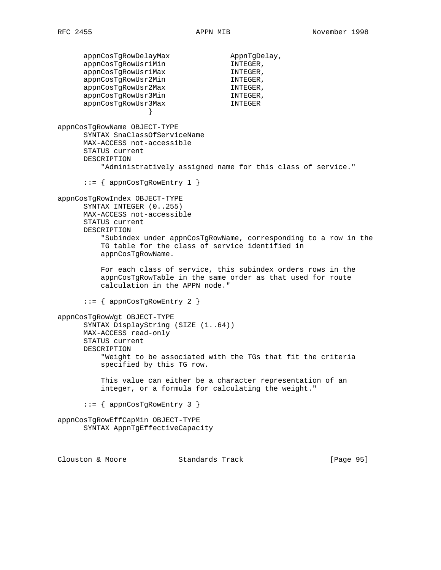appnCosTgRowDelayMax AppnTgDelay, appnCosTgRowUsr1Min Government INTEGER, appnCosTgRowUsr1Max INTEGER, appnCosTgRowUsr2Min Government INTEGER, appnCosTgRowUsr2Max international international methods. appnCosTgRowUsr3Min interests in INTEGER, appnCosTgRowUsr3Max INTEGER } appnCosTgRowName OBJECT-TYPE SYNTAX SnaClassOfServiceName MAX-ACCESS not-accessible STATUS current DESCRIPTION "Administratively assigned name for this class of service."  $::=$  { appnCosTgRowEntry 1 } appnCosTgRowIndex OBJECT-TYPE SYNTAX INTEGER (0..255) MAX-ACCESS not-accessible STATUS current DESCRIPTION "Subindex under appnCosTgRowName, corresponding to a row in the TG table for the class of service identified in appnCosTgRowName. For each class of service, this subindex orders rows in the appnCosTgRowTable in the same order as that used for route calculation in the APPN node."  $::=$  { appnCosTgRowEntry 2 } appnCosTgRowWgt OBJECT-TYPE SYNTAX DisplayString (SIZE (1..64)) MAX-ACCESS read-only STATUS current DESCRIPTION "Weight to be associated with the TGs that fit the criteria specified by this TG row. This value can either be a character representation of an integer, or a formula for calculating the weight." ::= { appnCosTgRowEntry 3 } appnCosTgRowEffCapMin OBJECT-TYPE SYNTAX AppnTgEffectiveCapacity Clouston & Moore Standards Track [Page 95]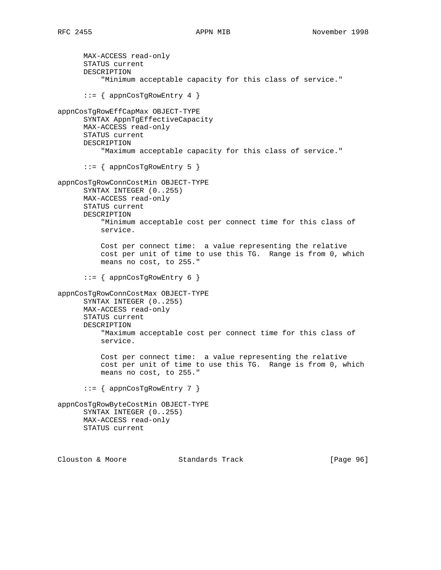MAX-ACCESS read-only STATUS current DESCRIPTION "Minimum acceptable capacity for this class of service." ::= { appnCosTgRowEntry 4 } appnCosTgRowEffCapMax OBJECT-TYPE SYNTAX AppnTgEffectiveCapacity MAX-ACCESS read-only STATUS current DESCRIPTION "Maximum acceptable capacity for this class of service." ::= { appnCosTgRowEntry 5 } appnCosTgRowConnCostMin OBJECT-TYPE SYNTAX INTEGER (0..255) MAX-ACCESS read-only STATUS current DESCRIPTION "Minimum acceptable cost per connect time for this class of service. Cost per connect time: a value representing the relative cost per unit of time to use this TG. Range is from 0, which means no cost, to 255." ::= { appnCosTgRowEntry 6 } appnCosTgRowConnCostMax OBJECT-TYPE SYNTAX INTEGER (0..255) MAX-ACCESS read-only STATUS current DESCRIPTION "Maximum acceptable cost per connect time for this class of service. Cost per connect time: a value representing the relative cost per unit of time to use this TG. Range is from 0, which means no cost, to 255." ::= { appnCosTgRowEntry 7 } appnCosTgRowByteCostMin OBJECT-TYPE SYNTAX INTEGER (0..255) MAX-ACCESS read-only STATUS current Clouston & Moore Standards Track [Page 96]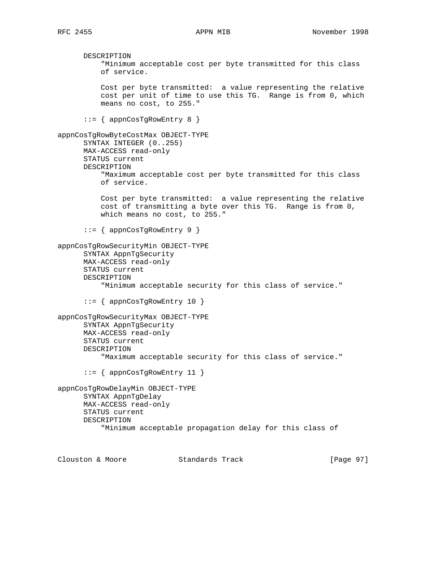DESCRIPTION "Minimum acceptable cost per byte transmitted for this class of service. Cost per byte transmitted: a value representing the relative cost per unit of time to use this TG. Range is from 0, which means no cost, to 255." ::= { appnCosTgRowEntry 8 } appnCosTgRowByteCostMax OBJECT-TYPE SYNTAX INTEGER (0..255) MAX-ACCESS read-only STATUS current DESCRIPTION "Maximum acceptable cost per byte transmitted for this class of service. Cost per byte transmitted: a value representing the relative cost of transmitting a byte over this TG. Range is from 0, which means no cost, to 255." ::= { appnCosTgRowEntry 9 } appnCosTgRowSecurityMin OBJECT-TYPE SYNTAX AppnTgSecurity MAX-ACCESS read-only STATUS current DESCRIPTION "Minimum acceptable security for this class of service." ::= { appnCosTgRowEntry 10 } appnCosTgRowSecurityMax OBJECT-TYPE SYNTAX AppnTgSecurity MAX-ACCESS read-only STATUS current DESCRIPTION "Maximum acceptable security for this class of service." ::= { appnCosTgRowEntry 11 } appnCosTgRowDelayMin OBJECT-TYPE SYNTAX AppnTgDelay MAX-ACCESS read-only STATUS current DESCRIPTION "Minimum acceptable propagation delay for this class of

Clouston & Moore Standards Track [Page 97]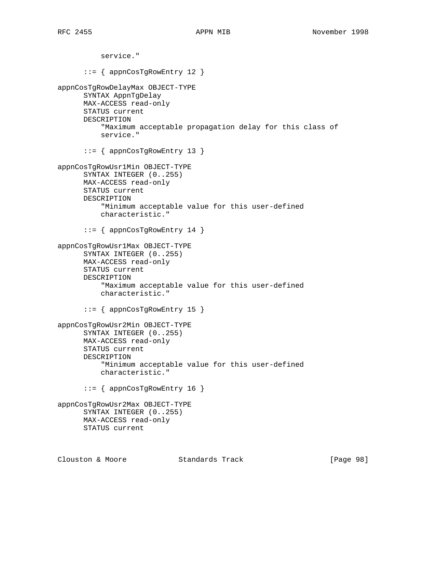service." ::= { appnCosTgRowEntry 12 } appnCosTgRowDelayMax OBJECT-TYPE SYNTAX AppnTgDelay MAX-ACCESS read-only STATUS current DESCRIPTION "Maximum acceptable propagation delay for this class of service." ::= { appnCosTgRowEntry 13 } appnCosTgRowUsr1Min OBJECT-TYPE SYNTAX INTEGER (0..255) MAX-ACCESS read-only STATUS current DESCRIPTION "Minimum acceptable value for this user-defined characteristic." ::= { appnCosTgRowEntry 14 } appnCosTgRowUsr1Max OBJECT-TYPE SYNTAX INTEGER (0..255) MAX-ACCESS read-only STATUS current DESCRIPTION "Maximum acceptable value for this user-defined characteristic." ::= { appnCosTgRowEntry 15 } appnCosTgRowUsr2Min OBJECT-TYPE SYNTAX INTEGER (0..255) MAX-ACCESS read-only STATUS current DESCRIPTION "Minimum acceptable value for this user-defined characteristic." ::= { appnCosTgRowEntry 16 } appnCosTgRowUsr2Max OBJECT-TYPE SYNTAX INTEGER (0..255) MAX-ACCESS read-only STATUS current Clouston & Moore Standards Track [Page 98]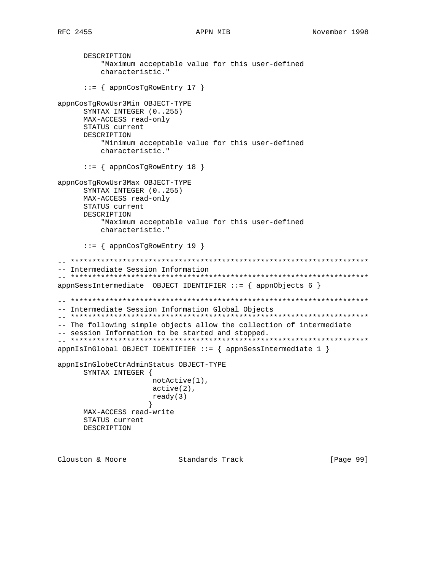DESCRIPTION "Maximum acceptable value for this user-defined characteristic." ::= { appnCosTgRowEntry 17 } appnCosTgRowUsr3Min OBJECT-TYPE SYNTAX INTEGER (0..255) MAX-ACCESS read-only STATUS current DESCRIPTION "Minimum acceptable value for this user-defined characteristic." ::= { appnCosTgRowEntry 18 } appnCosTgRowUsr3Max OBJECT-TYPE SYNTAX INTEGER (0..255) MAX-ACCESS read-only STATUS current DESCRIPTION "Maximum acceptable value for this user-defined characteristic." ::= { appnCosTgRowEntry 19 } -- \*\*\*\*\*\*\*\*\*\*\*\*\*\*\*\*\*\*\*\*\*\*\*\*\*\*\*\*\*\*\*\*\*\*\*\*\*\*\*\*\*\*\*\*\*\*\*\*\*\*\*\*\*\*\*\*\*\*\*\*\*\*\*\*\*\*\*\*\* -- Intermediate Session Information -- \*\*\*\*\*\*\*\*\*\*\*\*\*\*\*\*\*\*\*\*\*\*\*\*\*\*\*\*\*\*\*\*\*\*\*\*\*\*\*\*\*\*\*\*\*\*\*\*\*\*\*\*\*\*\*\*\*\*\*\*\*\*\*\*\*\*\*\*\*  $appnSessIntermediate$  OBJECT IDENTIFIER ::= {  $appnObjects$  6 } -- \*\*\*\*\*\*\*\*\*\*\*\*\*\*\*\*\*\*\*\*\*\*\*\*\*\*\*\*\*\*\*\*\*\*\*\*\*\*\*\*\*\*\*\*\*\*\*\*\*\*\*\*\*\*\*\*\*\*\*\*\*\*\*\*\*\*\*\*\* -- Intermediate Session Information Global Objects -- \*\*\*\*\*\*\*\*\*\*\*\*\*\*\*\*\*\*\*\*\*\*\*\*\*\*\*\*\*\*\*\*\*\*\*\*\*\*\*\*\*\*\*\*\*\*\*\*\*\*\*\*\*\*\*\*\*\*\*\*\*\*\*\*\*\*\*\*\* -- The following simple objects allow the collection of intermediate -- session Information to be started and stopped. -- \*\*\*\*\*\*\*\*\*\*\*\*\*\*\*\*\*\*\*\*\*\*\*\*\*\*\*\*\*\*\*\*\*\*\*\*\*\*\*\*\*\*\*\*\*\*\*\*\*\*\*\*\*\*\*\*\*\*\*\*\*\*\*\*\*\*\*\*\*  $appnIsInGlobal OBJECT IDENTIFIER :: = { appnSessIntermediate 1 }$ appnIsInGlobeCtrAdminStatus OBJECT-TYPE SYNTAX INTEGER { notActive(1), active(2), ready(3) } MAX-ACCESS read-write STATUS current DESCRIPTION

Clouston & Moore Standards Track [Page 99]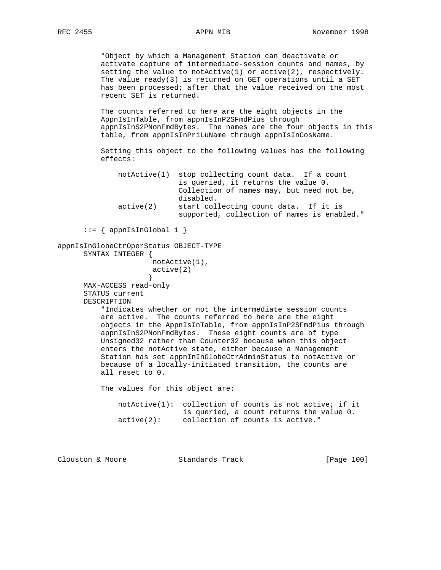"Object by which a Management Station can deactivate or activate capture of intermediate-session counts and names, by setting the value to notActive(1) or active(2), respectively. The value ready(3) is returned on GET operations until a SET has been processed; after that the value received on the most recent SET is returned.

 The counts referred to here are the eight objects in the AppnIsInTable, from appnIsInP2SFmdPius through appnIsInS2PNonFmdBytes. The names are the four objects in this table, from appnIsInPriLuName through appnIsInCosName.

 Setting this object to the following values has the following effects:

 notActive(1) stop collecting count data. If a count is queried, it returns the value 0. Collection of names may, but need not be, disabled. active(2) start collecting count data. If it is supported, collection of names is enabled."

```
::= { appnIsInGlobal 1 }
```
appnIsInGlobeCtrOperStatus OBJECT-TYPE SYNTAX INTEGER {

```
 notActive(1),
              active(2)
 }
```
 MAX-ACCESS read-only STATUS current DESCRIPTION

> "Indicates whether or not the intermediate session counts are active. The counts referred to here are the eight objects in the AppnIsInTable, from appnIsInP2SFmdPius through appnIsInS2PNonFmdBytes. These eight counts are of type Unsigned32 rather than Counter32 because when this object enters the notActive state, either because a Management Station has set appnInInGlobeCtrAdminStatus to notActive or because of a locally-initiated transition, the counts are all reset to 0.

The values for this object are:

|            | $notActive(1):$ collection of counts is not active; if it |
|------------|-----------------------------------------------------------|
|            | is queried, a count returns the value 0.                  |
| active(2): | collection of counts is active."                          |

| Clouston & Moore<br>Standards Track | [Page 100] |
|-------------------------------------|------------|
|-------------------------------------|------------|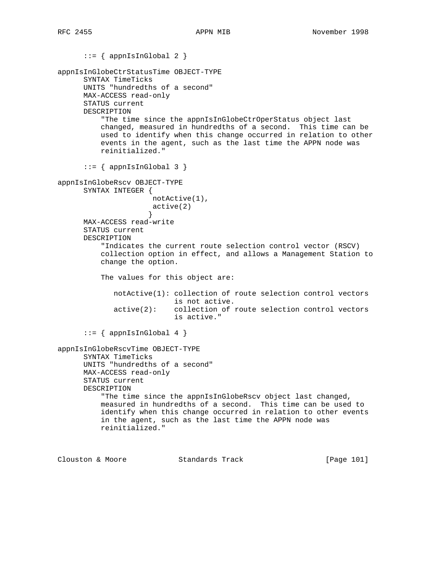```
::= { appnIsInGlobal 2 }
appnIsInGlobeCtrStatusTime OBJECT-TYPE
       SYNTAX TimeTicks
      UNITS "hundredths of a second"
      MAX-ACCESS read-only
      STATUS current
      DESCRIPTION
           "The time since the appnIsInGlobeCtrOperStatus object last
          changed, measured in hundredths of a second. This time can be
          used to identify when this change occurred in relation to other
          events in the agent, such as the last time the APPN node was
          reinitialized."
      ::= { appnIsInGlobal 3 }
appnIsInGlobeRscv OBJECT-TYPE
      SYNTAX INTEGER {
                      notActive(1),
                      active(2)
 }
      MAX-ACCESS read-write
      STATUS current
      DESCRIPTION
           "Indicates the current route selection control vector (RSCV)
          collection option in effect, and allows a Management Station to
          change the option.
          The values for this object are:
             notActive(1): collection of route selection control vectors
                           is not active.
              active(2): collection of route selection control vectors
                           is active."
      ::= { appnIsInGlobal 4 }
appnIsInGlobeRscvTime OBJECT-TYPE
       SYNTAX TimeTicks
      UNITS "hundredths of a second"
      MAX-ACCESS read-only
      STATUS current
      DESCRIPTION
           "The time since the appnIsInGlobeRscv object last changed,
          measured in hundredths of a second. This time can be used to
          identify when this change occurred in relation to other events
          in the agent, such as the last time the APPN node was
          reinitialized."
Clouston & Moore Standards Track [Page 101]
```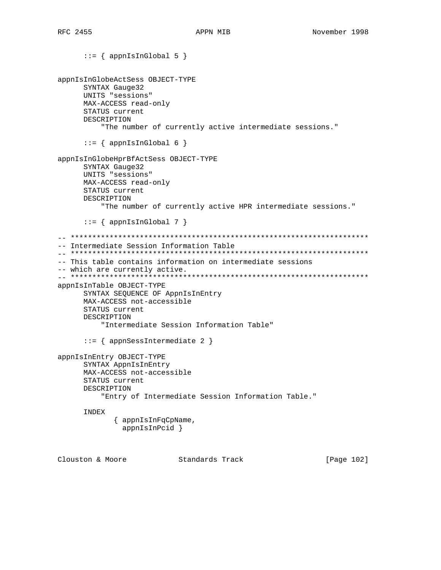```
::= { appnIsInGlobal 5 }
appnIsInGlobeActSess OBJECT-TYPE
       SYNTAX Gauge32
      UNITS "sessions"
      MAX-ACCESS read-only
      STATUS current
      DESCRIPTION
           "The number of currently active intermediate sessions."
      ::= { appnIsInGlobal 6 }
appnIsInGlobeHprBfActSess OBJECT-TYPE
       SYNTAX Gauge32
      UNITS "sessions"
      MAX-ACCESS read-only
      STATUS current
      DESCRIPTION
           "The number of currently active HPR intermediate sessions."
      ::= { appnIsInGlobal 7 }
-- *********************************************************************
-- Intermediate Session Information Table
-- *********************************************************************
-- This table contains information on intermediate sessions
-- which are currently active.
-- *********************************************************************
appnIsInTable OBJECT-TYPE
      SYNTAX SEQUENCE OF AppnIsInEntry
      MAX-ACCESS not-accessible
      STATUS current
      DESCRIPTION
           "Intermediate Session Information Table"
       ::= { appnSessIntermediate 2 }
appnIsInEntry OBJECT-TYPE
       SYNTAX AppnIsInEntry
      MAX-ACCESS not-accessible
      STATUS current
      DESCRIPTION
           "Entry of Intermediate Session Information Table."
       INDEX
              { appnIsInFqCpName,
                appnIsInPcid }
Clouston & Moore Standards Track [Page 102]
```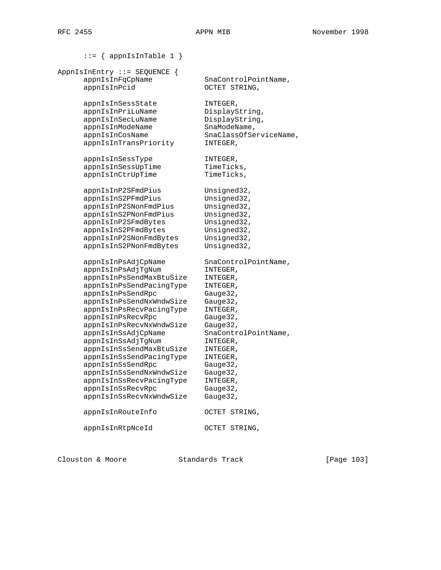```
::= { appnIsInTable 1 }
AppnIsInEntry ::= SEQUENCE {
     appnIsInFqCpName SnaControlPointName,
     appnIsInPcid OCTET STRING,
      appnIsInSessState INTEGER,
     appnIsInPriLuName DisplayString,<br>appnIsInSecLuName DisplayString,<br>appnIsInModeName SnaModeName,
     appnIsInSecLuName
    appnIsInModeName
     appnIsInCosName SnaClassOfServiceName,
      appnIsInTransPriority INTEGER,
     appnIsInSessType INTEGER,
     appnIsInSessUpTime TimeTicks,
     appnIsInCtrUpTime TimeTicks,
appnIsInP2SFmdPius Unsigned32,
appnIsInS2PFmdPius Unsigned32,
appnIsInP2SNonFmdPius Unsigned32,
 appnIsInS2PNonFmdPius Unsigned32,
appnIsInP2SFmdBytes Unsigned32,
appnIsInS2PFmdBytes Unsigned32,
 appnIsInP2SNonFmdBytes Unsigned32,
 appnIsInS2PNonFmdBytes Unsigned32,
     appnIsInPsAdjCpName SnaControlPointName,
 appnIsInPsAdjTgNum INTEGER,
 appnIsInPsSendMaxBtuSize INTEGER,
 appnIsInPsSendPacingType INTEGER,
     appnIsInPsSendRpc Gauge32,
      appnIsInPsSendNxWndwSize Gauge32,
      appnIsInPsRecvPacingType INTEGER,
     appnIsInPsRecvRpc Gauge32,
 appnIsInPsRecvNxWndwSize Gauge32,
 appnIsInSsAdjCpName SnaControlPointName,
 appnIsInSsAdjTgNum INTEGER,
 appnIsInSsSendMaxBtuSize INTEGER,
 appnIsInSsSendPacingType INTEGER,
appnIsInSsSendRpc Gauge32,
      appnIsInSsSendNxWndwSize Gauge32,
      appnIsInSsRecvPacingType INTEGER,
     appnIsInSsRecvRpc Gauge32,
      appnIsInSsRecvNxWndwSize Gauge32,
      appnIsInRouteInfo OCTET STRING,
      appnIsInRtpNceId OCTET STRING,
```
Clouston & Moore Standards Track [Page 103]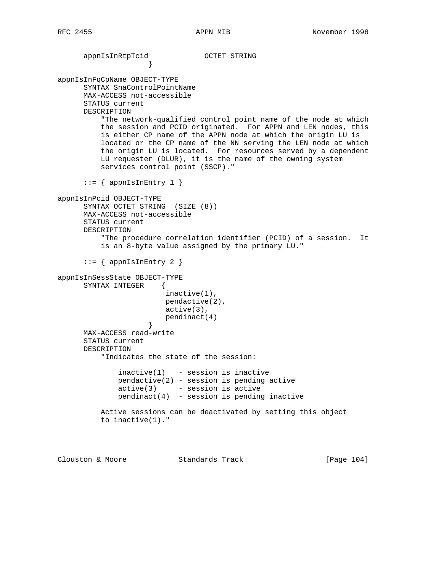```
 appnIsInRtpTcid OCTET STRING
 }
appnIsInFqCpName OBJECT-TYPE
      SYNTAX SnaControlPointName
      MAX-ACCESS not-accessible
      STATUS current
      DESCRIPTION
          "The network-qualified control point name of the node at which
          the session and PCID originated. For APPN and LEN nodes, this
          is either CP name of the APPN node at which the origin LU is
          located or the CP name of the NN serving the LEN node at which
          the origin LU is located. For resources served by a dependent
          LU requester (DLUR), it is the name of the owning system
          services control point (SSCP)."
     ::= { appnIsInEntry 1 }
appnIsInPcid OBJECT-TYPE
      SYNTAX OCTET STRING (SIZE (8))
      MAX-ACCESS not-accessible
      STATUS current
      DESCRIPTION
           "The procedure correlation identifier (PCID) of a session. It
          is an 8-byte value assigned by the primary LU."
      ::= { appnIsInEntry 2 }
appnIsInSessState OBJECT-TYPE
      SYNTAX INTEGER {
                         inactive(1),
                         pendactive(2),
                         active(3),
                         pendinact(4)
 }
      MAX-ACCESS read-write
      STATUS current
      DESCRIPTION
          "Indicates the state of the session:
             inactive(1) - session is inactive
             pendactive(2) - session is pending active
             active(3) - session is active
             pendinact(4) - session is pending inactive
          Active sessions can be deactivated by setting this object
          to inactive(1)."
```
Clouston & Moore Standards Track [Page 104]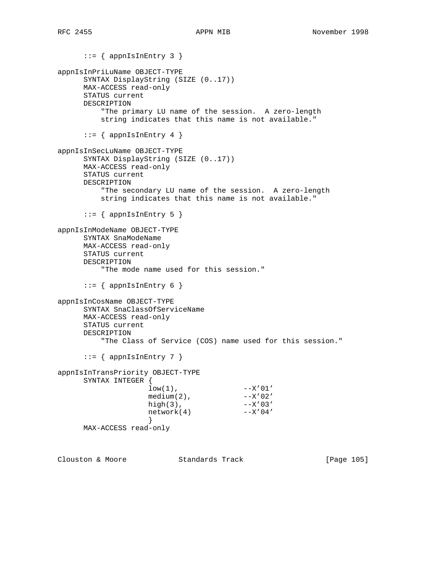::= { appnIsInEntry 3 } appnIsInPriLuName OBJECT-TYPE SYNTAX DisplayString (SIZE (0..17)) MAX-ACCESS read-only STATUS current DESCRIPTION "The primary LU name of the session. A zero-length string indicates that this name is not available."  $::=$  { appnIsInEntry 4 } appnIsInSecLuName OBJECT-TYPE SYNTAX DisplayString (SIZE (0..17)) MAX-ACCESS read-only STATUS current DESCRIPTION "The secondary LU name of the session. A zero-length string indicates that this name is not available."  $::=$  { appnIsInEntry 5 } appnIsInModeName OBJECT-TYPE SYNTAX SnaModeName MAX-ACCESS read-only STATUS current DESCRIPTION "The mode name used for this session."  $::=$  { appnIsInEntry 6 } appnIsInCosName OBJECT-TYPE SYNTAX SnaClassOfServiceName MAX-ACCESS read-only STATUS current DESCRIPTION "The Class of Service (COS) name used for this session."  $::=$  { appnIsInEntry 7 } appnIsInTransPriority OBJECT-TYPE SYNTAX INTEGER {  $low(1)$ ,  $--X'01'$  $median(2)$ ,  $--X'02'$ high $(3)$ ,  $--X'03'$  $network(4)$   $--X'04'$  } MAX-ACCESS read-only

Clouston & Moore Standards Track [Page 105]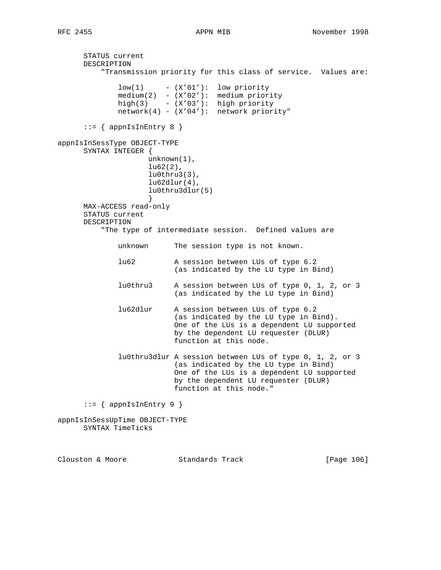STATUS current DESCRIPTION "Transmission priority for this class of service. Values are: low(1) - (X'01'): low priority medium(2) - (X'02'): medium priority high(3) - (X'03'): high priority network(4) - (X'04'): network priority"  $::=$  { appnIsInEntry 8 } appnIsInSessType OBJECT-TYPE SYNTAX INTEGER { unknown(1),  $l$ u62 $(2)$ , lu0thru3(3),  $lu62dlur(4)$ , lu0thru3dlur(5) } MAX-ACCESS read-only STATUS current DESCRIPTION "The type of intermediate session. Defined values are unknown The session type is not known. lu62 A session between LUs of type 6.2 (as indicated by the LU type in Bind) lu0thru3 A session between LUs of type 0, 1, 2, or 3 (as indicated by the LU type in Bind) lu62dlur A session between LUs of type 6.2 (as indicated by the LU type in Bind). One of the LUs is a dependent LU supported by the dependent LU requester (DLUR) function at this node. lu0thru3dlur A session between LUs of type 0, 1, 2, or 3 (as indicated by the LU type in Bind) One of the LUs is a dependent LU supported by the dependent LU requester (DLUR) function at this node."  $::=$  { appnIsInEntry 9 } appnIsInSessUpTime OBJECT-TYPE SYNTAX TimeTicks

Clouston & Moore Standards Track [Page 106]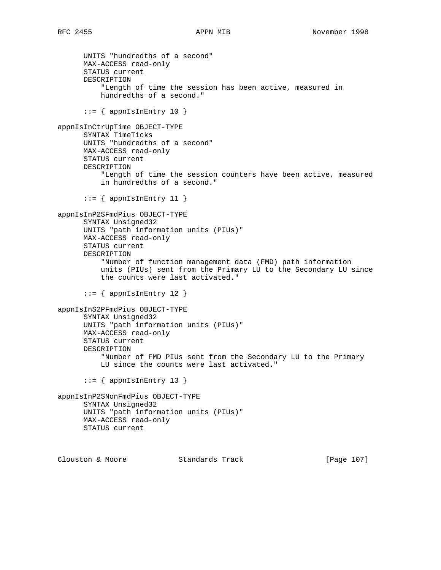UNITS "hundredths of a second" MAX-ACCESS read-only STATUS current DESCRIPTION "Length of time the session has been active, measured in hundredths of a second."  $::=$  { appnIsInEntry 10 } appnIsInCtrUpTime OBJECT-TYPE SYNTAX TimeTicks UNITS "hundredths of a second" MAX-ACCESS read-only STATUS current DESCRIPTION "Length of time the session counters have been active, measured in hundredths of a second."  $::=$  { appnIsInEntry 11 } appnIsInP2SFmdPius OBJECT-TYPE SYNTAX Unsigned32 UNITS "path information units (PIUs)" MAX-ACCESS read-only STATUS current DESCRIPTION "Number of function management data (FMD) path information units (PIUs) sent from the Primary LU to the Secondary LU since the counts were last activated."  $::=$  { appnIsInEntry 12 } appnIsInS2PFmdPius OBJECT-TYPE SYNTAX Unsigned32 UNITS "path information units (PIUs)" MAX-ACCESS read-only STATUS current DESCRIPTION "Number of FMD PIUs sent from the Secondary LU to the Primary LU since the counts were last activated."  $::=$  { appnIsInEntry 13 } appnIsInP2SNonFmdPius OBJECT-TYPE SYNTAX Unsigned32 UNITS "path information units (PIUs)" MAX-ACCESS read-only STATUS current

Clouston & Moore Standards Track [Page 107]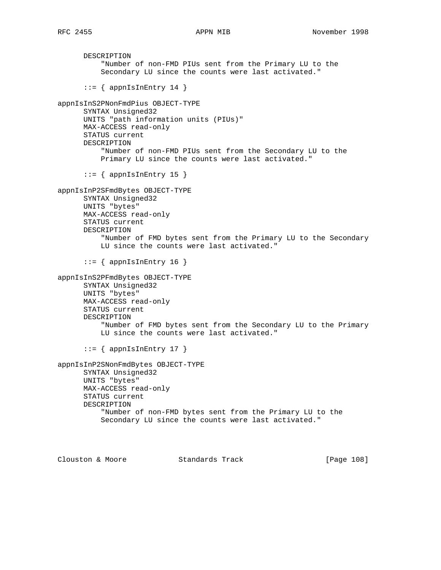DESCRIPTION "Number of non-FMD PIUs sent from the Primary LU to the Secondary LU since the counts were last activated."  $::=$  { appnIsInEntry 14 } appnIsInS2PNonFmdPius OBJECT-TYPE SYNTAX Unsigned32 UNITS "path information units (PIUs)" MAX-ACCESS read-only STATUS current DESCRIPTION "Number of non-FMD PIUs sent from the Secondary LU to the Primary LU since the counts were last activated."  $::=$  { appnIsInEntry 15 } appnIsInP2SFmdBytes OBJECT-TYPE SYNTAX Unsigned32 UNITS "bytes" MAX-ACCESS read-only STATUS current DESCRIPTION "Number of FMD bytes sent from the Primary LU to the Secondary LU since the counts were last activated."  $::=$  { appnIsInEntry 16 } appnIsInS2PFmdBytes OBJECT-TYPE SYNTAX Unsigned32 UNITS "bytes" MAX-ACCESS read-only STATUS current DESCRIPTION "Number of FMD bytes sent from the Secondary LU to the Primary LU since the counts were last activated."  $::=$  { appnIsInEntry 17 } appnIsInP2SNonFmdBytes OBJECT-TYPE SYNTAX Unsigned32 UNITS "bytes" MAX-ACCESS read-only STATUS current DESCRIPTION "Number of non-FMD bytes sent from the Primary LU to the Secondary LU since the counts were last activated."

Clouston & Moore Standards Track [Page 108]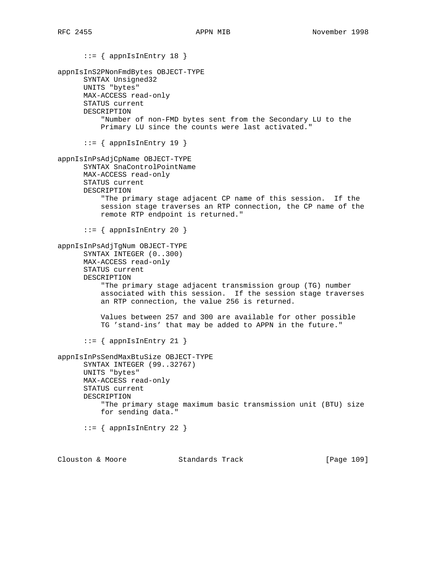::= { appnIsInEntry 18 } appnIsInS2PNonFmdBytes OBJECT-TYPE SYNTAX Unsigned32 UNITS "bytes" MAX-ACCESS read-only STATUS current DESCRIPTION "Number of non-FMD bytes sent from the Secondary LU to the Primary LU since the counts were last activated."  $::=$  { appnIsInEntry 19 } appnIsInPsAdjCpName OBJECT-TYPE SYNTAX SnaControlPointName MAX-ACCESS read-only STATUS current DESCRIPTION "The primary stage adjacent CP name of this session. If the session stage traverses an RTP connection, the CP name of the remote RTP endpoint is returned."  $::=$  { appnIsInEntry 20 } appnIsInPsAdjTgNum OBJECT-TYPE SYNTAX INTEGER (0..300) MAX-ACCESS read-only STATUS current DESCRIPTION "The primary stage adjacent transmission group (TG) number associated with this session. If the session stage traverses an RTP connection, the value 256 is returned. Values between 257 and 300 are available for other possible TG 'stand-ins' that may be added to APPN in the future."  $::=$  { appnIsInEntry 21 } appnIsInPsSendMaxBtuSize OBJECT-TYPE SYNTAX INTEGER (99..32767) UNITS "bytes" MAX-ACCESS read-only STATUS current DESCRIPTION "The primary stage maximum basic transmission unit (BTU) size for sending data."  $::=$  { appnIsInEntry 22 }

Clouston & Moore Standards Track [Page 109]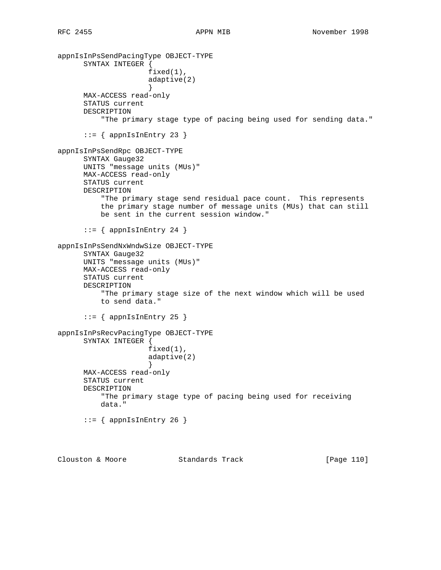appnIsInPsSendPacingType OBJECT-TYPE SYNTAX INTEGER { fixed(1), adaptive(2) } MAX-ACCESS read-only STATUS current DESCRIPTION "The primary stage type of pacing being used for sending data."  $::=$  { appnIsInEntry 23 } appnIsInPsSendRpc OBJECT-TYPE SYNTAX Gauge32 UNITS "message units (MUs)" MAX-ACCESS read-only STATUS current DESCRIPTION "The primary stage send residual pace count. This represents the primary stage number of message units (MUs) that can still be sent in the current session window."  $::=$  { appnIsInEntry 24 } appnIsInPsSendNxWndwSize OBJECT-TYPE SYNTAX Gauge32 UNITS "message units (MUs)" MAX-ACCESS read-only STATUS current DESCRIPTION "The primary stage size of the next window which will be used to send data."  $::=$  { appnIsInEntry 25 } appnIsInPsRecvPacingType OBJECT-TYPE SYNTAX INTEGER { fixed(1), adaptive(2) } MAX-ACCESS read-only STATUS current DESCRIPTION "The primary stage type of pacing being used for receiving data."  $::=$  { appnIsInEntry 26 } Clouston & Moore Standards Track [Page 110]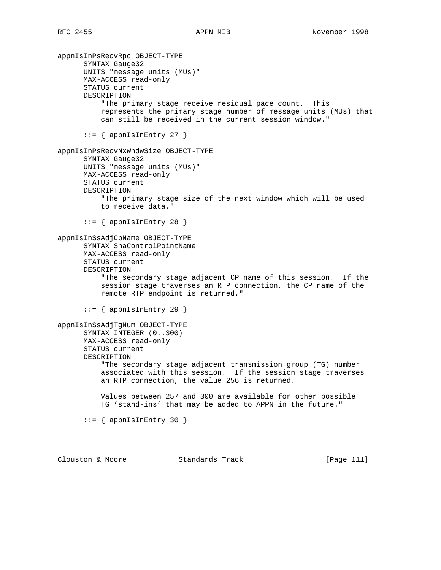appnIsInPsRecvRpc OBJECT-TYPE SYNTAX Gauge32 UNITS "message units (MUs)" MAX-ACCESS read-only STATUS current DESCRIPTION "The primary stage receive residual pace count. This represents the primary stage number of message units (MUs) that can still be received in the current session window."  $::=$  { appnIsInEntry 27 } appnIsInPsRecvNxWndwSize OBJECT-TYPE SYNTAX Gauge32 UNITS "message units (MUs)" MAX-ACCESS read-only STATUS current DESCRIPTION "The primary stage size of the next window which will be used to receive data."  $::=$  { appnIsInEntry 28 } appnIsInSsAdjCpName OBJECT-TYPE SYNTAX SnaControlPointName MAX-ACCESS read-only STATUS current DESCRIPTION "The secondary stage adjacent CP name of this session. If the session stage traverses an RTP connection, the CP name of the remote RTP endpoint is returned."  $::=$  { appnIsInEntry 29 } appnIsInSsAdjTgNum OBJECT-TYPE SYNTAX INTEGER (0..300) MAX-ACCESS read-only STATUS current DESCRIPTION "The secondary stage adjacent transmission group (TG) number associated with this session. If the session stage traverses an RTP connection, the value 256 is returned. Values between 257 and 300 are available for other possible TG 'stand-ins' that may be added to APPN in the future."  $::=$  { appnIsInEntry 30 }

Clouston & Moore Standards Track [Page 111]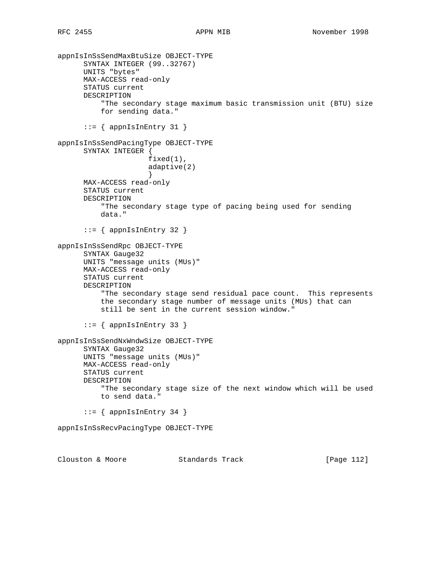```
appnIsInSsSendMaxBtuSize OBJECT-TYPE
       SYNTAX INTEGER (99..32767)
      UNITS "bytes"
      MAX-ACCESS read-only
      STATUS current
      DESCRIPTION
           "The secondary stage maximum basic transmission unit (BTU) size
          for sending data."
       ::= { appnIsInEntry 31 }
appnIsInSsSendPacingType OBJECT-TYPE
      SYNTAX INTEGER {
                     fixed(1),
                     adaptive(2)
 }
      MAX-ACCESS read-only
      STATUS current
      DESCRIPTION
          "The secondary stage type of pacing being used for sending
          data."
      ::= { appnIsInEntry 32 }
appnIsInSsSendRpc OBJECT-TYPE
       SYNTAX Gauge32
      UNITS "message units (MUs)"
      MAX-ACCESS read-only
      STATUS current
      DESCRIPTION
           "The secondary stage send residual pace count. This represents
          the secondary stage number of message units (MUs) that can
          still be sent in the current session window."
       ::= { appnIsInEntry 33 }
appnIsInSsSendNxWndwSize OBJECT-TYPE
       SYNTAX Gauge32
      UNITS "message units (MUs)"
      MAX-ACCESS read-only
      STATUS current
      DESCRIPTION
          "The secondary stage size of the next window which will be used
          to send data."
      ::= { appnIsInEntry 34 }
appnIsInSsRecvPacingType OBJECT-TYPE
Clouston & Moore Standards Track [Page 112]
```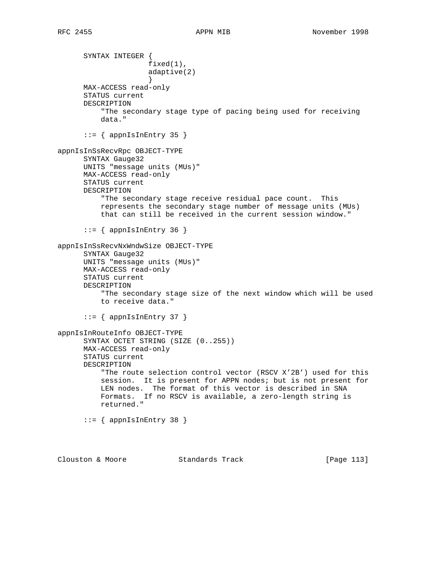SYNTAX INTEGER { fixed(1), adaptive(2) } MAX-ACCESS read-only STATUS current DESCRIPTION "The secondary stage type of pacing being used for receiving data."  $::=$  { appnIsInEntry 35 } appnIsInSsRecvRpc OBJECT-TYPE SYNTAX Gauge32 UNITS "message units (MUs)" MAX-ACCESS read-only STATUS current DESCRIPTION "The secondary stage receive residual pace count. This represents the secondary stage number of message units (MUs) that can still be received in the current session window."  $::=$  { appnIsInEntry 36 } appnIsInSsRecvNxWndwSize OBJECT-TYPE SYNTAX Gauge32 UNITS "message units (MUs)" MAX-ACCESS read-only STATUS current DESCRIPTION "The secondary stage size of the next window which will be used to receive data."  $::=$  { appnIsInEntry 37 } appnIsInRouteInfo OBJECT-TYPE SYNTAX OCTET STRING (SIZE (0..255)) MAX-ACCESS read-only STATUS current DESCRIPTION "The route selection control vector (RSCV X'2B') used for this session. It is present for APPN nodes; but is not present for LEN nodes. The format of this vector is described in SNA Formats. If no RSCV is available, a zero-length string is returned." ::= { appnIsInEntry 38 }

Clouston & Moore Standards Track [Page 113]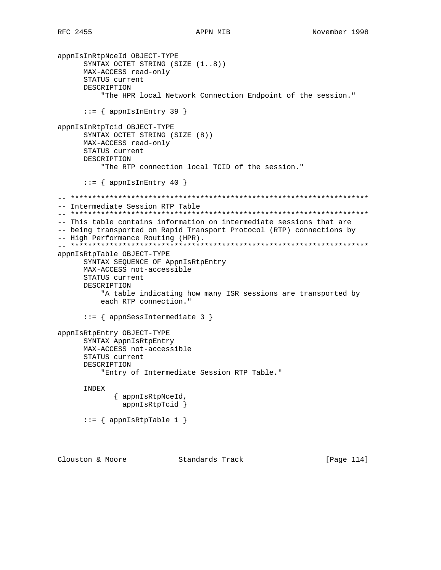```
appnIsInRtpNceId OBJECT-TYPE
       SYNTAX OCTET STRING (SIZE (1..8))
      MAX-ACCESS read-only
       STATUS current
      DESCRIPTION
           "The HPR local Network Connection Endpoint of the session."
      ::= { appnIsInEntry 39 }
appnIsInRtpTcid OBJECT-TYPE
      SYNTAX OCTET STRING (SIZE (8))
      MAX-ACCESS read-only
      STATUS current
      DESCRIPTION
           "The RTP connection local TCID of the session."
      ::= { appnIsInEntry 40 }
-- *********************************************************************
-- Intermediate Session RTP Table
-- *********************************************************************
-- This table contains information on intermediate sessions that are
-- being transported on Rapid Transport Protocol (RTP) connections by
-- High Performance Routing (HPR).
-- *********************************************************************
appnIsRtpTable OBJECT-TYPE
       SYNTAX SEQUENCE OF AppnIsRtpEntry
      MAX-ACCESS not-accessible
      STATUS current
      DESCRIPTION
           "A table indicating how many ISR sessions are transported by
          each RTP connection."
       ::= { appnSessIntermediate 3 }
appnIsRtpEntry OBJECT-TYPE
      SYNTAX AppnIsRtpEntry
      MAX-ACCESS not-accessible
      STATUS current
       DESCRIPTION
           "Entry of Intermediate Session RTP Table."
       INDEX
              { appnIsRtpNceId,
               appnIsRtpTcid }
      ::= { appnIsRtpTable 1 }
Clouston & Moore Standards Track [Page 114]
```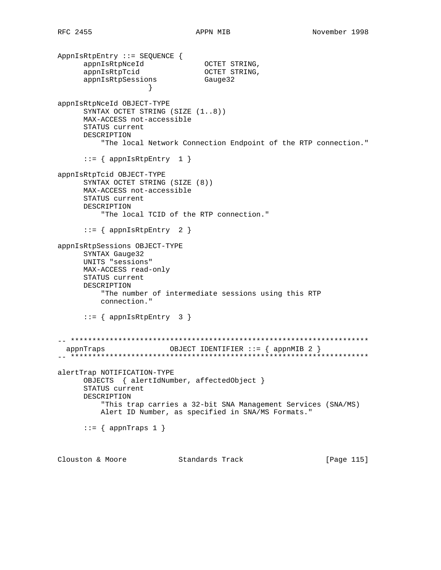AppnIsRtpEntry ::= SEQUENCE { appnIsRtpNceId OCTET STRING, appnIsRtpTcid OCTET STRING, appnIsRtpSessions Gauge32 } appnIsRtpNceId OBJECT-TYPE SYNTAX OCTET STRING (SIZE (1..8)) MAX-ACCESS not-accessible STATUS current DESCRIPTION "The local Network Connection Endpoint of the RTP connection."  $::=$  { appnIsRtpEntry 1 } appnIsRtpTcid OBJECT-TYPE SYNTAX OCTET STRING (SIZE (8)) MAX-ACCESS not-accessible STATUS current DESCRIPTION "The local TCID of the RTP connection."  $::=$  { appnIsRtpEntry 2 } appnIsRtpSessions OBJECT-TYPE SYNTAX Gauge32 UNITS "sessions" MAX-ACCESS read-only STATUS current DESCRIPTION "The number of intermediate sessions using this RTP connection."  $::=$  { appnIsRtpEntry 3 } -- \*\*\*\*\*\*\*\*\*\*\*\*\*\*\*\*\*\*\*\*\*\*\*\*\*\*\*\*\*\*\*\*\*\*\*\*\*\*\*\*\*\*\*\*\*\*\*\*\*\*\*\*\*\*\*\*\*\*\*\*\*\*\*\*\*\*\*\*\* appnTraps OBJECT IDENTIFIER ::= { appnMIB 2 } -- \*\*\*\*\*\*\*\*\*\*\*\*\*\*\*\*\*\*\*\*\*\*\*\*\*\*\*\*\*\*\*\*\*\*\*\*\*\*\*\*\*\*\*\*\*\*\*\*\*\*\*\*\*\*\*\*\*\*\*\*\*\*\*\*\*\*\*\*\* alertTrap NOTIFICATION-TYPE OBJECTS { alertIdNumber, affectedObject } STATUS current DESCRIPTION "This trap carries a 32-bit SNA Management Services (SNA/MS) Alert ID Number, as specified in SNA/MS Formats."  $::=$  { appnTraps 1 }

Clouston & Moore Standards Track [Page 115]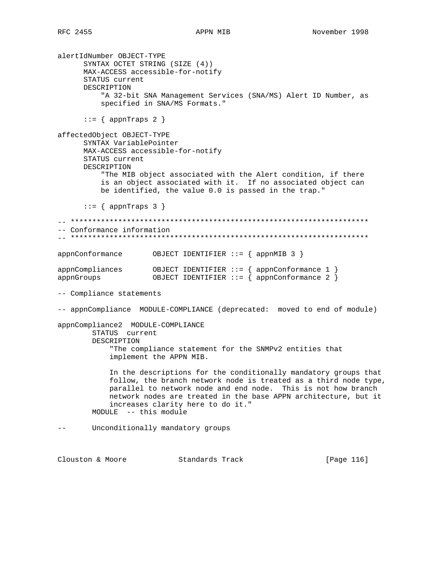alertIdNumber OBJECT-TYPE SYNTAX OCTET STRING (SIZE (4)) MAX-ACCESS accessible-for-notify STATUS current DESCRIPTION "A 32-bit SNA Management Services (SNA/MS) Alert ID Number, as specified in SNA/MS Formats."  $::=$  { appnTraps 2 } affectedObject OBJECT-TYPE SYNTAX VariablePointer MAX-ACCESS accessible-for-notify STATUS current DESCRIPTION "The MIB object associated with the Alert condition, if there is an object associated with it. If no associated object can be identified, the value 0.0 is passed in the trap."  $::=$  { appnTraps 3 } -- \*\*\*\*\*\*\*\*\*\*\*\*\*\*\*\*\*\*\*\*\*\*\*\*\*\*\*\*\*\*\*\*\*\*\*\*\*\*\*\*\*\*\*\*\*\*\*\*\*\*\*\*\*\*\*\*\*\*\*\*\*\*\*\*\*\*\*\*\* -- Conformance information -- \*\*\*\*\*\*\*\*\*\*\*\*\*\*\*\*\*\*\*\*\*\*\*\*\*\*\*\*\*\*\*\*\*\*\*\*\*\*\*\*\*\*\*\*\*\*\*\*\*\*\*\*\*\*\*\*\*\*\*\*\*\*\*\*\*\*\*\*\* appnConformance OBJECT IDENTIFIER ::= { appnMIB 3 } appnCompliances OBJECT IDENTIFIER ::= { appnConformance 1 } appnGroups OBJECT IDENTIFIER ::= { appnConformance 2 } -- Compliance statements -- appnCompliance MODULE-COMPLIANCE (deprecated: moved to end of module) appnCompliance2 MODULE-COMPLIANCE STATUS current DESCRIPTION "The compliance statement for the SNMPv2 entities that implement the APPN MIB. In the descriptions for the conditionally mandatory groups that follow, the branch network node is treated as a third node type, parallel to network node and end node. This is not how branch network nodes are treated in the base APPN architecture, but it increases clarity here to do it." MODULE -- this module -- Unconditionally mandatory groups Clouston & Moore Standards Track [Page 116]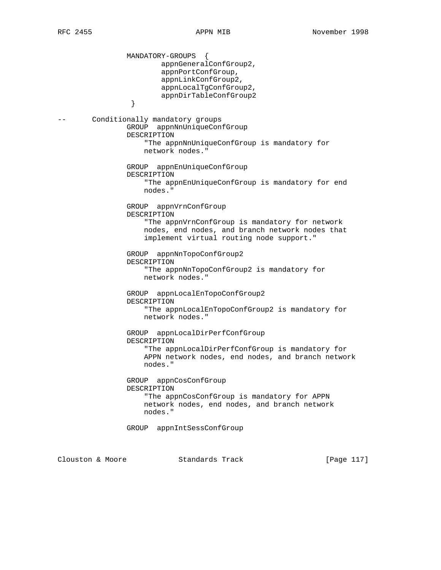MANDATORY-GROUPS { appnGeneralConfGroup2, appnPortConfGroup, appnLinkConfGroup2, appnLocalTgConfGroup2, appnDirTableConfGroup2<br>} } -- Conditionally mandatory groups GROUP appnNnUniqueConfGroup DESCRIPTION "The appnNnUniqueConfGroup is mandatory for network nodes." GROUP appnEnUniqueConfGroup DESCRIPTION "The appnEnUniqueConfGroup is mandatory for end nodes." GROUP appnVrnConfGroup DESCRIPTION "The appnVrnConfGroup is mandatory for network nodes, end nodes, and branch network nodes that implement virtual routing node support." GROUP appnNnTopoConfGroup2 DESCRIPTION "The appnNnTopoConfGroup2 is mandatory for network nodes." GROUP appnLocalEnTopoConfGroup2 DESCRIPTION "The appnLocalEnTopoConfGroup2 is mandatory for network nodes." GROUP appnLocalDirPerfConfGroup DESCRIPTION "The appnLocalDirPerfConfGroup is mandatory for APPN network nodes, end nodes, and branch network nodes." GROUP appnCosConfGroup DESCRIPTION "The appnCosConfGroup is mandatory for APPN network nodes, end nodes, and branch network nodes." GROUP appnIntSessConfGroup Clouston & Moore Standards Track [Page 117]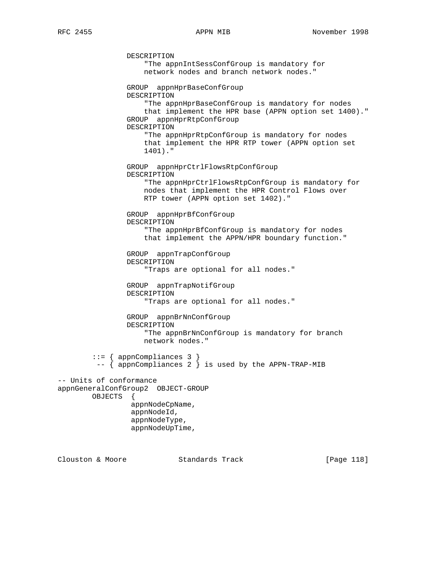DESCRIPTION "The appnIntSessConfGroup is mandatory for network nodes and branch network nodes." GROUP appnHprBaseConfGroup DESCRIPTION "The appnHprBaseConfGroup is mandatory for nodes that implement the HPR base (APPN option set 1400)." GROUP appnHprRtpConfGroup DESCRIPTION "The appnHprRtpConfGroup is mandatory for nodes that implement the HPR RTP tower (APPN option set 1401)." GROUP appnHprCtrlFlowsRtpConfGroup DESCRIPTION "The appnHprCtrlFlowsRtpConfGroup is mandatory for nodes that implement the HPR Control Flows over RTP tower (APPN option set 1402)." GROUP appnHprBfConfGroup DESCRIPTION "The appnHprBfConfGroup is mandatory for nodes that implement the APPN/HPR boundary function." GROUP appnTrapConfGroup DESCRIPTION "Traps are optional for all nodes." GROUP appnTrapNotifGroup DESCRIPTION "Traps are optional for all nodes." GROUP appnBrNnConfGroup DESCRIPTION "The appnBrNnConfGroup is mandatory for branch network nodes." ::= { appnCompliances 3 }  $-$  { appnCompliances 2 } is used by the APPN-TRAP-MIB -- Units of conformance appnGeneralConfGroup2 OBJECT-GROUP OBJECTS { appnNodeCpName, appnNodeId, appnNodeType, appnNodeUpTime,

Clouston & Moore Standards Track [Page 118]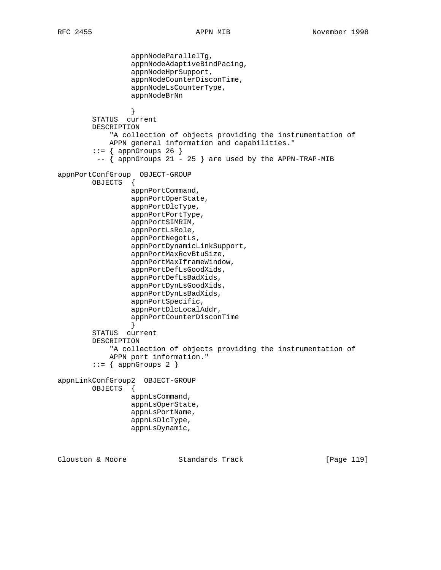```
 appnNodeParallelTg,
                  appnNodeAdaptiveBindPacing,
                  appnNodeHprSupport,
                  appnNodeCounterDisconTime,
                 appnNodeLsCounterType,
                 appnNodeBrNn
 }
         STATUS current
        DESCRIPTION
             "A collection of objects providing the instrumentation of
            APPN general information and capabilities."
        ::= { appnGroups 26 }
         -- { appnGroups 21 - 25 } are used by the APPN-TRAP-MIB
appnPortConfGroup OBJECT-GROUP
        OBJECTS {
                 appnPortCommand,
                 appnPortOperState,
                 appnPortDlcType,
                 appnPortPortType,
                 appnPortSIMRIM,
                 appnPortLsRole,
                 appnPortNegotLs,
                  appnPortDynamicLinkSupport,
                  appnPortMaxRcvBtuSize,
                 appnPortMaxIframeWindow,
                 appnPortDefLsGoodXids,
                 appnPortDefLsBadXids,
                 appnPortDynLsGoodXids,
                 appnPortDynLsBadXids,
                  appnPortSpecific,
                  appnPortDlcLocalAddr,
                 appnPortCounterDisconTime
 }
         STATUS current
        DESCRIPTION
             "A collection of objects providing the instrumentation of
            APPN port information."
        ::= { appnGroups 2 }
appnLinkConfGroup2 OBJECT-GROUP
        OBJECTS {
                 appnLsCommand,
                 appnLsOperState,
                 appnLsPortName,
                 appnLsDlcType,
                 appnLsDynamic,
Clouston & Moore Standards Track [Page 119]
```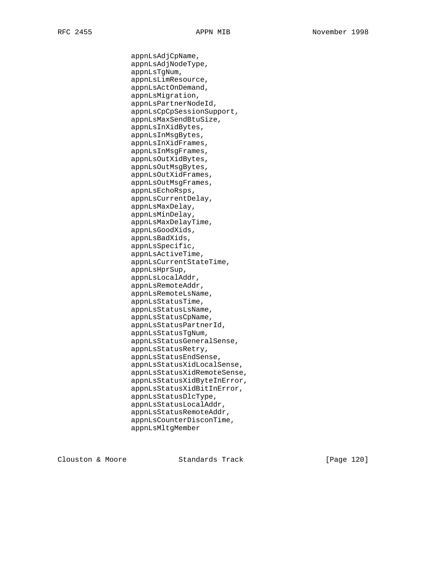appnLsAdjCpName, appnLsAdjNodeType, appnLsTgNum, appnLsLimResource, appnLsActOnDemand, appnLsMigration, appnLsPartnerNodeId, appnLsCpCpSessionSupport, appnLsMaxSendBtuSize, appnLsInXidBytes, appnLsInMsgBytes, appnLsInXidFrames, appnLsInMsgFrames, appnLsOutXidBytes, appnLsOutMsgBytes, appnLsOutXidFrames, appnLsOutMsgFrames, appnLsEchoRsps, appnLsCurrentDelay, appnLsMaxDelay, appnLsMinDelay, appnLsMaxDelayTime, appnLsGoodXids, appnLsBadXids, appnLsSpecific, appnLsActiveTime, appnLsCurrentStateTime, appnLsHprSup, appnLsLocalAddr, appnLsRemoteAddr, appnLsRemoteLsName, appnLsStatusTime, appnLsStatusLsName, appnLsStatusCpName, appnLsStatusPartnerId, appnLsStatusTgNum, appnLsStatusGeneralSense, appnLsStatusRetry, appnLsStatusEndSense, appnLsStatusXidLocalSense, appnLsStatusXidRemoteSense, appnLsStatusXidByteInError, appnLsStatusXidBitInError, appnLsStatusDlcType, appnLsStatusLocalAddr, appnLsStatusRemoteAddr, appnLsCounterDisconTime, appnLsMltgMember

Clouston & Moore Standards Track [Page 120]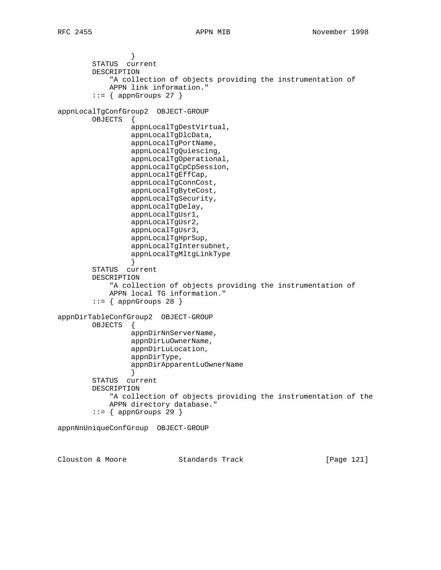} STATUS current DESCRIPTION "A collection of objects providing the instrumentation of APPN link information."  $::=$  { appnGroups 27 } appnLocalTgConfGroup2 OBJECT-GROUP OBJECTS { appnLocalTgDestVirtual, appnLocalTgDlcData, appnLocalTgPortName, appnLocalTgQuiescing, appnLocalTgOperational, appnLocalTgCpCpSession, appnLocalTgEffCap, appnLocalTgConnCost, appnLocalTgByteCost, appnLocalTgSecurity, appnLocalTgDelay, appnLocalTgUsr1, appnLocalTgUsr2, appnLocalTgUsr3, appnLocalTgHprSup, appnLocalTgIntersubnet, appnLocalTgMltgLinkType } STATUS current DESCRIPTION "A collection of objects providing the instrumentation of APPN local TG information."  $::=$  { appnGroups 28 } appnDirTableConfGroup2 OBJECT-GROUP OBJECTS { appnDirNnServerName, appnDirLuOwnerName, appnDirLuLocation, appnDirType, appnDirApparentLuOwnerName } STATUS current DESCRIPTION "A collection of objects providing the instrumentation of the APPN directory database."  $::=$  { appnGroups 29 } appnNnUniqueConfGroup OBJECT-GROUP

Clouston & Moore Standards Track [Page 121]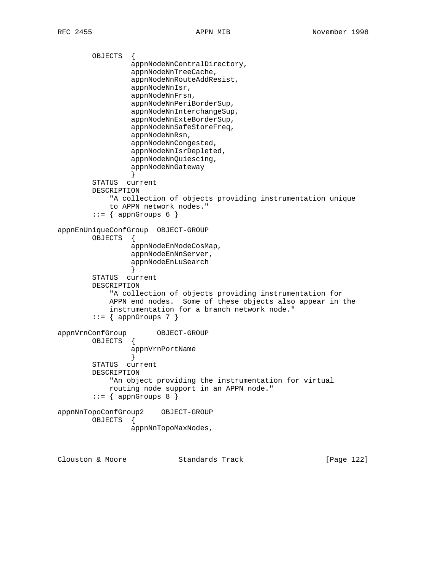OBJECTS { appnNodeNnCentralDirectory, appnNodeNnTreeCache, appnNodeNnRouteAddResist, appnNodeNnIsr, appnNodeNnFrsn, appnNodeNnPeriBorderSup, appnNodeNnInterchangeSup, appnNodeNnExteBorderSup, appnNodeNnSafeStoreFreq, appnNodeNnRsn, appnNodeNnCongested, appnNodeNnIsrDepleted, appnNodeNnQuiescing, appnNodeNnGateway } STATUS current DESCRIPTION "A collection of objects providing instrumentation unique to APPN network nodes."  $::=$  { appnGroups 6 } appnEnUniqueConfGroup OBJECT-GROUP OBJECTS { appnNodeEnModeCosMap, appnNodeEnNnServer, appnNodeEnLuSearch } STATUS current DESCRIPTION "A collection of objects providing instrumentation for APPN end nodes. Some of these objects also appear in the instrumentation for a branch network node."  $::=$  { appnGroups 7 } appnVrnConfGroup OBJECT-GROUP OBJECTS { appnVrnPortName } STATUS current DESCRIPTION "An object providing the instrumentation for virtual routing node support in an APPN node."  $::=$  { appnGroups 8 } appnNnTopoConfGroup2 OBJECT-GROUP OBJECTS { appnNnTopoMaxNodes,

Clouston & Moore Standards Track [Page 122]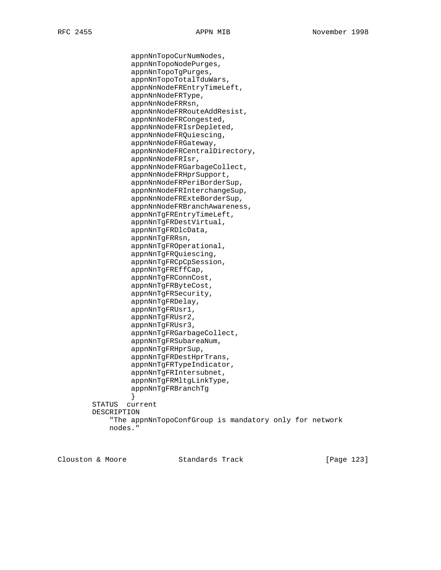appnNnTopoCurNumNodes, appnNnTopoNodePurges, appnNnTopoTgPurges, appnNnTopoTotalTduWars, appnNnNodeFREntryTimeLeft, appnNnNodeFRType, appnNnNodeFRRsn, appnNnNodeFRRouteAddResist, appnNnNodeFRCongested, appnNnNodeFRIsrDepleted, appnNnNodeFRQuiescing, appnNnNodeFRGateway, appnNnNodeFRCentralDirectory, appnNnNodeFRIsr, appnNnNodeFRGarbageCollect, appnNnNodeFRHprSupport, appnNnNodeFRPeriBorderSup, appnNnNodeFRInterchangeSup, appnNnNodeFRExteBorderSup, appnNnNodeFRBranchAwareness, appnNnTgFREntryTimeLeft, appnNnTgFRDestVirtual, appnNnTgFRDlcData, appnNnTgFRRsn, appnNnTgFROperational, appnNnTgFRQuiescing, appnNnTgFRCpCpSession, appnNnTgFREffCap, appnNnTgFRConnCost, appnNnTgFRByteCost, appnNnTgFRSecurity, appnNnTgFRDelay, appnNnTgFRUsr1, appnNnTgFRUsr2, appnNnTgFRUsr3, appnNnTgFRGarbageCollect, appnNnTgFRSubareaNum, appnNnTgFRHprSup, appnNnTgFRDestHprTrans, appnNnTgFRTypeIndicator, appnNnTgFRIntersubnet, appnNnTgFRMltgLinkType, appnNnTgFRBranchTg } STATUS current DESCRIPTION "The appnNnTopoConfGroup is mandatory only for network nodes."

Clouston & Moore Standards Track [Page 123]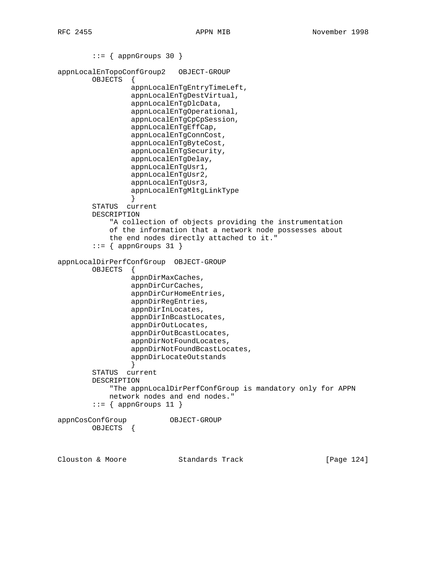```
::= { appnGroups 30 }
appnLocalEnTopoConfGroup2 OBJECT-GROUP
        OBJECTS {
                 appnLocalEnTgEntryTimeLeft,
                 appnLocalEnTgDestVirtual,
                 appnLocalEnTgDlcData,
                 appnLocalEnTgOperational,
                 appnLocalEnTgCpCpSession,
                 appnLocalEnTgEffCap,
                 appnLocalEnTgConnCost,
                 appnLocalEnTgByteCost,
                 appnLocalEnTgSecurity,
                 appnLocalEnTgDelay,
                 appnLocalEnTgUsr1,
                 appnLocalEnTgUsr2,
                 appnLocalEnTgUsr3,
                 appnLocalEnTgMltgLinkType
 }
        STATUS current
        DESCRIPTION
            "A collection of objects providing the instrumentation
            of the information that a network node possesses about
            the end nodes directly attached to it."
        ::= { appnGroups 31 }
appnLocalDirPerfConfGroup OBJECT-GROUP
        OBJECTS {
                 appnDirMaxCaches,
                 appnDirCurCaches,
                 appnDirCurHomeEntries,
                 appnDirRegEntries,
                 appnDirInLocates,
                 appnDirInBcastLocates,
                 appnDirOutLocates,
                 appnDirOutBcastLocates,
                 appnDirNotFoundLocates,
                 appnDirNotFoundBcastLocates,
                 appnDirLocateOutstands
 }
        STATUS current
        DESCRIPTION
            "The appnLocalDirPerfConfGroup is mandatory only for APPN
            network nodes and end nodes."
        ::= { appnGroups 11 }
appnCosConfGroup OBJECT-GROUP
        OBJECTS {
Clouston & Moore Standards Track [Page 124]
```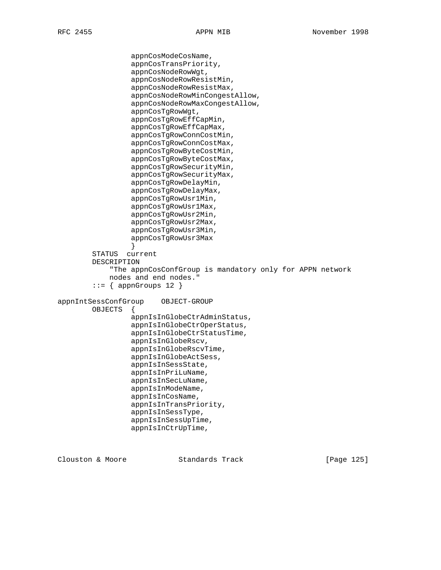appnCosModeCosName, appnCosTransPriority, appnCosNodeRowWgt, appnCosNodeRowResistMin, appnCosNodeRowResistMax, appnCosNodeRowMinCongestAllow, appnCosNodeRowMaxCongestAllow, appnCosTgRowWgt, appnCosTgRowEffCapMin, appnCosTgRowEffCapMax, appnCosTgRowConnCostMin, appnCosTgRowConnCostMax, appnCosTgRowByteCostMin, appnCosTgRowByteCostMax, appnCosTgRowSecurityMin, appnCosTgRowSecurityMax, appnCosTgRowDelayMin, appnCosTgRowDelayMax, appnCosTgRowUsr1Min, appnCosTgRowUsr1Max, appnCosTgRowUsr2Min, appnCosTgRowUsr2Max, appnCosTgRowUsr3Min, appnCosTgRowUsr3Max } STATUS current DESCRIPTION "The appnCosConfGroup is mandatory only for APPN network nodes and end nodes."  $::=$  { appnGroups 12 } appnIntSessConfGroup OBJECT-GROUP OBJECTS { appnIsInGlobeCtrAdminStatus, appnIsInGlobeCtrOperStatus, appnIsInGlobeCtrStatusTime, appnIsInGlobeRscv, appnIsInGlobeRscvTime, appnIsInGlobeActSess, appnIsInSessState, appnIsInPriLuName, appnIsInSecLuName, appnIsInModeName, appnIsInCosName, appnIsInTransPriority, appnIsInSessType, appnIsInSessUpTime, appnIsInCtrUpTime,

Clouston & Moore Standards Track [Page 125]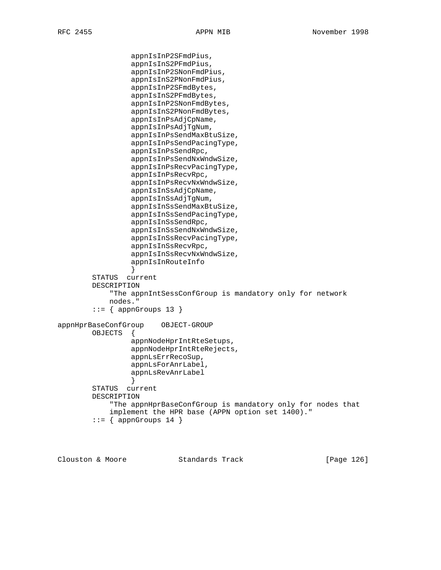appnIsInP2SFmdPius, appnIsInS2PFmdPius, appnIsInP2SNonFmdPius, appnIsInS2PNonFmdPius, appnIsInP2SFmdBytes, appnIsInS2PFmdBytes, appnIsInP2SNonFmdBytes, appnIsInS2PNonFmdBytes, appnIsInPsAdjCpName, appnIsInPsAdjTgNum, appnIsInPsSendMaxBtuSize, appnIsInPsSendPacingType, appnIsInPsSendRpc, appnIsInPsSendNxWndwSize, appnIsInPsRecvPacingType, appnIsInPsRecvRpc, appnIsInPsRecvNxWndwSize, appnIsInSsAdjCpName, appnIsInSsAdjTgNum, appnIsInSsSendMaxBtuSize, appnIsInSsSendPacingType, appnIsInSsSendRpc, appnIsInSsSendNxWndwSize, appnIsInSsRecvPacingType, appnIsInSsRecvRpc, appnIsInSsRecvNxWndwSize, appnIsInRouteInfo } STATUS current DESCRIPTION "The appnIntSessConfGroup is mandatory only for network nodes."  $::=$  { appnGroups 13 } appnHprBaseConfGroup OBJECT-GROUP OBJECTS { appnNodeHprIntRteSetups, appnNodeHprIntRteRejects, appnLsErrRecoSup, appnLsForAnrLabel, appnLsRevAnrLabel } STATUS current DESCRIPTION "The appnHprBaseConfGroup is mandatory only for nodes that implement the HPR base (APPN option set 1400)."  $::=$  { appnGroups 14 }

Clouston & Moore Standards Track [Page 126]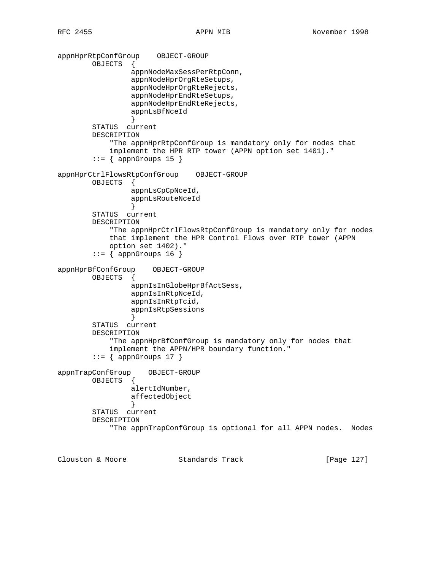```
appnHprRtpConfGroup OBJECT-GROUP
        OBJECTS {
                 appnNodeMaxSessPerRtpConn,
                 appnNodeHprOrgRteSetups,
                 appnNodeHprOrgRteRejects,
                 appnNodeHprEndRteSetups,
                 appnNodeHprEndRteRejects,
                 appnLsBfNceId
 }
        STATUS current
        DESCRIPTION
            "The appnHprRtpConfGroup is mandatory only for nodes that
            implement the HPR RTP tower (APPN option set 1401)."
       ::= { appnGroups 15 }
appnHprCtrlFlowsRtpConfGroup OBJECT-GROUP
        OBJECTS {
                 appnLsCpCpNceId,
                 appnLsRouteNceId
 }
        STATUS current
        DESCRIPTION
            "The appnHprCtrlFlowsRtpConfGroup is mandatory only for nodes
            that implement the HPR Control Flows over RTP tower (APPN
            option set 1402)."
       ::= { appnGroups 16 }
appnHprBfConfGroup OBJECT-GROUP
        OBJECTS {
                 appnIsInGlobeHprBfActSess,
                 appnIsInRtpNceId,
                 appnIsInRtpTcid,
                 appnIsRtpSessions
 }
        STATUS current
        DESCRIPTION
            "The appnHprBfConfGroup is mandatory only for nodes that
            implement the APPN/HPR boundary function."
       ::= { appnGroups 17 }
appnTrapConfGroup OBJECT-GROUP
        OBJECTS {
                 alertIdNumber,
                 affectedObject
 }
        STATUS current
        DESCRIPTION
            "The appnTrapConfGroup is optional for all APPN nodes. Nodes
```
Clouston & Moore Standards Track [Page 127]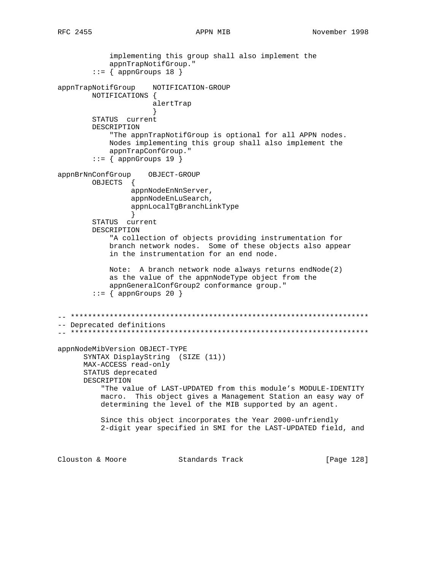implementing this group shall also implement the appnTrapNotifGroup."  $::=$  { appnGroups 18 } appnTrapNotifGroup NOTIFICATION-GROUP NOTIFICATIONS { alertTrap } STATUS current DESCRIPTION "The appnTrapNotifGroup is optional for all APPN nodes. Nodes implementing this group shall also implement the appnTrapConfGroup."  $::=$  { appnGroups 19 } appnBrNnConfGroup OBJECT-GROUP OBJECTS { appnNodeEnNnServer, appnNodeEnLuSearch, appnLocalTgBranchLinkType } STATUS current DESCRIPTION "A collection of objects providing instrumentation for branch network nodes. Some of these objects also appear in the instrumentation for an end node. Note: A branch network node always returns endNode(2) as the value of the appnNodeType object from the appnGeneralConfGroup2 conformance group."  $::=$  { appnGroups 20 } -- \*\*\*\*\*\*\*\*\*\*\*\*\*\*\*\*\*\*\*\*\*\*\*\*\*\*\*\*\*\*\*\*\*\*\*\*\*\*\*\*\*\*\*\*\*\*\*\*\*\*\*\*\*\*\*\*\*\*\*\*\*\*\*\*\*\*\*\*\* -- Deprecated definitions -- \*\*\*\*\*\*\*\*\*\*\*\*\*\*\*\*\*\*\*\*\*\*\*\*\*\*\*\*\*\*\*\*\*\*\*\*\*\*\*\*\*\*\*\*\*\*\*\*\*\*\*\*\*\*\*\*\*\*\*\*\*\*\*\*\*\*\*\*\* appnNodeMibVersion OBJECT-TYPE SYNTAX DisplayString (SIZE (11)) MAX-ACCESS read-only STATUS deprecated DESCRIPTION "The value of LAST-UPDATED from this module's MODULE-IDENTITY macro. This object gives a Management Station an easy way of determining the level of the MIB supported by an agent. Since this object incorporates the Year 2000-unfriendly 2-digit year specified in SMI for the LAST-UPDATED field, and Clouston & Moore Standards Track [Page 128]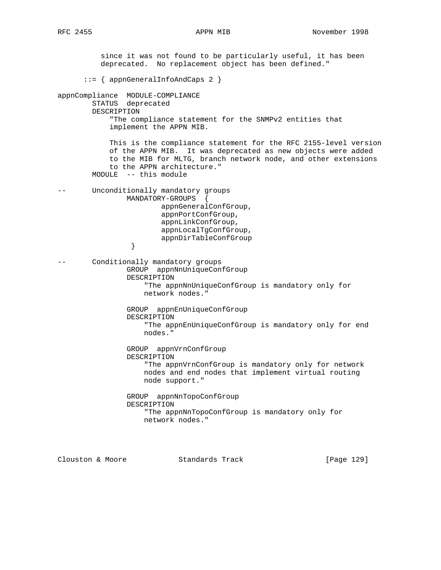since it was not found to be particularly useful, it has been deprecated. No replacement object has been defined." ::= { appnGeneralInfoAndCaps 2 } appnCompliance MODULE-COMPLIANCE STATUS deprecated DESCRIPTION "The compliance statement for the SNMPv2 entities that implement the APPN MIB. This is the compliance statement for the RFC 2155-level version of the APPN MIB. It was deprecated as new objects were added to the MIB for MLTG, branch network node, and other extensions to the APPN architecture." MODULE -- this module -- Unconditionally mandatory groups MANDATORY-GROUPS { appnGeneralConfGroup, appnPortConfGroup, appnLinkConfGroup, appnLocalTgConfGroup, appnDirTableConfGroup } } -- Conditionally mandatory groups GROUP appnNnUniqueConfGroup DESCRIPTION "The appnNnUniqueConfGroup is mandatory only for network nodes." GROUP appnEnUniqueConfGroup DESCRIPTION "The appnEnUniqueConfGroup is mandatory only for end nodes." GROUP appnVrnConfGroup DESCRIPTION "The appnVrnConfGroup is mandatory only for network nodes and end nodes that implement virtual routing node support." GROUP appnNnTopoConfGroup DESCRIPTION "The appnNnTopoConfGroup is mandatory only for network nodes."

Clouston & Moore Standards Track [Page 129]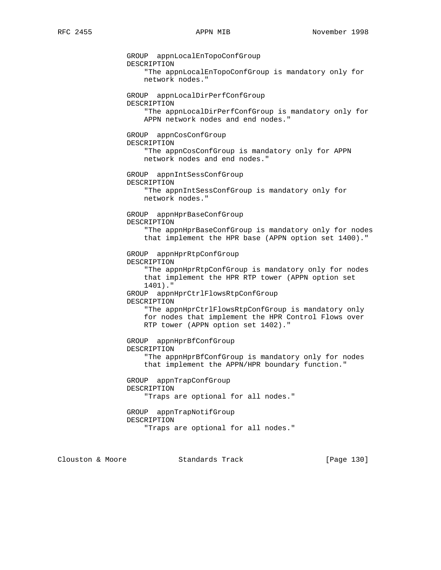GROUP appnLocalEnTopoConfGroup DESCRIPTION "The appnLocalEnTopoConfGroup is mandatory only for network nodes." GROUP appnLocalDirPerfConfGroup DESCRIPTION "The appnLocalDirPerfConfGroup is mandatory only for APPN network nodes and end nodes." GROUP appnCosConfGroup DESCRIPTION "The appnCosConfGroup is mandatory only for APPN network nodes and end nodes." GROUP appnIntSessConfGroup DESCRIPTION "The appnIntSessConfGroup is mandatory only for network nodes." GROUP appnHprBaseConfGroup DESCRIPTION "The appnHprBaseConfGroup is mandatory only for nodes that implement the HPR base (APPN option set 1400)." GROUP appnHprRtpConfGroup DESCRIPTION "The appnHprRtpConfGroup is mandatory only for nodes that implement the HPR RTP tower (APPN option set 1401)." GROUP appnHprCtrlFlowsRtpConfGroup DESCRIPTION "The appnHprCtrlFlowsRtpConfGroup is mandatory only for nodes that implement the HPR Control Flows over RTP tower (APPN option set 1402)." GROUP appnHprBfConfGroup DESCRIPTION "The appnHprBfConfGroup is mandatory only for nodes that implement the APPN/HPR boundary function." GROUP appnTrapConfGroup DESCRIPTION "Traps are optional for all nodes." GROUP appnTrapNotifGroup DESCRIPTION "Traps are optional for all nodes."

Clouston & Moore Standards Track [Page 130]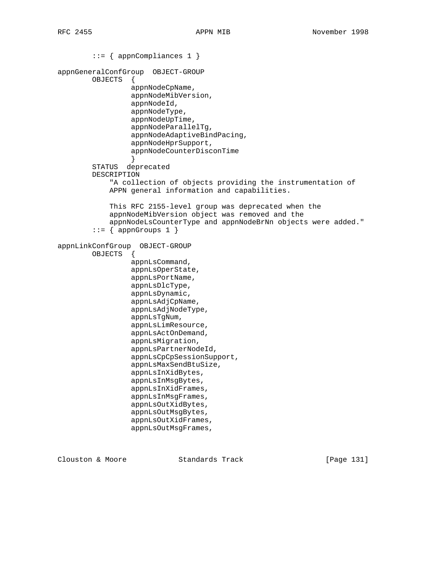```
 ::= { appnCompliances 1 }
appnGeneralConfGroup OBJECT-GROUP
         OBJECTS {
                  appnNodeCpName,
                  appnNodeMibVersion,
                  appnNodeId,
                  appnNodeType,
                  appnNodeUpTime,
                  appnNodeParallelTg,
                  appnNodeAdaptiveBindPacing,
                  appnNodeHprSupport,
                  appnNodeCounterDisconTime
 }
         STATUS deprecated
         DESCRIPTION
             "A collection of objects providing the instrumentation of
             APPN general information and capabilities.
             This RFC 2155-level group was deprecated when the
             appnNodeMibVersion object was removed and the
             appnNodeLsCounterType and appnNodeBrNn objects were added."
        ::= { appnGroups 1 }
appnLinkConfGroup OBJECT-GROUP
         OBJECTS {
                  appnLsCommand,
                  appnLsOperState,
                  appnLsPortName,
                  appnLsDlcType,
                  appnLsDynamic,
                  appnLsAdjCpName,
                  appnLsAdjNodeType,
                  appnLsTgNum,
                  appnLsLimResource,
                  appnLsActOnDemand,
                  appnLsMigration,
                  appnLsPartnerNodeId,
                  appnLsCpCpSessionSupport,
                  appnLsMaxSendBtuSize,
                  appnLsInXidBytes,
                  appnLsInMsgBytes,
                  appnLsInXidFrames,
                  appnLsInMsgFrames,
                  appnLsOutXidBytes,
                  appnLsOutMsgBytes,
                  appnLsOutXidFrames,
                  appnLsOutMsgFrames,
```
Clouston & Moore Standards Track [Page 131]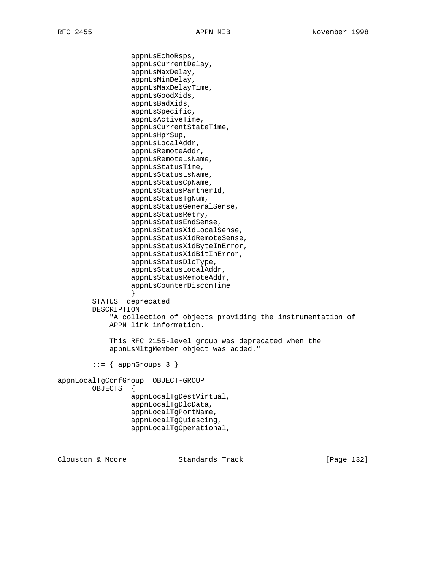appnLsEchoRsps, appnLsCurrentDelay, appnLsMaxDelay, appnLsMinDelay, appnLsMaxDelayTime, appnLsGoodXids, appnLsBadXids, appnLsSpecific, appnLsActiveTime, appnLsCurrentStateTime, appnLsHprSup, appnLsLocalAddr, appnLsRemoteAddr, appnLsRemoteLsName, appnLsStatusTime, appnLsStatusLsName, appnLsStatusCpName, appnLsStatusPartnerId, appnLsStatusTgNum, appnLsStatusGeneralSense, appnLsStatusRetry, appnLsStatusEndSense, appnLsStatusXidLocalSense, appnLsStatusXidRemoteSense, appnLsStatusXidByteInError, appnLsStatusXidBitInError, appnLsStatusDlcType, appnLsStatusLocalAddr, appnLsStatusRemoteAddr, appnLsCounterDisconTime } STATUS deprecated DESCRIPTION "A collection of objects providing the instrumentation of APPN link information. This RFC 2155-level group was deprecated when the appnLsMltgMember object was added."  $::=$  { appnGroups 3 } appnLocalTgConfGroup OBJECT-GROUP OBJECTS { appnLocalTgDestVirtual, appnLocalTgDlcData, appnLocalTgPortName, appnLocalTgQuiescing, appnLocalTgOperational,

Clouston & Moore Standards Track [Page 132]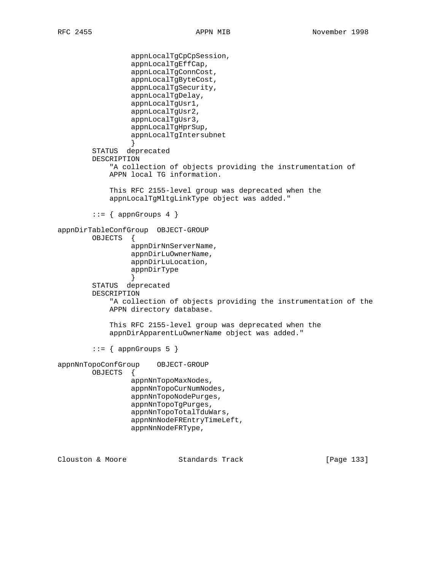```
 appnLocalTgCpCpSession,
                  appnLocalTgEffCap,
                  appnLocalTgConnCost,
                  appnLocalTgByteCost,
                  appnLocalTgSecurity,
                  appnLocalTgDelay,
                  appnLocalTgUsr1,
                  appnLocalTgUsr2,
                  appnLocalTgUsr3,
                  appnLocalTgHprSup,
                  appnLocalTgIntersubnet
 }
         STATUS deprecated
         DESCRIPTION
             "A collection of objects providing the instrumentation of
             APPN local TG information.
             This RFC 2155-level group was deprecated when the
             appnLocalTgMltgLinkType object was added."
        ::= { appnGroups 4 }
appnDirTableConfGroup OBJECT-GROUP
         OBJECTS {
                  appnDirNnServerName,
                  appnDirLuOwnerName,
                  appnDirLuLocation,
                  appnDirType
 }
         STATUS deprecated
         DESCRIPTION
             "A collection of objects providing the instrumentation of the
             APPN directory database.
             This RFC 2155-level group was deprecated when the
             appnDirApparentLuOwnerName object was added."
        ::= { appnGroups 5 }
appnNnTopoConfGroup OBJECT-GROUP
         OBJECTS {
                  appnNnTopoMaxNodes,
                  appnNnTopoCurNumNodes,
                  appnNnTopoNodePurges,
                  appnNnTopoTgPurges,
                  appnNnTopoTotalTduWars,
                  appnNnNodeFREntryTimeLeft,
                  appnNnNodeFRType,
```
Clouston & Moore Standards Track [Page 133]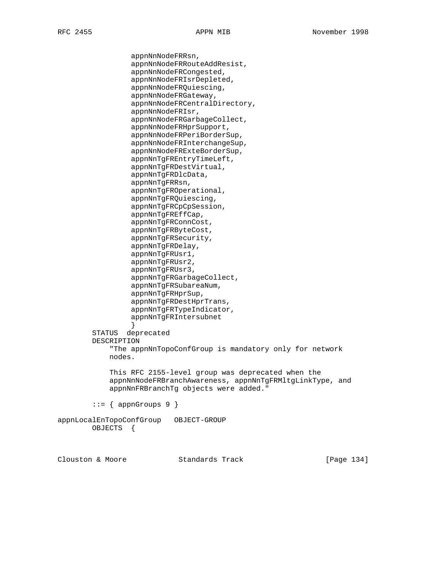appnNnNodeFRRsn, appnNnNodeFRRouteAddResist, appnNnNodeFRCongested, appnNnNodeFRIsrDepleted, appnNnNodeFRQuiescing, appnNnNodeFRGateway, appnNnNodeFRCentralDirectory, appnNnNodeFRIsr, appnNnNodeFRGarbageCollect, appnNnNodeFRHprSupport, appnNnNodeFRPeriBorderSup, appnNnNodeFRInterchangeSup, appnNnNodeFRExteBorderSup, appnNnTgFREntryTimeLeft, appnNnTgFRDestVirtual, appnNnTgFRDlcData, appnNnTgFRRsn, appnNnTgFROperational, appnNnTgFRQuiescing, appnNnTgFRCpCpSession, appnNnTgFREffCap, appnNnTgFRConnCost, appnNnTgFRByteCost, appnNnTgFRSecurity, appnNnTgFRDelay, appnNnTgFRUsr1, appnNnTgFRUsr2, appnNnTgFRUsr3, appnNnTgFRGarbageCollect, appnNnTgFRSubareaNum, appnNnTgFRHprSup, appnNnTgFRDestHprTrans, appnNnTgFRTypeIndicator, appnNnTgFRIntersubnet } STATUS deprecated DESCRIPTION "The appnNnTopoConfGroup is mandatory only for network nodes. This RFC 2155-level group was deprecated when the appnNnNodeFRBranchAwareness, appnNnTgFRMltgLinkType, and appnNnFRBranchTg objects were added."  $::=$  { appnGroups 9 } appnLocalEnTopoConfGroup OBJECT-GROUP

OBJECTS {

Clouston & Moore Standards Track [Page 134]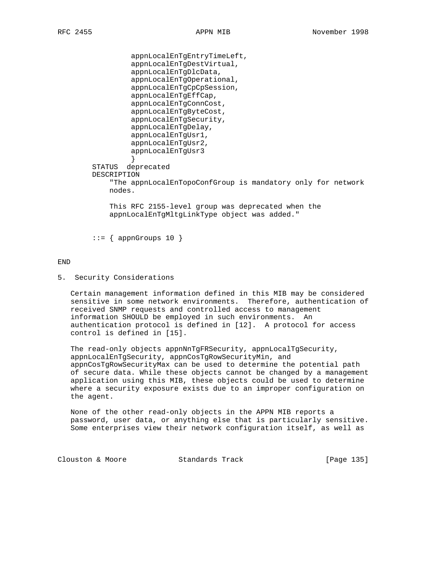```
 appnLocalEnTgEntryTimeLeft,
                  appnLocalEnTgDestVirtual,
                  appnLocalEnTgDlcData,
                  appnLocalEnTgOperational,
                  appnLocalEnTgCpCpSession,
                  appnLocalEnTgEffCap,
                  appnLocalEnTgConnCost,
                  appnLocalEnTgByteCost,
                  appnLocalEnTgSecurity,
                  appnLocalEnTgDelay,
                  appnLocalEnTgUsr1,
                  appnLocalEnTgUsr2,
                  appnLocalEnTgUsr3
 }
         STATUS deprecated
         DESCRIPTION
             "The appnLocalEnTopoConfGroup is mandatory only for network
             nodes.
             This RFC 2155-level group was deprecated when the
             appnLocalEnTgMltgLinkType object was added."
```
 $::=$  { appnGroups 10 }

## END

5. Security Considerations

 Certain management information defined in this MIB may be considered sensitive in some network environments. Therefore, authentication of received SNMP requests and controlled access to management information SHOULD be employed in such environments. An authentication protocol is defined in [12]. A protocol for access control is defined in [15].

 The read-only objects appnNnTgFRSecurity, appnLocalTgSecurity, appnLocalEnTgSecurity, appnCosTgRowSecurityMin, and appnCosTgRowSecurityMax can be used to determine the potential path of secure data. While these objects cannot be changed by a management application using this MIB, these objects could be used to determine where a security exposure exists due to an improper configuration on the agent.

 None of the other read-only objects in the APPN MIB reports a password, user data, or anything else that is particularly sensitive. Some enterprises view their network configuration itself, as well as

Clouston & Moore Standards Track [Page 135]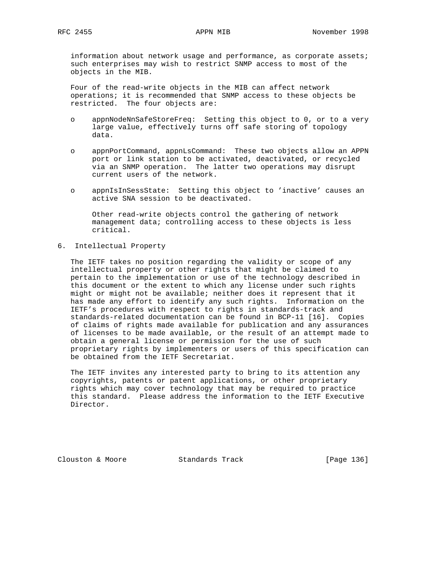information about network usage and performance, as corporate assets; such enterprises may wish to restrict SNMP access to most of the objects in the MIB.

 Four of the read-write objects in the MIB can affect network operations; it is recommended that SNMP access to these objects be restricted. The four objects are:

- o appnNodeNnSafeStoreFreq: Setting this object to 0, or to a very large value, effectively turns off safe storing of topology data.
- o appnPortCommand, appnLsCommand: These two objects allow an APPN port or link station to be activated, deactivated, or recycled via an SNMP operation. The latter two operations may disrupt current users of the network.
- o appnIsInSessState: Setting this object to 'inactive' causes an active SNA session to be deactivated.

 Other read-write objects control the gathering of network management data; controlling access to these objects is less critical.

6. Intellectual Property

 The IETF takes no position regarding the validity or scope of any intellectual property or other rights that might be claimed to pertain to the implementation or use of the technology described in this document or the extent to which any license under such rights might or might not be available; neither does it represent that it has made any effort to identify any such rights. Information on the IETF's procedures with respect to rights in standards-track and standards-related documentation can be found in BCP-11 [16]. Copies of claims of rights made available for publication and any assurances of licenses to be made available, or the result of an attempt made to obtain a general license or permission for the use of such proprietary rights by implementers or users of this specification can be obtained from the IETF Secretariat.

 The IETF invites any interested party to bring to its attention any copyrights, patents or patent applications, or other proprietary rights which may cover technology that may be required to practice this standard. Please address the information to the IETF Executive Director.

Clouston & Moore Standards Track [Page 136]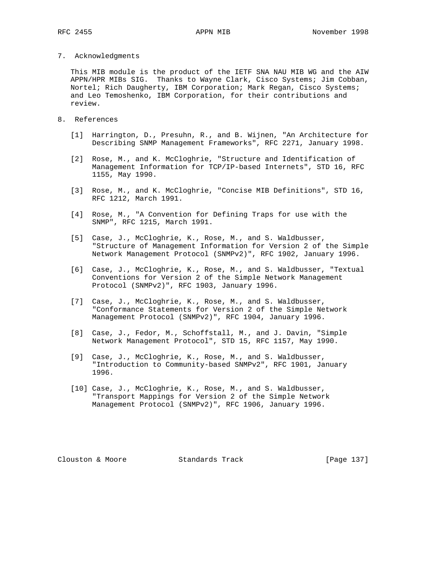7. Acknowledgments

 This MIB module is the product of the IETF SNA NAU MIB WG and the AIW APPN/HPR MIBs SIG. Thanks to Wayne Clark, Cisco Systems; Jim Cobban, Nortel; Rich Daugherty, IBM Corporation; Mark Regan, Cisco Systems; and Leo Temoshenko, IBM Corporation, for their contributions and review.

- 8. References
	- [1] Harrington, D., Presuhn, R., and B. Wijnen, "An Architecture for Describing SNMP Management Frameworks", RFC 2271, January 1998.
	- [2] Rose, M., and K. McCloghrie, "Structure and Identification of Management Information for TCP/IP-based Internets", STD 16, RFC 1155, May 1990.
	- [3] Rose, M., and K. McCloghrie, "Concise MIB Definitions", STD 16, RFC 1212, March 1991.
	- [4] Rose, M., "A Convention for Defining Traps for use with the SNMP", RFC 1215, March 1991.
	- [5] Case, J., McCloghrie, K., Rose, M., and S. Waldbusser, "Structure of Management Information for Version 2 of the Simple Network Management Protocol (SNMPv2)", RFC 1902, January 1996.
	- [6] Case, J., McCloghrie, K., Rose, M., and S. Waldbusser, "Textual Conventions for Version 2 of the Simple Network Management Protocol (SNMPv2)", RFC 1903, January 1996.
	- [7] Case, J., McCloghrie, K., Rose, M., and S. Waldbusser, "Conformance Statements for Version 2 of the Simple Network Management Protocol (SNMPv2)", RFC 1904, January 1996.
	- [8] Case, J., Fedor, M., Schoffstall, M., and J. Davin, "Simple Network Management Protocol", STD 15, RFC 1157, May 1990.
	- [9] Case, J., McCloghrie, K., Rose, M., and S. Waldbusser, "Introduction to Community-based SNMPv2", RFC 1901, January 1996.
	- [10] Case, J., McCloghrie, K., Rose, M., and S. Waldbusser, "Transport Mappings for Version 2 of the Simple Network Management Protocol (SNMPv2)", RFC 1906, January 1996.

Clouston & Moore Standards Track [Page 137]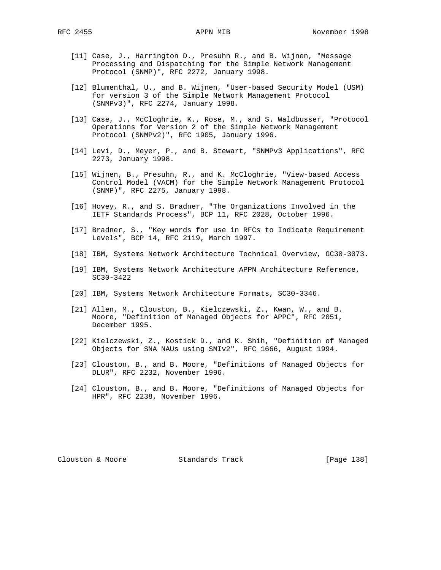- [11] Case, J., Harrington D., Presuhn R., and B. Wijnen, "Message Processing and Dispatching for the Simple Network Management Protocol (SNMP)", RFC 2272, January 1998.
- [12] Blumenthal, U., and B. Wijnen, "User-based Security Model (USM) for version 3 of the Simple Network Management Protocol (SNMPv3)", RFC 2274, January 1998.
- [13] Case, J., McCloghrie, K., Rose, M., and S. Waldbusser, "Protocol Operations for Version 2 of the Simple Network Management Protocol (SNMPv2)", RFC 1905, January 1996.
- [14] Levi, D., Meyer, P., and B. Stewart, "SNMPv3 Applications", RFC 2273, January 1998.
- [15] Wijnen, B., Presuhn, R., and K. McCloghrie, "View-based Access Control Model (VACM) for the Simple Network Management Protocol (SNMP)", RFC 2275, January 1998.
- [16] Hovey, R., and S. Bradner, "The Organizations Involved in the IETF Standards Process", BCP 11, RFC 2028, October 1996.
- [17] Bradner, S., "Key words for use in RFCs to Indicate Requirement Levels", BCP 14, RFC 2119, March 1997.
- [18] IBM, Systems Network Architecture Technical Overview, GC30-3073.
- [19] IBM, Systems Network Architecture APPN Architecture Reference, SC30-3422
- [20] IBM, Systems Network Architecture Formats, SC30-3346.
- [21] Allen, M., Clouston, B., Kielczewski, Z., Kwan, W., and B. Moore, "Definition of Managed Objects for APPC", RFC 2051, December 1995.
- [22] Kielczewski, Z., Kostick D., and K. Shih, "Definition of Managed Objects for SNA NAUs using SMIv2", RFC 1666, August 1994.
- [23] Clouston, B., and B. Moore, "Definitions of Managed Objects for DLUR", RFC 2232, November 1996.
- [24] Clouston, B., and B. Moore, "Definitions of Managed Objects for HPR", RFC 2238, November 1996.

Clouston & Moore Standards Track [Page 138]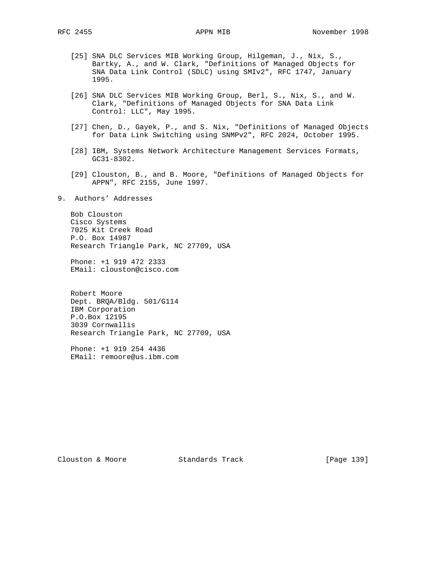- [25] SNA DLC Services MIB Working Group, Hilgeman, J., Nix, S., Bartky, A., and W. Clark, "Definitions of Managed Objects for SNA Data Link Control (SDLC) using SMIv2", RFC 1747, January 1995.
- [26] SNA DLC Services MIB Working Group, Berl, S., Nix, S., and W. Clark, "Definitions of Managed Objects for SNA Data Link Control: LLC", May 1995.
- [27] Chen, D., Gayek, P., and S. Nix, "Definitions of Managed Objects for Data Link Switching using SNMPv2", RFC 2024, October 1995.
- [28] IBM, Systems Network Architecture Management Services Formats, GC31-8302.
- [29] Clouston, B., and B. Moore, "Definitions of Managed Objects for APPN", RFC 2155, June 1997.
- 9. Authors' Addresses

 Bob Clouston Cisco Systems 7025 Kit Creek Road P.O. Box 14987 Research Triangle Park, NC 27709, USA

 Phone: +1 919 472 2333 EMail: clouston@cisco.com

 Robert Moore Dept. BRQA/Bldg. 501/G114 IBM Corporation P.O.Box 12195 3039 Cornwallis Research Triangle Park, NC 27709, USA

 Phone: +1 919 254 4436 EMail: remoore@us.ibm.com

Clouston & Moore Standards Track [Page 139]